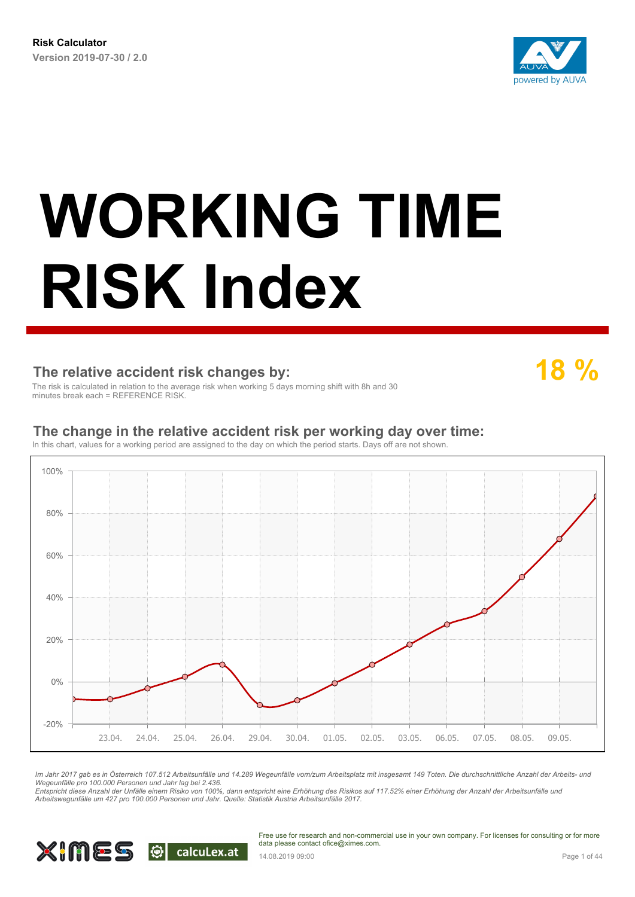

#### **The relative accident risk changes by:**

**18 %**

The risk is calculated in relation to the average risk when working 5 days morning shift with 8h and 30 minutes break each = REFERENCE RISK

#### **The change in the relative accident risk per working day over time:**

In this chart, values for a working period are assigned to the day on which the period starts. Days off are not shown.



*Im Jahr 2017 gab es in Österreich 107.512 Arbeitsunfälle und 14.289 Wegeunfälle vom/zum Arbeitsplatz mit insgesamt 149 Toten. Die durchschnittliche Anzahl der Arbeits- und Wegeunfälle pro 100.000 Personen und Jahr lag bei 2.436.*

*Entspricht diese Anzahl der Unfälle einem Risiko von 100%, dann entspricht eine Erhöhung des Risikos auf 117.52% einer Erhöhung der Anzahl der Arbeitsunfälle und Arbeitswegunfälle um 427 pro 100.000 Personen und Jahr. Quelle: Statistik Austria Arbeitsunfälle 2017.*

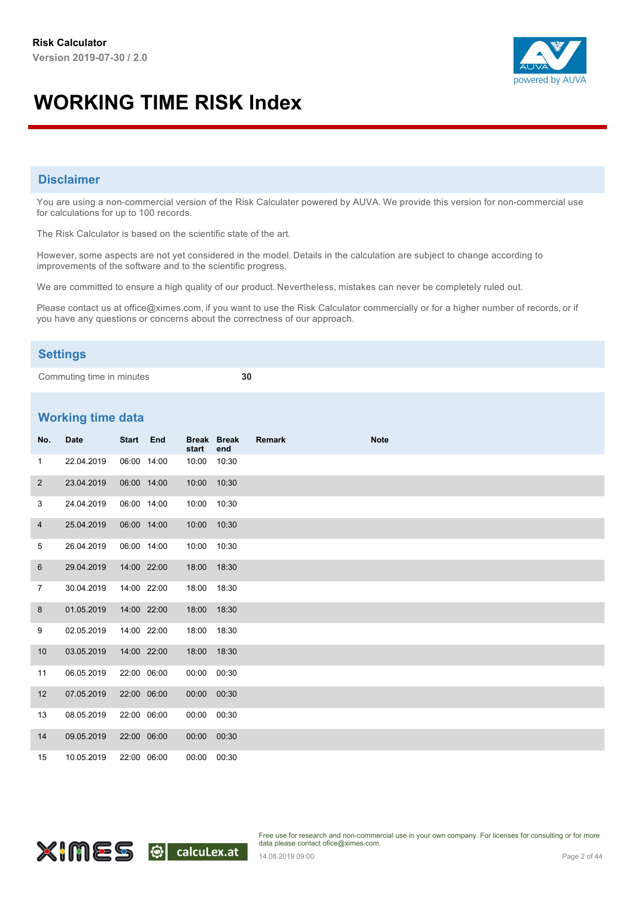

#### **Disclaimer**

You are using a non-commercial version of the Risk Calculater powered by AUVA. We provide this version for non-commercial use for calculations for up to 100 records.

The Risk Calculator is based on the scientific state of the art.

However, some aspects are not yet considered in the model. Details in the calculation are subject to change according to improvements of the software and to the scientific progress.

We are committed to ensure a high quality of our product. Nevertheless, mistakes can never be completely ruled out.

Please contact us at office@ximes.com, if you want to use the Risk Calculator commercially or for a higher number of records, or if you have any questions or concerns about the correctness of our approach.

#### **Settings**

Commuting time in minutes **30**

#### **Working time data**

| No.            | <b>Date</b> | Start End |             | start       | <b>Break Break</b><br>end | <b>Remark</b> | <b>Note</b> |  |  |
|----------------|-------------|-----------|-------------|-------------|---------------------------|---------------|-------------|--|--|
| $\mathbf{1}$   | 22.04.2019  |           | 06:00 14:00 | 10:00       | 10:30                     |               |             |  |  |
| $\overline{2}$ | 23.04.2019  |           | 06:00 14:00 | 10:00 10:30 |                           |               |             |  |  |
| 3              | 24.04.2019  |           | 06:00 14:00 | 10:00       | 10:30                     |               |             |  |  |
| $\overline{4}$ | 25.04.2019  |           | 06:00 14:00 | 10:00 10:30 |                           |               |             |  |  |
| 5              | 26.04.2019  |           | 06:00 14:00 | 10:00 10:30 |                           |               |             |  |  |
| 6              | 29.04.2019  |           | 14:00 22:00 | 18:00       | 18:30                     |               |             |  |  |
| $\overline{7}$ | 30.04.2019  |           | 14:00 22:00 | 18:00       | 18:30                     |               |             |  |  |
| 8              | 01.05.2019  |           | 14:00 22:00 | 18:00 18:30 |                           |               |             |  |  |
| 9              | 02.05.2019  |           | 14:00 22:00 | 18:00       | 18:30                     |               |             |  |  |
| 10             | 03.05.2019  |           | 14:00 22:00 | 18:00 18:30 |                           |               |             |  |  |
| 11             | 06.05.2019  |           | 22:00 06:00 | 00:00 00:30 |                           |               |             |  |  |
| 12             | 07.05.2019  |           | 22:00 06:00 | 00:00 00:30 |                           |               |             |  |  |
| 13             | 08.05.2019  |           | 22:00 06:00 | 00:00 00:30 |                           |               |             |  |  |
| 14             | 09.05.2019  |           | 22:00 06:00 | 00:00 00:30 |                           |               |             |  |  |
| 15             | 10.05.2019  |           | 22:00 06:00 | 00:00 00:30 |                           |               |             |  |  |

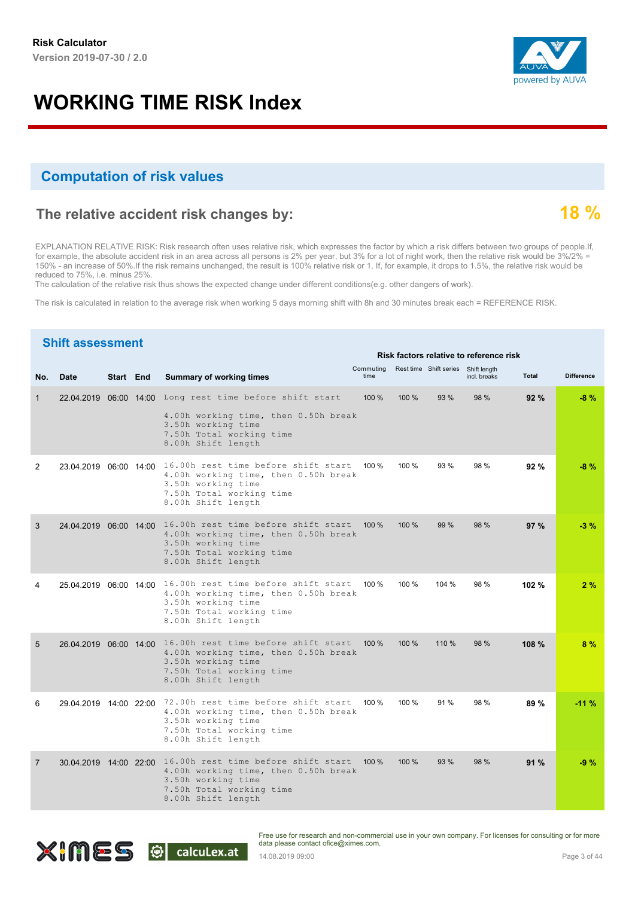#### **Computation of risk values**

#### **The relative accident risk changes by:**

EXPLANATION RELATIVE RISK: Risk research often uses relative risk, which expresses the factor by which a risk differs between two groups of people.If, for example, the absolute accident risk in an area across all persons is 2% per year, but 3% for a lot of night work, then the relative risk would be 3%/2% = 150% - an increase of 50%.If the risk remains unchanged, the result is 100% relative risk or 1. If, for example, it drops to 1.5%, the relative risk would be reduced to 75%, i.e. minus 25%.

The calculation of the relative risk thus shows the expected change under different conditions(e.g. other dangers of work).

The risk is calculated in relation to the average risk when working 5 days morning shift with 8h and 30 minutes break each = REFERENCE RISK.

#### **Shift assessment** Commuting Rest<sup>time Shift series Shift length<br>No. **Date Start End Summary of working times** and the time the solit series shift length and **Difference**</sup> **End Summary of working times Risk factors relative to reference risk** Commuting 1 Long rest time before shift start 22.04.2019 06:00 14:00 100 % 100 % 93 % 98 % **92 % -8 %** 4.00h working time, then 0.50h break 3.50h working time 7.50h Total working time 8.00h Shift length 2 16.00h rest time before shift start 23.04.2019 06:00 14:00 100 % 100 % 93 % 98 % **92 % -8 %** 4.00h working time, then 0.50h break 3.50h working time 7.50h Total working time 8.00h Shift length 3 16.00h rest time before shift start 24.04.2019 06:00 14:00 100 % 100 % 99 % 98 % **97 % -3 %** 4.00h working time, then 0.50h break 3.50h working time 7.50h Total working time 8.00h Shift length 4 16.00h rest time before shift start 25.04.2019 06:00 14:00 100 % 100 % 104 % 98 % **102 % 2 %** 4.00h working time, then 0.50h break 3.50h working time 7.50h Total working time 8.00h Shift length 5 16.00h rest time before shift start 26.04.2019 06:00 14:00 100 % 100 % 110 % 98 % **108 % 8 %** 4.00h working time, then 0.50h break 3.50h working time 7.50h Total working time 8.00h Shift length 6 72.00h rest time before shift start 29.04.2019 14:00 22:00 100 % 100 % 91 % 98 % **89 % -11 %** 4.00h working time, then 0.50h break 3.50h working time 7.50h Total working time 8.00h Shift length 7 16.00h rest time before shift start 30.04.2019 14:00 22:00 100 % 100 % 93 % 98 % **91 % -9 %**4.00h working time, then 0.50h break 3.50h working time 7.50h Total working time 8.00h Shift length

XIMES O calcuLex.at



**18 %**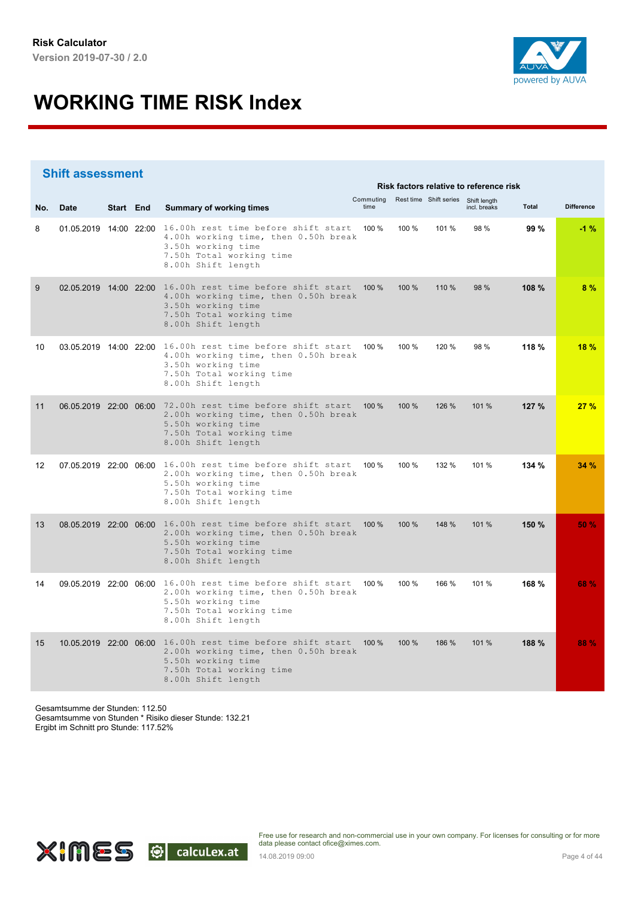

|     | <b>Shift assessment</b> |           |                                                                                                                                                                            |       |                                               |       |              |       |                   |
|-----|-------------------------|-----------|----------------------------------------------------------------------------------------------------------------------------------------------------------------------------|-------|-----------------------------------------------|-------|--------------|-------|-------------------|
|     |                         |           |                                                                                                                                                                            |       | Risk factors relative to reference risk       |       |              |       |                   |
| No. | <b>Date</b>             | Start End | <b>Summary of working times</b>                                                                                                                                            | time  | Commuting Rest time Shift series Shift length |       | incl. breaks | Total | <b>Difference</b> |
| 8   | 01.05.2019 14:00 22:00  |           | 16.00h rest time before shift start<br>4.00h working time, then 0.50h break<br>3.50h working time<br>7.50h Total working time<br>8.00h Shift length                        | 100 % | 100 %                                         | 101 % | 98 %         | 99 %  | $-1%$             |
| 9   |                         |           | 02.05.2019 14:00 22:00 16.00h rest time before shift start<br>4.00h working time, then 0.50h break<br>3.50h working time<br>7.50h Total working time<br>8.00h Shift length | 100 % | 100 %                                         | 110 % | 98 %         | 108 % | 8%                |
| 10  |                         |           | 03.05.2019 14:00 22:00 16.00h rest time before shift start<br>4.00h working time, then 0.50h break<br>3.50h working time<br>7.50h Total working time<br>8.00h Shift length | 100 % | 100 %                                         | 120 % | 98 %         | 118 % | 18%               |
| 11  |                         |           | 06.05.2019 22:00 06:00 72.00h rest time before shift start<br>2.00h working time, then 0.50h break<br>5.50h working time<br>7.50h Total working time<br>8.00h Shift length | 100%  | 100 %                                         | 126 % | 101 %        | 127 % | 27%               |
| 12  |                         |           | 07.05.2019 22:00 06:00 16.00h rest time before shift start<br>2.00h working time, then 0.50h break<br>5.50h working time<br>7.50h Total working time<br>8.00h Shift length | 100 % | 100 %                                         | 132 % | 101 %        | 134 % | 34 %              |
| 13  |                         |           | 08.05.2019 22:00 06:00 16.00h rest time before shift start<br>2.00h working time, then 0.50h break<br>5.50h working time<br>7.50h Total working time<br>8.00h Shift length | 100 % | 100 %                                         | 148 % | 101 %        | 150 % | 50%               |
| 14  |                         |           | 09.05.2019 22:00 06:00 16.00h rest time before shift start<br>2.00h working time, then 0.50h break<br>5.50h working time<br>7.50h Total working time<br>8.00h Shift length | 100 % | 100 %                                         | 166 % | 101 %        | 168 % | 68 %              |
| 15  |                         |           | 10.05.2019 22:00 06:00 16.00h rest time before shift start<br>2.00h working time, then 0.50h break<br>5.50h working time<br>7.50h Total working time<br>8.00h Shift length | 100 % | 100 %                                         | 186 % | 101 %        | 188 % | 88 %              |

Gesamtsumme der Stunden: 112.50 Gesamtsumme von Stunden \* Risiko dieser Stunde: 132.21 Ergibt im Schnitt pro Stunde: 117.52%

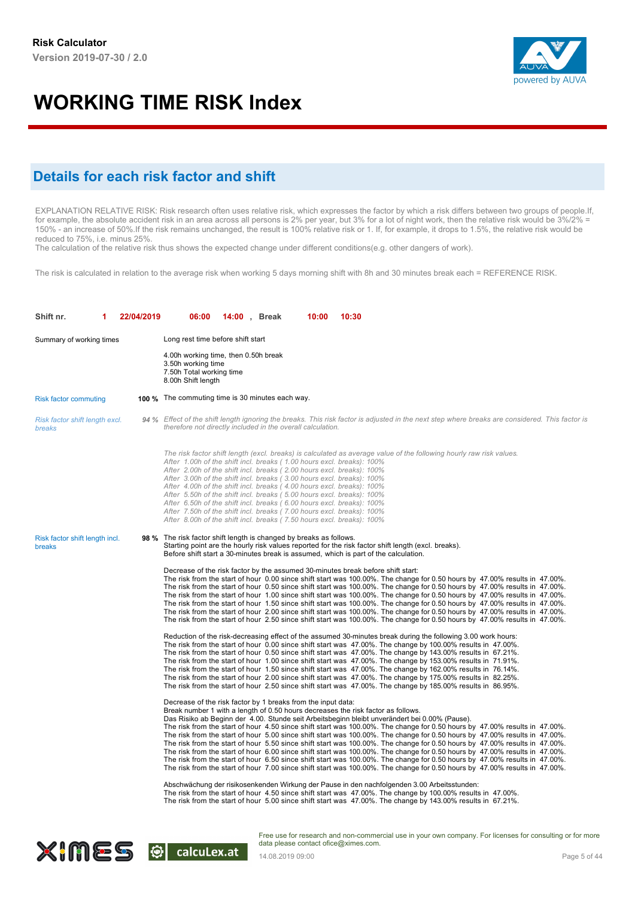

#### **Details for each risk factor and shift**

EXPLANATION RELATIVE RISK: Risk research often uses relative risk, which expresses the factor by which a risk differs between two groups of people.If, for example, the absolute accident risk in an area across all persons is 2% per year, but 3% for a lot of night work, then the relative risk would be 3%/2% = 150% - an increase of 50%.If the risk remains unchanged, the result is 100% relative risk or 1. If, for example, it drops to 1.5%, the relative risk would be reduced to 75%, i.e. minus 25%.

The calculation of the relative risk thus shows the expected change under different conditions(e.g. other dangers of work).

The risk is calculated in relation to the average risk when working 5 days morning shift with 8h and 30 minutes break each = REFERENCE RISK.

| Shift nr.                                | 22/04/2019 | 06:00<br><b>14:00</b> , Break<br>10:00<br>10:30                                                                                                                                                                                                                                                                                                                                                                                                                                                                                                                                                                                                                                                                                                                                                                                                                                                                                                                                                                                                                                                                                                                                                                                                                                                                                                                      |
|------------------------------------------|------------|----------------------------------------------------------------------------------------------------------------------------------------------------------------------------------------------------------------------------------------------------------------------------------------------------------------------------------------------------------------------------------------------------------------------------------------------------------------------------------------------------------------------------------------------------------------------------------------------------------------------------------------------------------------------------------------------------------------------------------------------------------------------------------------------------------------------------------------------------------------------------------------------------------------------------------------------------------------------------------------------------------------------------------------------------------------------------------------------------------------------------------------------------------------------------------------------------------------------------------------------------------------------------------------------------------------------------------------------------------------------|
| Summary of working times                 |            | Long rest time before shift start                                                                                                                                                                                                                                                                                                                                                                                                                                                                                                                                                                                                                                                                                                                                                                                                                                                                                                                                                                                                                                                                                                                                                                                                                                                                                                                                    |
|                                          |            | 4.00h working time, then 0.50h break<br>3.50h working time<br>7.50h Total working time<br>8.00h Shift length                                                                                                                                                                                                                                                                                                                                                                                                                                                                                                                                                                                                                                                                                                                                                                                                                                                                                                                                                                                                                                                                                                                                                                                                                                                         |
| <b>Risk factor commuting</b>             |            | 100 % The commuting time is 30 minutes each way.                                                                                                                                                                                                                                                                                                                                                                                                                                                                                                                                                                                                                                                                                                                                                                                                                                                                                                                                                                                                                                                                                                                                                                                                                                                                                                                     |
| Risk factor shift length excl.<br>breaks |            | 94 % Effect of the shift length ignoring the breaks. This risk factor is adjusted in the next step where breaks are considered. This factor is<br>therefore not directly included in the overall calculation.                                                                                                                                                                                                                                                                                                                                                                                                                                                                                                                                                                                                                                                                                                                                                                                                                                                                                                                                                                                                                                                                                                                                                        |
|                                          |            | The risk factor shift length (excl. breaks) is calculated as average value of the following hourly raw risk values.<br>After 1.00h of the shift incl. breaks (1.00 hours excl. breaks): 100%<br>After 2.00h of the shift incl. breaks (2.00 hours excl. breaks): 100%<br>After 3.00h of the shift incl. breaks (3.00 hours excl. breaks): 100%<br>After 4.00h of the shift incl. breaks (4.00 hours excl. breaks): 100%<br>After 5.50h of the shift incl. breaks (5.00 hours excl. breaks): 100%<br>After 6.50h of the shift incl. breaks (6.00 hours excl. breaks): 100%<br>After 7.50h of the shift incl. breaks (7.00 hours excl. breaks): 100%<br>After 8.00h of the shift incl. breaks (7.50 hours excl. breaks): 100%                                                                                                                                                                                                                                                                                                                                                                                                                                                                                                                                                                                                                                          |
| Risk factor shift length incl.<br>breaks |            | <b>98</b> % The risk factor shift length is changed by breaks as follows.<br>Starting point are the hourly risk values reported for the risk factor shift length (excl. breaks).<br>Before shift start a 30-minutes break is assumed, which is part of the calculation.                                                                                                                                                                                                                                                                                                                                                                                                                                                                                                                                                                                                                                                                                                                                                                                                                                                                                                                                                                                                                                                                                              |
|                                          |            | Decrease of the risk factor by the assumed 30-minutes break before shift start:<br>The risk from the start of hour 0.00 since shift start was 100.00%. The change for 0.50 hours by 47.00% results in 47.00%.<br>The risk from the start of hour 0.50 since shift start was 100.00%. The change for 0.50 hours by 47.00% results in 47.00%.<br>The risk from the start of hour 1.00 since shift start was 100.00%. The change for 0.50 hours by 47.00% results in 47.00%.<br>The risk from the start of hour 1.50 since shift start was 100.00%. The change for 0.50 hours by 47.00% results in 47.00%.<br>The risk from the start of hour 2.00 since shift start was 100.00%. The change for 0.50 hours by 47.00% results in 47.00%.<br>The risk from the start of hour 2.50 since shift start was 100.00%. The change for 0.50 hours by 47.00% results in 47.00%.                                                                                                                                                                                                                                                                                                                                                                                                                                                                                                  |
|                                          |            | Reduction of the risk-decreasing effect of the assumed 30-minutes break during the following 3.00 work hours:<br>The risk from the start of hour 0.00 since shift start was 47.00%. The change by 100.00% results in 47.00%.<br>The risk from the start of hour 0.50 since shift start was 47.00%. The change by 143.00% results in 67.21%.<br>The risk from the start of hour 1.00 since shift start was 47.00%. The change by 153.00% results in 71.91%.<br>The risk from the start of hour 1.50 since shift start was 47.00%. The change by 162.00% results in 76.14%.<br>The risk from the start of hour 2.00 since shift start was 47.00%. The change by 175.00% results in 82.25%.<br>The risk from the start of hour 2.50 since shift start was 47.00%. The change by 185.00% results in 86.95%.                                                                                                                                                                                                                                                                                                                                                                                                                                                                                                                                                              |
|                                          |            | Decrease of the risk factor by 1 breaks from the input data:<br>Break number 1 with a length of 0.50 hours decreases the risk factor as follows.<br>Das Risiko ab Beginn der 4.00. Stunde seit Arbeitsbeginn bleibt unverändert bei 0.00% (Pause).<br>The risk from the start of hour 4.50 since shift start was 100.00%. The change for 0.50 hours by 47.00% results in 47.00%.<br>The risk from the start of hour 5.00 since shift start was 100.00%. The change for 0.50 hours by 47.00% results in 47.00%.<br>The risk from the start of hour 5.50 since shift start was 100.00%. The change for 0.50 hours by 47.00% results in 47.00%.<br>The risk from the start of hour 6.00 since shift start was 100.00%. The change for 0.50 hours by 47.00% results in 47.00%.<br>The risk from the start of hour 6.50 since shift start was 100.00%. The change for 0.50 hours by 47.00% results in 47.00%.<br>The risk from the start of hour 7.00 since shift start was 100.00%. The change for 0.50 hours by 47.00% results in 47.00%.<br>Abschwächung der risikosenkenden Wirkung der Pause in den nachfolgenden 3.00 Arbeitsstunden:<br>The risk from the start of hour 4.50 since shift start was 47.00%. The change by 100.00% results in 47.00%.<br>The risk from the start of hour 5.00 since shift start was 47.00%. The change by 143.00% results in 67.21%. |

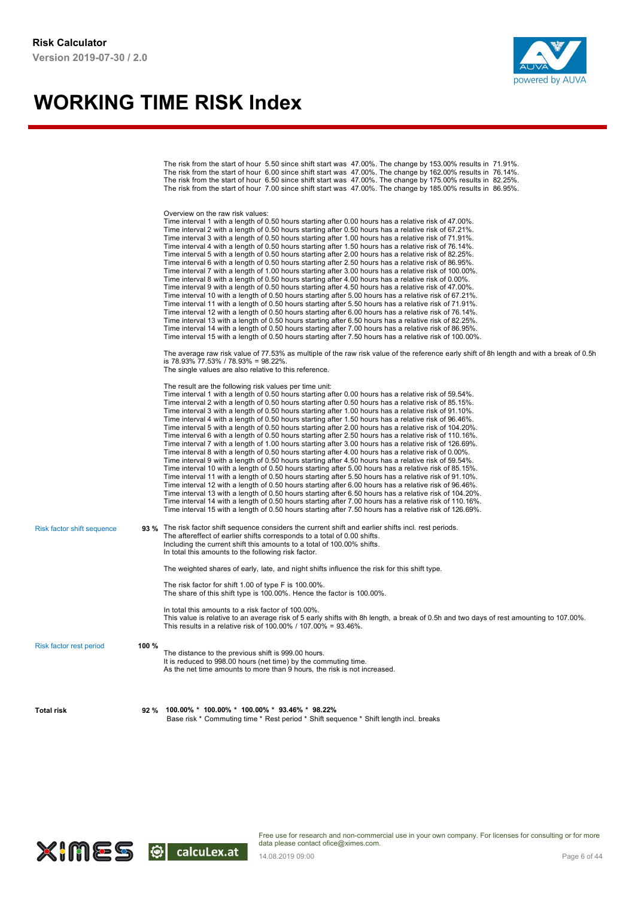

|                                |       | The risk from the start of hour 6.00 since shift start was 47.00%. The change by 162.00% results in 76.14%.<br>The risk from the start of hour 6.50 since shift start was 47.00%. The change by 175.00% results in 82.25%.<br>The risk from the start of hour 7.00 since shift start was 47.00%. The change by 185.00% results in 86.95%.                                                                                                                                                                                                                                                                                                                                                                                                                                                                                                                                                                                                                                                                                                                                                                                                                                                                                                                                                                                                                                                                                                                                                                                                                                                                                                                                                  |
|--------------------------------|-------|--------------------------------------------------------------------------------------------------------------------------------------------------------------------------------------------------------------------------------------------------------------------------------------------------------------------------------------------------------------------------------------------------------------------------------------------------------------------------------------------------------------------------------------------------------------------------------------------------------------------------------------------------------------------------------------------------------------------------------------------------------------------------------------------------------------------------------------------------------------------------------------------------------------------------------------------------------------------------------------------------------------------------------------------------------------------------------------------------------------------------------------------------------------------------------------------------------------------------------------------------------------------------------------------------------------------------------------------------------------------------------------------------------------------------------------------------------------------------------------------------------------------------------------------------------------------------------------------------------------------------------------------------------------------------------------------|
|                                |       | Overview on the raw risk values:<br>Time interval 1 with a length of 0.50 hours starting after 0.00 hours has a relative risk of 47.00%.<br>Time interval 2 with a length of 0.50 hours starting after 0.50 hours has a relative risk of 67.21%.<br>Time interval 3 with a length of 0.50 hours starting after 1.00 hours has a relative risk of 71.91%.<br>Time interval 4 with a length of 0.50 hours starting after 1.50 hours has a relative risk of 76.14%.<br>Time interval 5 with a length of 0.50 hours starting after 2.00 hours has a relative risk of 82.25%.<br>Time interval 6 with a length of 0.50 hours starting after 2.50 hours has a relative risk of 86.95%.<br>Time interval 7 with a length of 1.00 hours starting after 3.00 hours has a relative risk of 100.00%.<br>Time interval 8 with a length of 0.50 hours starting after 4.00 hours has a relative risk of 0.00%.<br>Time interval 9 with a length of 0.50 hours starting after 4.50 hours has a relative risk of 47.00%.<br>Time interval 10 with a length of 0.50 hours starting after 5.00 hours has a relative risk of 67.21%.<br>Time interval 11 with a length of 0.50 hours starting after 5.50 hours has a relative risk of 71.91%.<br>Time interval 12 with a length of 0.50 hours starting after 6.00 hours has a relative risk of 76.14%.<br>Time interval 13 with a length of 0.50 hours starting after 6.50 hours has a relative risk of 82.25%.<br>Time interval 14 with a length of 0.50 hours starting after 7.00 hours has a relative risk of 86.95%.<br>Time interval 15 with a length of 0.50 hours starting after 7.50 hours has a relative risk of 100.00%.                            |
|                                |       | The average raw risk value of 77.53% as multiple of the raw risk value of the reference early shift of 8h length and with a break of 0.5h<br>is 78.93% 77.53% / 78.93% = 98.22%.<br>The single values are also relative to this reference.                                                                                                                                                                                                                                                                                                                                                                                                                                                                                                                                                                                                                                                                                                                                                                                                                                                                                                                                                                                                                                                                                                                                                                                                                                                                                                                                                                                                                                                 |
|                                |       | The result are the following risk values per time unit:<br>Time interval 1 with a length of 0.50 hours starting after 0.00 hours has a relative risk of 59.54%.<br>Time interval 2 with a length of 0.50 hours starting after 0.50 hours has a relative risk of 85.15%.<br>Time interval 3 with a length of 0.50 hours starting after 1.00 hours has a relative risk of 91.10%.<br>Time interval 4 with a length of 0.50 hours starting after 1.50 hours has a relative risk of 96.46%.<br>Time interval 5 with a length of 0.50 hours starting after 2.00 hours has a relative risk of 104.20%.<br>Time interval 6 with a length of 0.50 hours starting after 2.50 hours has a relative risk of 110.16%.<br>Time interval 7 with a length of 1.00 hours starting after 3.00 hours has a relative risk of 126.69%.<br>Time interval 8 with a length of 0.50 hours starting after 4.00 hours has a relative risk of 0.00%.<br>Time interval 9 with a length of 0.50 hours starting after 4.50 hours has a relative risk of 59.54%.<br>Time interval 10 with a length of 0.50 hours starting after 5.00 hours has a relative risk of 85.15%.<br>Time interval 11 with a length of 0.50 hours starting after 5.50 hours has a relative risk of 91.10%.<br>Time interval 12 with a length of 0.50 hours starting after 6.00 hours has a relative risk of 96.46%.<br>Time interval 13 with a length of 0.50 hours starting after 6.50 hours has a relative risk of 104.20%.<br>Time interval 14 with a length of 0.50 hours starting after 7.00 hours has a relative risk of 110.16%.<br>Time interval 15 with a length of 0.50 hours starting after 7.50 hours has a relative risk of 126.69%. |
| Risk factor shift sequence     |       | 93 % The risk factor shift sequence considers the current shift and earlier shifts incl. rest periods.<br>The aftereffect of earlier shifts corresponds to a total of 0.00 shifts.<br>Including the current shift this amounts to a total of 100.00% shifts.<br>In total this amounts to the following risk factor.                                                                                                                                                                                                                                                                                                                                                                                                                                                                                                                                                                                                                                                                                                                                                                                                                                                                                                                                                                                                                                                                                                                                                                                                                                                                                                                                                                        |
|                                |       | The weighted shares of early, late, and night shifts influence the risk for this shift type.                                                                                                                                                                                                                                                                                                                                                                                                                                                                                                                                                                                                                                                                                                                                                                                                                                                                                                                                                                                                                                                                                                                                                                                                                                                                                                                                                                                                                                                                                                                                                                                               |
|                                |       | The risk factor for shift 1.00 of type F is 100.00%.<br>The share of this shift type is 100.00%. Hence the factor is 100.00%.                                                                                                                                                                                                                                                                                                                                                                                                                                                                                                                                                                                                                                                                                                                                                                                                                                                                                                                                                                                                                                                                                                                                                                                                                                                                                                                                                                                                                                                                                                                                                              |
|                                |       | In total this amounts to a risk factor of 100.00%.<br>This value is relative to an average risk of 5 early shifts with 8h length, a break of 0.5h and two days of rest amounting to 107.00%.<br>This results in a relative risk of 100.00% / 107.00% = 93.46%.                                                                                                                                                                                                                                                                                                                                                                                                                                                                                                                                                                                                                                                                                                                                                                                                                                                                                                                                                                                                                                                                                                                                                                                                                                                                                                                                                                                                                             |
| <b>Risk factor rest period</b> | 100 % | The distance to the previous shift is 999.00 hours.<br>It is reduced to 998.00 hours (net time) by the commuting time.<br>As the net time amounts to more than 9 hours, the risk is not increased.                                                                                                                                                                                                                                                                                                                                                                                                                                                                                                                                                                                                                                                                                                                                                                                                                                                                                                                                                                                                                                                                                                                                                                                                                                                                                                                                                                                                                                                                                         |
| Total risk                     | 92 %  | 100.00% * 100.00% * 100.00% * 93.46% * 98.22%<br>Base risk * Commuting time * Rest period * Shift sequence * Shift length incl. breaks                                                                                                                                                                                                                                                                                                                                                                                                                                                                                                                                                                                                                                                                                                                                                                                                                                                                                                                                                                                                                                                                                                                                                                                                                                                                                                                                                                                                                                                                                                                                                     |

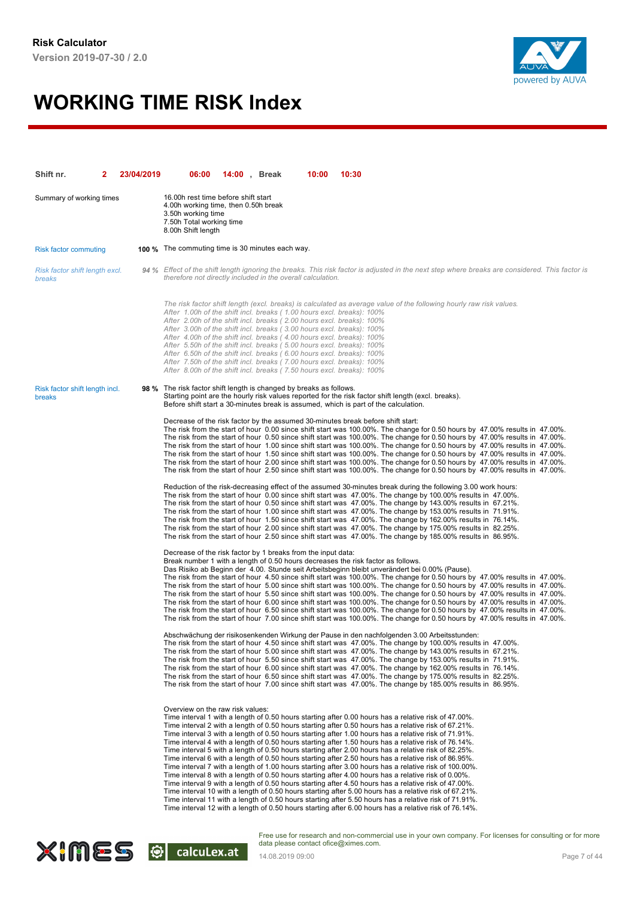

| Shift nr.                                | 23/04/2019 | 06:00                                                                                                                                                                                                                                                                                                                                                                                                                                                                                                                                                                                                | <b>14:00</b> , Break | 10:00 | 10:30                                                                                                                                                                                                                                                                                                                                                                                                                                                                                                                                                                                                                                                                                                                                                                                                                                                                                                                                                                                                                                                                                                                                                                                                                                                                                           |
|------------------------------------------|------------|------------------------------------------------------------------------------------------------------------------------------------------------------------------------------------------------------------------------------------------------------------------------------------------------------------------------------------------------------------------------------------------------------------------------------------------------------------------------------------------------------------------------------------------------------------------------------------------------------|----------------------|-------|-------------------------------------------------------------------------------------------------------------------------------------------------------------------------------------------------------------------------------------------------------------------------------------------------------------------------------------------------------------------------------------------------------------------------------------------------------------------------------------------------------------------------------------------------------------------------------------------------------------------------------------------------------------------------------------------------------------------------------------------------------------------------------------------------------------------------------------------------------------------------------------------------------------------------------------------------------------------------------------------------------------------------------------------------------------------------------------------------------------------------------------------------------------------------------------------------------------------------------------------------------------------------------------------------|
| Summary of working times                 |            | 16.00h rest time before shift start<br>4.00h working time, then 0.50h break<br>3.50h working time<br>7.50h Total working time<br>8.00h Shift length                                                                                                                                                                                                                                                                                                                                                                                                                                                  |                      |       |                                                                                                                                                                                                                                                                                                                                                                                                                                                                                                                                                                                                                                                                                                                                                                                                                                                                                                                                                                                                                                                                                                                                                                                                                                                                                                 |
| <b>Risk factor commuting</b>             |            | <b>100 %</b> The commuting time is 30 minutes each way.                                                                                                                                                                                                                                                                                                                                                                                                                                                                                                                                              |                      |       |                                                                                                                                                                                                                                                                                                                                                                                                                                                                                                                                                                                                                                                                                                                                                                                                                                                                                                                                                                                                                                                                                                                                                                                                                                                                                                 |
| Risk factor shift length excl.<br>breaks |            | therefore not directly included in the overall calculation.                                                                                                                                                                                                                                                                                                                                                                                                                                                                                                                                          |                      |       | 94 % Effect of the shift length ignoring the breaks. This risk factor is adjusted in the next step where breaks are considered. This factor is                                                                                                                                                                                                                                                                                                                                                                                                                                                                                                                                                                                                                                                                                                                                                                                                                                                                                                                                                                                                                                                                                                                                                  |
|                                          |            | After 1.00h of the shift incl. breaks (1.00 hours excl. breaks): 100%<br>After 2.00h of the shift incl. breaks (2.00 hours excl. breaks): 100%<br>After 3.00h of the shift incl. breaks (3.00 hours excl. breaks): 100%<br>After 4.00h of the shift incl. breaks (4.00 hours excl. breaks): 100%<br>After 5.50h of the shift incl. breaks (5.00 hours excl. breaks): 100%<br>After 6.50h of the shift incl. breaks (6.00 hours excl. breaks): 100%<br>After 7.50h of the shift incl. breaks (7.00 hours excl. breaks): 100%<br>After 8.00h of the shift incl. breaks (7.50 hours excl. breaks): 100% |                      |       | The risk factor shift length (excl. breaks) is calculated as average value of the following hourly raw risk values.                                                                                                                                                                                                                                                                                                                                                                                                                                                                                                                                                                                                                                                                                                                                                                                                                                                                                                                                                                                                                                                                                                                                                                             |
| Risk factor shift length incl.<br>breaks |            | 98 % The risk factor shift length is changed by breaks as follows.                                                                                                                                                                                                                                                                                                                                                                                                                                                                                                                                   |                      |       | Starting point are the hourly risk values reported for the risk factor shift length (excl. breaks).<br>Before shift start a 30-minutes break is assumed, which is part of the calculation.                                                                                                                                                                                                                                                                                                                                                                                                                                                                                                                                                                                                                                                                                                                                                                                                                                                                                                                                                                                                                                                                                                      |
|                                          |            |                                                                                                                                                                                                                                                                                                                                                                                                                                                                                                                                                                                                      |                      |       | Decrease of the risk factor by the assumed 30-minutes break before shift start:<br>The risk from the start of hour 0.00 since shift start was 100.00%. The change for 0.50 hours by 47.00% results in 47.00%.<br>The risk from the start of hour 0.50 since shift start was 100.00%. The change for 0.50 hours by 47.00% results in 47.00%.<br>The risk from the start of hour 1.00 since shift start was 100.00%. The change for 0.50 hours by 47.00% results in 47.00%.<br>The risk from the start of hour 1.50 since shift start was 100.00%. The change for 0.50 hours by 47.00% results in 47.00%.<br>The risk from the start of hour 2.00 since shift start was 100.00%. The change for 0.50 hours by 47.00% results in 47.00%.<br>The risk from the start of hour 2.50 since shift start was 100.00%. The change for 0.50 hours by 47.00% results in 47.00%.                                                                                                                                                                                                                                                                                                                                                                                                                             |
|                                          |            |                                                                                                                                                                                                                                                                                                                                                                                                                                                                                                                                                                                                      |                      |       | Reduction of the risk-decreasing effect of the assumed 30-minutes break during the following 3.00 work hours:<br>The risk from the start of hour 0.00 since shift start was 47.00%. The change by 100.00% results in 47.00%.<br>The risk from the start of hour 0.50 since shift start was 47.00%. The change by 143.00% results in 67.21%.<br>The risk from the start of hour 1.00 since shift start was 47.00%. The change by 153.00% results in 71.91%.<br>The risk from the start of hour 1.50 since shift start was 47.00%. The change by 162.00% results in 76.14%.<br>The risk from the start of hour 2.00 since shift start was 47.00%. The change by 175.00% results in 82.25%.<br>The risk from the start of hour 2.50 since shift start was 47.00%. The change by 185.00% results in 86.95%.                                                                                                                                                                                                                                                                                                                                                                                                                                                                                         |
|                                          |            | Decrease of the risk factor by 1 breaks from the input data:                                                                                                                                                                                                                                                                                                                                                                                                                                                                                                                                         |                      |       | Break number 1 with a length of 0.50 hours decreases the risk factor as follows.<br>Das Risiko ab Beginn der 4.00. Stunde seit Arbeitsbeginn bleibt unverändert bei 0.00% (Pause).<br>The risk from the start of hour 4.50 since shift start was 100.00%. The change for 0.50 hours by 47.00% results in 47.00%.<br>The risk from the start of hour 5.00 since shift start was 100.00%. The change for 0.50 hours by 47.00% results in 47.00%.<br>The risk from the start of hour 5.50 since shift start was 100.00%. The change for 0.50 hours by 47.00% results in 47.00%.<br>The risk from the start of hour 6.00 since shift start was 100.00%. The change for 0.50 hours by 47.00% results in 47.00%.<br>The risk from the start of hour 6.50 since shift start was 100.00%. The change for 0.50 hours by 47.00% results in 47.00%.<br>The risk from the start of hour 7.00 since shift start was 100.00%. The change for 0.50 hours by 47.00% results in 47.00%.                                                                                                                                                                                                                                                                                                                          |
|                                          |            |                                                                                                                                                                                                                                                                                                                                                                                                                                                                                                                                                                                                      |                      |       | Abschwächung der risikosenkenden Wirkung der Pause in den nachfolgenden 3.00 Arbeitsstunden:<br>The risk from the start of hour 4.50 since shift start was 47.00%. The change by 100.00% results in 47.00%.<br>The risk from the start of hour 5.00 since shift start was 47.00%. The change by 143.00% results in 67.21%.<br>The risk from the start of hour 5.50 since shift start was 47.00%. The change by 153.00% results in 71.91%.<br>The risk from the start of hour 6.00 since shift start was 47.00%. The change by 162.00% results in 76.14%.<br>The risk from the start of hour 6.50 since shift start was 47.00%. The change by 175.00% results in 82.25%.<br>The risk from the start of hour 7.00 since shift start was 47.00%. The change by 185.00% results in 86.95%.                                                                                                                                                                                                                                                                                                                                                                                                                                                                                                          |
|                                          |            | Overview on the raw risk values:                                                                                                                                                                                                                                                                                                                                                                                                                                                                                                                                                                     |                      |       | Time interval 1 with a length of 0.50 hours starting after 0.00 hours has a relative risk of 47.00%.<br>Time interval 2 with a length of 0.50 hours starting after 0.50 hours has a relative risk of 67.21%.<br>Time interval 3 with a length of 0.50 hours starting after 1.00 hours has a relative risk of 71.91%.<br>Time interval 4 with a length of 0.50 hours starting after 1.50 hours has a relative risk of 76.14%.<br>Time interval 5 with a length of 0.50 hours starting after 2.00 hours has a relative risk of 82.25%.<br>Time interval 6 with a length of 0.50 hours starting after 2.50 hours has a relative risk of 86.95%.<br>Time interval 7 with a length of 1.00 hours starting after 3.00 hours has a relative risk of 100.00%.<br>Time interval 8 with a length of 0.50 hours starting after 4.00 hours has a relative risk of 0.00%.<br>Time interval 9 with a length of 0.50 hours starting after 4.50 hours has a relative risk of 47.00%.<br>Time interval 10 with a length of 0.50 hours starting after 5.00 hours has a relative risk of 67.21%.<br>Time interval 11 with a length of 0.50 hours starting after 5.50 hours has a relative risk of 71.91%.<br>Time interval 12 with a length of 0.50 hours starting after 6.00 hours has a relative risk of 76.14%. |

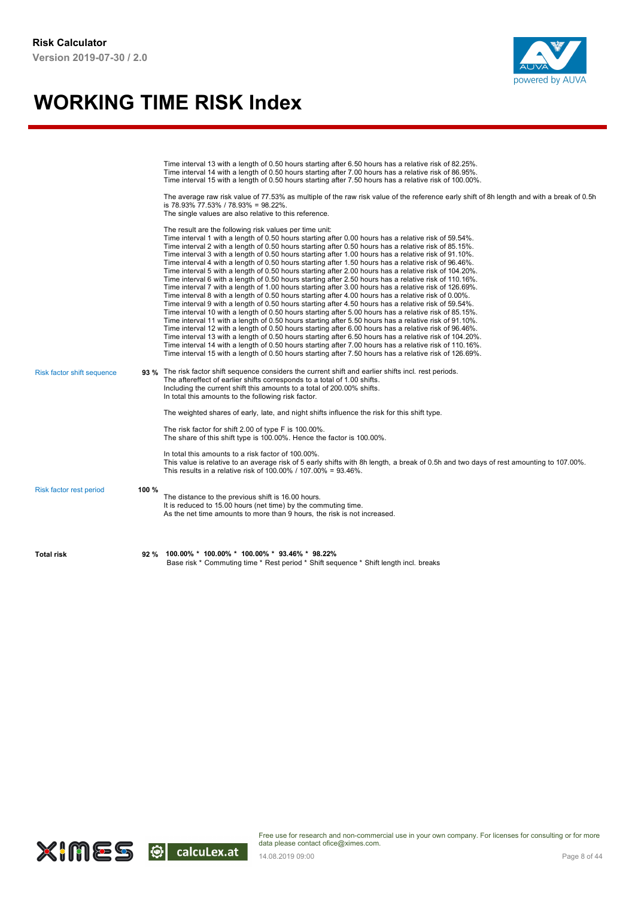

|                            |       | Time interval 13 with a length of 0.50 hours starting after 6.50 hours has a relative risk of 82.25%.<br>Time interval 14 with a length of 0.50 hours starting after 7.00 hours has a relative risk of 86.95%.<br>Time interval 15 with a length of 0.50 hours starting after 7.50 hours has a relative risk of 100.00%.<br>The average raw risk value of 77.53% as multiple of the raw risk value of the reference early shift of 8h length and with a break of 0.5h<br>is 78.93% 77.53% / 78.93% = 98.22%.<br>The single values are also relative to this reference.                                                                                                                                                                                                                                                                                                                                                                                                                                                                                                                                                                                                                                                                                                                                                                                                                                                                                                                                                                                                                                                                                                                     |
|----------------------------|-------|--------------------------------------------------------------------------------------------------------------------------------------------------------------------------------------------------------------------------------------------------------------------------------------------------------------------------------------------------------------------------------------------------------------------------------------------------------------------------------------------------------------------------------------------------------------------------------------------------------------------------------------------------------------------------------------------------------------------------------------------------------------------------------------------------------------------------------------------------------------------------------------------------------------------------------------------------------------------------------------------------------------------------------------------------------------------------------------------------------------------------------------------------------------------------------------------------------------------------------------------------------------------------------------------------------------------------------------------------------------------------------------------------------------------------------------------------------------------------------------------------------------------------------------------------------------------------------------------------------------------------------------------------------------------------------------------|
|                            |       | The result are the following risk values per time unit:<br>Time interval 1 with a length of 0.50 hours starting after 0.00 hours has a relative risk of 59.54%.<br>Time interval 2 with a length of 0.50 hours starting after 0.50 hours has a relative risk of 85.15%.<br>Time interval 3 with a length of 0.50 hours starting after 1.00 hours has a relative risk of 91.10%.<br>Time interval 4 with a length of 0.50 hours starting after 1.50 hours has a relative risk of 96.46%.<br>Time interval 5 with a length of 0.50 hours starting after 2.00 hours has a relative risk of 104.20%.<br>Time interval 6 with a length of 0.50 hours starting after 2.50 hours has a relative risk of 110.16%.<br>Time interval 7 with a length of 1.00 hours starting after 3.00 hours has a relative risk of 126.69%.<br>Time interval 8 with a length of 0.50 hours starting after 4.00 hours has a relative risk of 0.00%.<br>Time interval 9 with a length of 0.50 hours starting after 4.50 hours has a relative risk of 59.54%.<br>Time interval 10 with a length of 0.50 hours starting after 5.00 hours has a relative risk of 85.15%.<br>Time interval 11 with a length of 0.50 hours starting after 5.50 hours has a relative risk of 91.10%.<br>Time interval 12 with a length of 0.50 hours starting after 6.00 hours has a relative risk of 96.46%.<br>Time interval 13 with a length of 0.50 hours starting after 6.50 hours has a relative risk of 104.20%.<br>Time interval 14 with a length of 0.50 hours starting after 7.00 hours has a relative risk of 110.16%.<br>Time interval 15 with a length of 0.50 hours starting after 7.50 hours has a relative risk of 126.69%. |
| Risk factor shift sequence |       | 93 % The risk factor shift sequence considers the current shift and earlier shifts incl. rest periods.<br>The aftereffect of earlier shifts corresponds to a total of 1.00 shifts.<br>Including the current shift this amounts to a total of 200.00% shifts.<br>In total this amounts to the following risk factor.                                                                                                                                                                                                                                                                                                                                                                                                                                                                                                                                                                                                                                                                                                                                                                                                                                                                                                                                                                                                                                                                                                                                                                                                                                                                                                                                                                        |
|                            |       | The weighted shares of early, late, and night shifts influence the risk for this shift type.                                                                                                                                                                                                                                                                                                                                                                                                                                                                                                                                                                                                                                                                                                                                                                                                                                                                                                                                                                                                                                                                                                                                                                                                                                                                                                                                                                                                                                                                                                                                                                                               |
|                            |       | The risk factor for shift 2.00 of type F is 100.00%.<br>The share of this shift type is 100.00%. Hence the factor is 100.00%.                                                                                                                                                                                                                                                                                                                                                                                                                                                                                                                                                                                                                                                                                                                                                                                                                                                                                                                                                                                                                                                                                                                                                                                                                                                                                                                                                                                                                                                                                                                                                              |
|                            |       | In total this amounts to a risk factor of 100.00%.<br>This value is relative to an average risk of 5 early shifts with 8h length, a break of 0.5h and two days of rest amounting to 107.00%.<br>This results in a relative risk of 100,00% / 107,00% = 93,46%.                                                                                                                                                                                                                                                                                                                                                                                                                                                                                                                                                                                                                                                                                                                                                                                                                                                                                                                                                                                                                                                                                                                                                                                                                                                                                                                                                                                                                             |
| Risk factor rest period    | 100 % | The distance to the previous shift is 16.00 hours.<br>It is reduced to 15.00 hours (net time) by the commuting time.<br>As the net time amounts to more than 9 hours, the risk is not increased.                                                                                                                                                                                                                                                                                                                                                                                                                                                                                                                                                                                                                                                                                                                                                                                                                                                                                                                                                                                                                                                                                                                                                                                                                                                                                                                                                                                                                                                                                           |
| <b>Total risk</b>          | 92 %  | 100.00% * 100.00% * 100.00% * 93.46% * 98.22%<br>Base risk * Commuting time * Rest period * Shift sequence * Shift length incl. breaks                                                                                                                                                                                                                                                                                                                                                                                                                                                                                                                                                                                                                                                                                                                                                                                                                                                                                                                                                                                                                                                                                                                                                                                                                                                                                                                                                                                                                                                                                                                                                     |

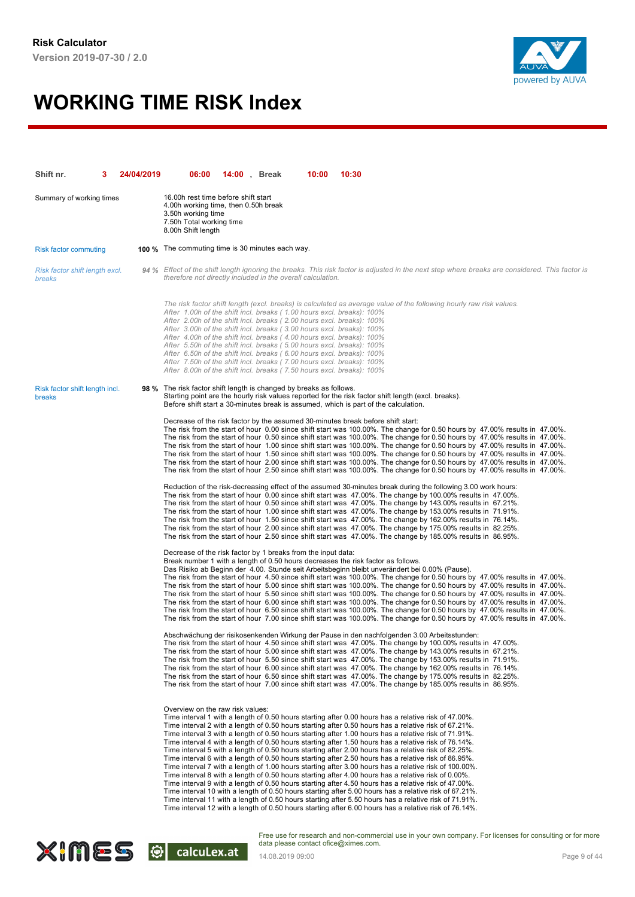

| Shift nr.                                | 24/04/2019 | 06:00                                                                                                                                                                                                                                                                                                                                                                                                                                                                                                                                                                                                | <b>14:00</b> , Break | 10:00 | 10:30                                                                                                                                                                                                                                                                                                                                                                                                                                                                                                                                                                                                                                                                                                                                                                                                                                                                                                                                                                                                                                                                                                                                                                                                                                                                                           |  |
|------------------------------------------|------------|------------------------------------------------------------------------------------------------------------------------------------------------------------------------------------------------------------------------------------------------------------------------------------------------------------------------------------------------------------------------------------------------------------------------------------------------------------------------------------------------------------------------------------------------------------------------------------------------------|----------------------|-------|-------------------------------------------------------------------------------------------------------------------------------------------------------------------------------------------------------------------------------------------------------------------------------------------------------------------------------------------------------------------------------------------------------------------------------------------------------------------------------------------------------------------------------------------------------------------------------------------------------------------------------------------------------------------------------------------------------------------------------------------------------------------------------------------------------------------------------------------------------------------------------------------------------------------------------------------------------------------------------------------------------------------------------------------------------------------------------------------------------------------------------------------------------------------------------------------------------------------------------------------------------------------------------------------------|--|
| Summary of working times                 |            | 16.00h rest time before shift start<br>4.00h working time, then 0.50h break<br>3.50h working time<br>7.50h Total working time<br>8.00h Shift length                                                                                                                                                                                                                                                                                                                                                                                                                                                  |                      |       |                                                                                                                                                                                                                                                                                                                                                                                                                                                                                                                                                                                                                                                                                                                                                                                                                                                                                                                                                                                                                                                                                                                                                                                                                                                                                                 |  |
| <b>Risk factor commuting</b>             |            | <b>100 %</b> The commuting time is 30 minutes each way.                                                                                                                                                                                                                                                                                                                                                                                                                                                                                                                                              |                      |       |                                                                                                                                                                                                                                                                                                                                                                                                                                                                                                                                                                                                                                                                                                                                                                                                                                                                                                                                                                                                                                                                                                                                                                                                                                                                                                 |  |
| Risk factor shift length excl.<br>breaks |            | therefore not directly included in the overall calculation.                                                                                                                                                                                                                                                                                                                                                                                                                                                                                                                                          |                      |       | 94 % Effect of the shift length ignoring the breaks. This risk factor is adjusted in the next step where breaks are considered. This factor is                                                                                                                                                                                                                                                                                                                                                                                                                                                                                                                                                                                                                                                                                                                                                                                                                                                                                                                                                                                                                                                                                                                                                  |  |
|                                          |            | After 1.00h of the shift incl. breaks (1.00 hours excl. breaks): 100%<br>After 2.00h of the shift incl. breaks (2.00 hours excl. breaks): 100%<br>After 3.00h of the shift incl. breaks (3.00 hours excl. breaks): 100%<br>After 4.00h of the shift incl. breaks (4.00 hours excl. breaks): 100%<br>After 5.50h of the shift incl. breaks (5.00 hours excl. breaks): 100%<br>After 6.50h of the shift incl. breaks (6.00 hours excl. breaks): 100%<br>After 7.50h of the shift incl. breaks (7.00 hours excl. breaks): 100%<br>After 8.00h of the shift incl. breaks (7.50 hours excl. breaks): 100% |                      |       | The risk factor shift length (excl. breaks) is calculated as average value of the following hourly raw risk values.                                                                                                                                                                                                                                                                                                                                                                                                                                                                                                                                                                                                                                                                                                                                                                                                                                                                                                                                                                                                                                                                                                                                                                             |  |
| Risk factor shift length incl.<br>breaks |            | 98 % The risk factor shift length is changed by breaks as follows.                                                                                                                                                                                                                                                                                                                                                                                                                                                                                                                                   |                      |       | Starting point are the hourly risk values reported for the risk factor shift length (excl. breaks).<br>Before shift start a 30-minutes break is assumed, which is part of the calculation.                                                                                                                                                                                                                                                                                                                                                                                                                                                                                                                                                                                                                                                                                                                                                                                                                                                                                                                                                                                                                                                                                                      |  |
|                                          |            |                                                                                                                                                                                                                                                                                                                                                                                                                                                                                                                                                                                                      |                      |       | Decrease of the risk factor by the assumed 30-minutes break before shift start:<br>The risk from the start of hour 0.00 since shift start was 100.00%. The change for 0.50 hours by 47.00% results in 47.00%.<br>The risk from the start of hour 0.50 since shift start was 100.00%. The change for 0.50 hours by 47.00% results in 47.00%.<br>The risk from the start of hour 1.00 since shift start was 100.00%. The change for 0.50 hours by 47.00% results in 47.00%.<br>The risk from the start of hour 1.50 since shift start was 100.00%. The change for 0.50 hours by 47.00% results in 47.00%.<br>The risk from the start of hour 2.00 since shift start was 100.00%. The change for 0.50 hours by 47.00% results in 47.00%.<br>The risk from the start of hour 2.50 since shift start was 100.00%. The change for 0.50 hours by 47.00% results in 47.00%.                                                                                                                                                                                                                                                                                                                                                                                                                             |  |
|                                          |            |                                                                                                                                                                                                                                                                                                                                                                                                                                                                                                                                                                                                      |                      |       | Reduction of the risk-decreasing effect of the assumed 30-minutes break during the following 3.00 work hours:<br>The risk from the start of hour 0.00 since shift start was 47.00%. The change by 100.00% results in 47.00%.<br>The risk from the start of hour 0.50 since shift start was 47.00%. The change by 143.00% results in 67.21%.<br>The risk from the start of hour 1.00 since shift start was 47.00%. The change by 153.00% results in 71.91%.<br>The risk from the start of hour 1.50 since shift start was 47.00%. The change by 162.00% results in 76.14%.<br>The risk from the start of hour 2.00 since shift start was 47.00%. The change by 175.00% results in 82.25%.<br>The risk from the start of hour 2.50 since shift start was 47.00%. The change by 185.00% results in 86.95%.                                                                                                                                                                                                                                                                                                                                                                                                                                                                                         |  |
|                                          |            | Decrease of the risk factor by 1 breaks from the input data:                                                                                                                                                                                                                                                                                                                                                                                                                                                                                                                                         |                      |       | Break number 1 with a length of 0.50 hours decreases the risk factor as follows.<br>Das Risiko ab Beginn der 4.00. Stunde seit Arbeitsbeginn bleibt unverändert bei 0.00% (Pause).<br>The risk from the start of hour 4.50 since shift start was 100.00%. The change for 0.50 hours by 47.00% results in 47.00%.<br>The risk from the start of hour 5.00 since shift start was 100.00%. The change for 0.50 hours by 47.00% results in 47.00%.<br>The risk from the start of hour 5.50 since shift start was 100.00%. The change for 0.50 hours by 47.00% results in 47.00%.<br>The risk from the start of hour 6.00 since shift start was 100.00%. The change for 0.50 hours by 47.00% results in 47.00%.<br>The risk from the start of hour 6.50 since shift start was 100.00%. The change for 0.50 hours by 47.00% results in 47.00%.<br>The risk from the start of hour 7.00 since shift start was 100.00%. The change for 0.50 hours by 47.00% results in 47.00%.                                                                                                                                                                                                                                                                                                                          |  |
|                                          |            |                                                                                                                                                                                                                                                                                                                                                                                                                                                                                                                                                                                                      |                      |       | Abschwächung der risikosenkenden Wirkung der Pause in den nachfolgenden 3.00 Arbeitsstunden:<br>The risk from the start of hour 4.50 since shift start was 47.00%. The change by 100.00% results in 47.00%.<br>The risk from the start of hour 5.00 since shift start was 47.00%. The change by 143.00% results in 67.21%.<br>The risk from the start of hour 5.50 since shift start was 47.00%. The change by 153.00% results in 71.91%.<br>The risk from the start of hour 6.00 since shift start was 47.00%. The change by 162.00% results in 76.14%.<br>The risk from the start of hour 6.50 since shift start was 47.00%. The change by 175.00% results in 82.25%.<br>The risk from the start of hour 7.00 since shift start was 47.00%. The change by 185.00% results in 86.95%.                                                                                                                                                                                                                                                                                                                                                                                                                                                                                                          |  |
|                                          |            | Overview on the raw risk values:                                                                                                                                                                                                                                                                                                                                                                                                                                                                                                                                                                     |                      |       | Time interval 1 with a length of 0.50 hours starting after 0.00 hours has a relative risk of 47.00%.<br>Time interval 2 with a length of 0.50 hours starting after 0.50 hours has a relative risk of 67.21%.<br>Time interval 3 with a length of 0.50 hours starting after 1.00 hours has a relative risk of 71.91%.<br>Time interval 4 with a length of 0.50 hours starting after 1.50 hours has a relative risk of 76.14%.<br>Time interval 5 with a length of 0.50 hours starting after 2.00 hours has a relative risk of 82.25%.<br>Time interval 6 with a length of 0.50 hours starting after 2.50 hours has a relative risk of 86.95%.<br>Time interval 7 with a length of 1.00 hours starting after 3.00 hours has a relative risk of 100.00%.<br>Time interval 8 with a length of 0.50 hours starting after 4.00 hours has a relative risk of 0.00%.<br>Time interval 9 with a length of 0.50 hours starting after 4.50 hours has a relative risk of 47.00%.<br>Time interval 10 with a length of 0.50 hours starting after 5.00 hours has a relative risk of 67.21%.<br>Time interval 11 with a length of 0.50 hours starting after 5.50 hours has a relative risk of 71.91%.<br>Time interval 12 with a length of 0.50 hours starting after 6.00 hours has a relative risk of 76.14%. |  |

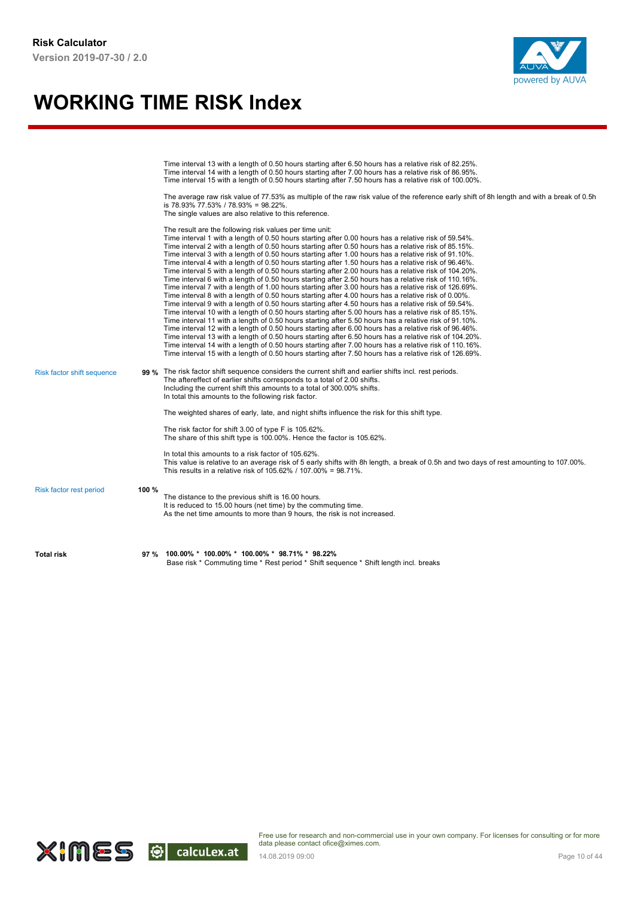

|                            |       | Time interval 13 with a length of 0.50 hours starting after 6.50 hours has a relative risk of 82.25%.<br>Time interval 14 with a length of 0.50 hours starting after 7.00 hours has a relative risk of 86.95%.<br>Time interval 15 with a length of 0.50 hours starting after 7.50 hours has a relative risk of 100.00%.<br>The average raw risk value of 77.53% as multiple of the raw risk value of the reference early shift of 8h length and with a break of 0.5h<br>is 78.93% 77.53% / 78.93% = 98.22%.<br>The single values are also relative to this reference.                                                                                                                                                                                                                                                                                                                                                                                                                                                                                                                                                                                                                                                                                                                                                                                                                                                                                                                                                                                                                                                                                                                     |
|----------------------------|-------|--------------------------------------------------------------------------------------------------------------------------------------------------------------------------------------------------------------------------------------------------------------------------------------------------------------------------------------------------------------------------------------------------------------------------------------------------------------------------------------------------------------------------------------------------------------------------------------------------------------------------------------------------------------------------------------------------------------------------------------------------------------------------------------------------------------------------------------------------------------------------------------------------------------------------------------------------------------------------------------------------------------------------------------------------------------------------------------------------------------------------------------------------------------------------------------------------------------------------------------------------------------------------------------------------------------------------------------------------------------------------------------------------------------------------------------------------------------------------------------------------------------------------------------------------------------------------------------------------------------------------------------------------------------------------------------------|
|                            |       | The result are the following risk values per time unit:<br>Time interval 1 with a length of 0.50 hours starting after 0.00 hours has a relative risk of 59.54%.<br>Time interval 2 with a length of 0.50 hours starting after 0.50 hours has a relative risk of 85.15%.<br>Time interval 3 with a length of 0.50 hours starting after 1.00 hours has a relative risk of 91.10%.<br>Time interval 4 with a length of 0.50 hours starting after 1.50 hours has a relative risk of 96.46%.<br>Time interval 5 with a length of 0.50 hours starting after 2.00 hours has a relative risk of 104.20%.<br>Time interval 6 with a length of 0.50 hours starting after 2.50 hours has a relative risk of 110.16%.<br>Time interval 7 with a length of 1.00 hours starting after 3.00 hours has a relative risk of 126.69%.<br>Time interval 8 with a length of 0.50 hours starting after 4.00 hours has a relative risk of 0.00%.<br>Time interval 9 with a length of 0.50 hours starting after 4.50 hours has a relative risk of 59.54%.<br>Time interval 10 with a length of 0.50 hours starting after 5.00 hours has a relative risk of 85.15%.<br>Time interval 11 with a length of 0.50 hours starting after 5.50 hours has a relative risk of 91.10%.<br>Time interval 12 with a length of 0.50 hours starting after 6.00 hours has a relative risk of 96.46%.<br>Time interval 13 with a length of 0.50 hours starting after 6.50 hours has a relative risk of 104.20%.<br>Time interval 14 with a length of 0.50 hours starting after 7.00 hours has a relative risk of 110.16%.<br>Time interval 15 with a length of 0.50 hours starting after 7.50 hours has a relative risk of 126.69%. |
| Risk factor shift sequence |       | 99 % The risk factor shift sequence considers the current shift and earlier shifts incl. rest periods.<br>The aftereffect of earlier shifts corresponds to a total of 2.00 shifts.<br>Including the current shift this amounts to a total of 300.00% shifts.<br>In total this amounts to the following risk factor.                                                                                                                                                                                                                                                                                                                                                                                                                                                                                                                                                                                                                                                                                                                                                                                                                                                                                                                                                                                                                                                                                                                                                                                                                                                                                                                                                                        |
|                            |       | The weighted shares of early, late, and night shifts influence the risk for this shift type.                                                                                                                                                                                                                                                                                                                                                                                                                                                                                                                                                                                                                                                                                                                                                                                                                                                                                                                                                                                                                                                                                                                                                                                                                                                                                                                                                                                                                                                                                                                                                                                               |
|                            |       | The risk factor for shift 3.00 of type F is 105.62%.<br>The share of this shift type is 100.00%. Hence the factor is 105.62%.                                                                                                                                                                                                                                                                                                                                                                                                                                                                                                                                                                                                                                                                                                                                                                                                                                                                                                                                                                                                                                                                                                                                                                                                                                                                                                                                                                                                                                                                                                                                                              |
|                            |       | In total this amounts to a risk factor of 105.62%.<br>This value is relative to an average risk of 5 early shifts with 8h length, a break of 0.5h and two days of rest amounting to 107.00%.<br>This results in a relative risk of 105.62% / 107.00% = 98.71%.                                                                                                                                                                                                                                                                                                                                                                                                                                                                                                                                                                                                                                                                                                                                                                                                                                                                                                                                                                                                                                                                                                                                                                                                                                                                                                                                                                                                                             |
| Risk factor rest period    | 100 % | The distance to the previous shift is 16.00 hours.<br>It is reduced to 15.00 hours (net time) by the commuting time.<br>As the net time amounts to more than 9 hours, the risk is not increased.                                                                                                                                                                                                                                                                                                                                                                                                                                                                                                                                                                                                                                                                                                                                                                                                                                                                                                                                                                                                                                                                                                                                                                                                                                                                                                                                                                                                                                                                                           |
| <b>Total risk</b>          | 97 %  | 100.00% * 100.00% * 100.00% * 98.71% * 98.22%<br>Base risk * Commuting time * Rest period * Shift sequence * Shift length incl. breaks                                                                                                                                                                                                                                                                                                                                                                                                                                                                                                                                                                                                                                                                                                                                                                                                                                                                                                                                                                                                                                                                                                                                                                                                                                                                                                                                                                                                                                                                                                                                                     |

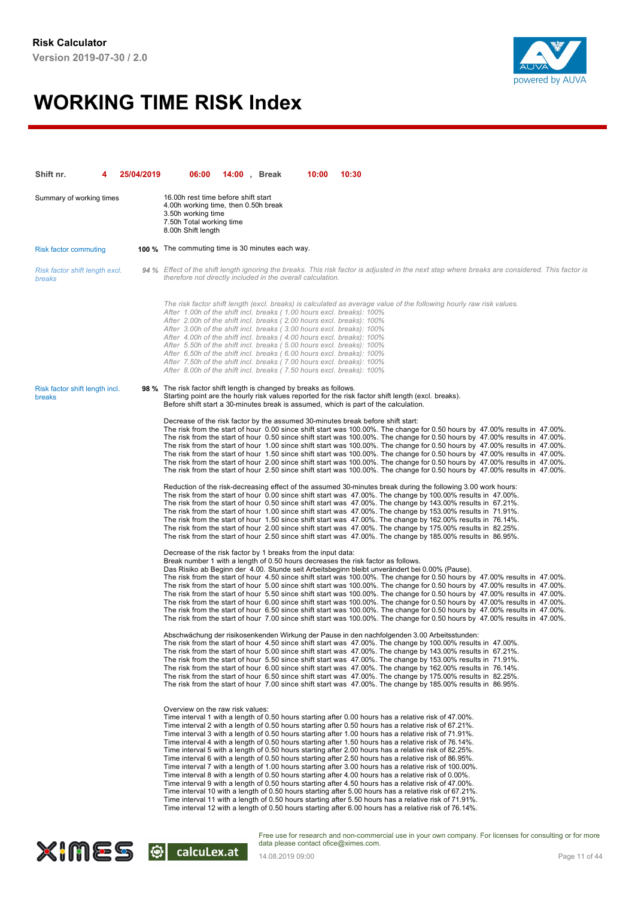

| Shift nr.                                | 25/04/2019 | 06:00                                                                                                                                                                                                                                                                                                                                                                                                                                                                                                                                                                                                | <b>14:00</b> , Break | 10:00 | 10:30                                                                                                                                                                                                                                                                                                                                                                                                                                                                                                                                                                                                                                                                                                                                                                                                                                                                                                                                                                                                                                                                                                                                                                                                                                                                                           |
|------------------------------------------|------------|------------------------------------------------------------------------------------------------------------------------------------------------------------------------------------------------------------------------------------------------------------------------------------------------------------------------------------------------------------------------------------------------------------------------------------------------------------------------------------------------------------------------------------------------------------------------------------------------------|----------------------|-------|-------------------------------------------------------------------------------------------------------------------------------------------------------------------------------------------------------------------------------------------------------------------------------------------------------------------------------------------------------------------------------------------------------------------------------------------------------------------------------------------------------------------------------------------------------------------------------------------------------------------------------------------------------------------------------------------------------------------------------------------------------------------------------------------------------------------------------------------------------------------------------------------------------------------------------------------------------------------------------------------------------------------------------------------------------------------------------------------------------------------------------------------------------------------------------------------------------------------------------------------------------------------------------------------------|
| Summary of working times                 |            | 16.00h rest time before shift start<br>4.00h working time, then 0.50h break<br>3.50h working time<br>7.50h Total working time<br>8.00h Shift length                                                                                                                                                                                                                                                                                                                                                                                                                                                  |                      |       |                                                                                                                                                                                                                                                                                                                                                                                                                                                                                                                                                                                                                                                                                                                                                                                                                                                                                                                                                                                                                                                                                                                                                                                                                                                                                                 |
| <b>Risk factor commuting</b>             |            | <b>100 %</b> The commuting time is 30 minutes each way.                                                                                                                                                                                                                                                                                                                                                                                                                                                                                                                                              |                      |       |                                                                                                                                                                                                                                                                                                                                                                                                                                                                                                                                                                                                                                                                                                                                                                                                                                                                                                                                                                                                                                                                                                                                                                                                                                                                                                 |
| Risk factor shift length excl.<br>breaks |            | therefore not directly included in the overall calculation.                                                                                                                                                                                                                                                                                                                                                                                                                                                                                                                                          |                      |       | 94 % Effect of the shift length ignoring the breaks. This risk factor is adjusted in the next step where breaks are considered. This factor is                                                                                                                                                                                                                                                                                                                                                                                                                                                                                                                                                                                                                                                                                                                                                                                                                                                                                                                                                                                                                                                                                                                                                  |
|                                          |            | After 1.00h of the shift incl. breaks (1.00 hours excl. breaks): 100%<br>After 2.00h of the shift incl. breaks (2.00 hours excl. breaks): 100%<br>After 3.00h of the shift incl. breaks (3.00 hours excl. breaks): 100%<br>After 4.00h of the shift incl. breaks (4.00 hours excl. breaks): 100%<br>After 5.50h of the shift incl. breaks (5.00 hours excl. breaks): 100%<br>After 6.50h of the shift incl. breaks (6.00 hours excl. breaks): 100%<br>After 7.50h of the shift incl. breaks (7.00 hours excl. breaks): 100%<br>After 8.00h of the shift incl. breaks (7.50 hours excl. breaks): 100% |                      |       | The risk factor shift length (excl. breaks) is calculated as average value of the following hourly raw risk values.                                                                                                                                                                                                                                                                                                                                                                                                                                                                                                                                                                                                                                                                                                                                                                                                                                                                                                                                                                                                                                                                                                                                                                             |
| Risk factor shift length incl.<br>breaks |            | 98 % The risk factor shift length is changed by breaks as follows.                                                                                                                                                                                                                                                                                                                                                                                                                                                                                                                                   |                      |       | Starting point are the hourly risk values reported for the risk factor shift length (excl. breaks).<br>Before shift start a 30-minutes break is assumed, which is part of the calculation.                                                                                                                                                                                                                                                                                                                                                                                                                                                                                                                                                                                                                                                                                                                                                                                                                                                                                                                                                                                                                                                                                                      |
|                                          |            |                                                                                                                                                                                                                                                                                                                                                                                                                                                                                                                                                                                                      |                      |       | Decrease of the risk factor by the assumed 30-minutes break before shift start:<br>The risk from the start of hour 0.00 since shift start was 100.00%. The change for 0.50 hours by 47.00% results in 47.00%.<br>The risk from the start of hour 0.50 since shift start was 100.00%. The change for 0.50 hours by 47.00% results in 47.00%.<br>The risk from the start of hour 1.00 since shift start was 100.00%. The change for 0.50 hours by 47.00% results in 47.00%.<br>The risk from the start of hour 1.50 since shift start was 100.00%. The change for 0.50 hours by 47.00% results in 47.00%.<br>The risk from the start of hour 2.00 since shift start was 100.00%. The change for 0.50 hours by 47.00% results in 47.00%.<br>The risk from the start of hour 2.50 since shift start was 100.00%. The change for 0.50 hours by 47.00% results in 47.00%.                                                                                                                                                                                                                                                                                                                                                                                                                             |
|                                          |            |                                                                                                                                                                                                                                                                                                                                                                                                                                                                                                                                                                                                      |                      |       | Reduction of the risk-decreasing effect of the assumed 30-minutes break during the following 3.00 work hours:<br>The risk from the start of hour 0.00 since shift start was 47.00%. The change by 100.00% results in 47.00%.<br>The risk from the start of hour 0.50 since shift start was 47.00%. The change by 143.00% results in 67.21%.<br>The risk from the start of hour 1.00 since shift start was 47.00%. The change by 153.00% results in 71.91%.<br>The risk from the start of hour 1.50 since shift start was 47.00%. The change by 162.00% results in 76.14%.<br>The risk from the start of hour 2.00 since shift start was 47.00%. The change by 175.00% results in 82.25%.<br>The risk from the start of hour 2.50 since shift start was 47.00%. The change by 185.00% results in 86.95%.                                                                                                                                                                                                                                                                                                                                                                                                                                                                                         |
|                                          |            | Decrease of the risk factor by 1 breaks from the input data:                                                                                                                                                                                                                                                                                                                                                                                                                                                                                                                                         |                      |       | Break number 1 with a length of 0.50 hours decreases the risk factor as follows.<br>Das Risiko ab Beginn der 4.00. Stunde seit Arbeitsbeginn bleibt unverändert bei 0.00% (Pause).<br>The risk from the start of hour 4.50 since shift start was 100.00%. The change for 0.50 hours by 47.00% results in 47.00%.<br>The risk from the start of hour 5.00 since shift start was 100.00%. The change for 0.50 hours by 47.00% results in 47.00%.<br>The risk from the start of hour 5.50 since shift start was 100.00%. The change for 0.50 hours by 47.00% results in 47.00%.<br>The risk from the start of hour 6.00 since shift start was 100.00%. The change for 0.50 hours by 47.00% results in 47.00%.<br>The risk from the start of hour 6.50 since shift start was 100.00%. The change for 0.50 hours by 47.00% results in 47.00%.<br>The risk from the start of hour 7.00 since shift start was 100.00%. The change for 0.50 hours by 47.00% results in 47.00%.                                                                                                                                                                                                                                                                                                                          |
|                                          |            |                                                                                                                                                                                                                                                                                                                                                                                                                                                                                                                                                                                                      |                      |       | Abschwächung der risikosenkenden Wirkung der Pause in den nachfolgenden 3.00 Arbeitsstunden:<br>The risk from the start of hour 4.50 since shift start was 47.00%. The change by 100.00% results in 47.00%.<br>The risk from the start of hour 5.00 since shift start was 47.00%. The change by 143.00% results in 67.21%.<br>The risk from the start of hour 5.50 since shift start was 47.00%. The change by 153.00% results in 71.91%.<br>The risk from the start of hour 6.00 since shift start was 47.00%. The change by 162.00% results in 76.14%.<br>The risk from the start of hour 6.50 since shift start was 47.00%. The change by 175.00% results in 82.25%.<br>The risk from the start of hour 7.00 since shift start was 47.00%. The change by 185.00% results in 86.95%.                                                                                                                                                                                                                                                                                                                                                                                                                                                                                                          |
|                                          |            | Overview on the raw risk values:                                                                                                                                                                                                                                                                                                                                                                                                                                                                                                                                                                     |                      |       | Time interval 1 with a length of 0.50 hours starting after 0.00 hours has a relative risk of 47.00%.<br>Time interval 2 with a length of 0.50 hours starting after 0.50 hours has a relative risk of 67.21%.<br>Time interval 3 with a length of 0.50 hours starting after 1.00 hours has a relative risk of 71.91%.<br>Time interval 4 with a length of 0.50 hours starting after 1.50 hours has a relative risk of 76.14%.<br>Time interval 5 with a length of 0.50 hours starting after 2.00 hours has a relative risk of 82.25%.<br>Time interval 6 with a length of 0.50 hours starting after 2.50 hours has a relative risk of 86.95%.<br>Time interval 7 with a length of 1.00 hours starting after 3.00 hours has a relative risk of 100.00%.<br>Time interval 8 with a length of 0.50 hours starting after 4.00 hours has a relative risk of 0.00%.<br>Time interval 9 with a length of 0.50 hours starting after 4.50 hours has a relative risk of 47.00%.<br>Time interval 10 with a length of 0.50 hours starting after 5.00 hours has a relative risk of 67.21%.<br>Time interval 11 with a length of 0.50 hours starting after 5.50 hours has a relative risk of 71.91%.<br>Time interval 12 with a length of 0.50 hours starting after 6.00 hours has a relative risk of 76.14%. |

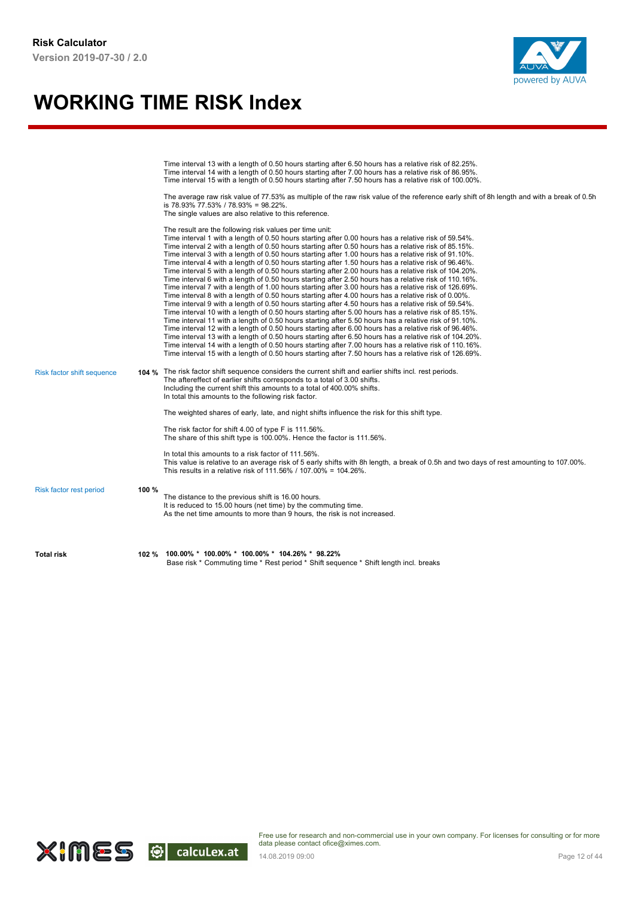

|                            |       | Time interval 13 with a length of 0.50 hours starting after 6.50 hours has a relative risk of 82.25%.<br>Time interval 14 with a length of 0.50 hours starting after 7.00 hours has a relative risk of 86.95%.<br>Time interval 15 with a length of 0.50 hours starting after 7.50 hours has a relative risk of 100.00%.<br>The average raw risk value of 77.53% as multiple of the raw risk value of the reference early shift of 8h length and with a break of 0.5h<br>is 78.93% 77.53% / 78.93% = 98.22%.<br>The single values are also relative to this reference.                                                                                                                                                                                                                                                                                                                                                                                                                                                                                                                                                                                                                                                                                                                                                                                                                                                                                                                                                                                                                                                                                                                     |
|----------------------------|-------|--------------------------------------------------------------------------------------------------------------------------------------------------------------------------------------------------------------------------------------------------------------------------------------------------------------------------------------------------------------------------------------------------------------------------------------------------------------------------------------------------------------------------------------------------------------------------------------------------------------------------------------------------------------------------------------------------------------------------------------------------------------------------------------------------------------------------------------------------------------------------------------------------------------------------------------------------------------------------------------------------------------------------------------------------------------------------------------------------------------------------------------------------------------------------------------------------------------------------------------------------------------------------------------------------------------------------------------------------------------------------------------------------------------------------------------------------------------------------------------------------------------------------------------------------------------------------------------------------------------------------------------------------------------------------------------------|
|                            |       | The result are the following risk values per time unit:<br>Time interval 1 with a length of 0.50 hours starting after 0.00 hours has a relative risk of 59.54%.<br>Time interval 2 with a length of 0.50 hours starting after 0.50 hours has a relative risk of 85.15%.<br>Time interval 3 with a length of 0.50 hours starting after 1.00 hours has a relative risk of 91.10%.<br>Time interval 4 with a length of 0.50 hours starting after 1.50 hours has a relative risk of 96.46%.<br>Time interval 5 with a length of 0.50 hours starting after 2.00 hours has a relative risk of 104.20%.<br>Time interval 6 with a length of 0.50 hours starting after 2.50 hours has a relative risk of 110.16%.<br>Time interval 7 with a length of 1.00 hours starting after 3.00 hours has a relative risk of 126.69%.<br>Time interval 8 with a length of 0.50 hours starting after 4.00 hours has a relative risk of 0.00%.<br>Time interval 9 with a length of 0.50 hours starting after 4.50 hours has a relative risk of 59.54%.<br>Time interval 10 with a length of 0.50 hours starting after 5.00 hours has a relative risk of 85.15%.<br>Time interval 11 with a length of 0.50 hours starting after 5.50 hours has a relative risk of 91.10%.<br>Time interval 12 with a length of 0.50 hours starting after 6.00 hours has a relative risk of 96.46%.<br>Time interval 13 with a length of 0.50 hours starting after 6.50 hours has a relative risk of 104.20%.<br>Time interval 14 with a length of 0.50 hours starting after 7.00 hours has a relative risk of 110.16%.<br>Time interval 15 with a length of 0.50 hours starting after 7.50 hours has a relative risk of 126.69%. |
| Risk factor shift sequence |       | 104 % The risk factor shift sequence considers the current shift and earlier shifts incl. rest periods.<br>The aftereffect of earlier shifts corresponds to a total of 3.00 shifts.<br>Including the current shift this amounts to a total of 400.00% shifts.<br>In total this amounts to the following risk factor.                                                                                                                                                                                                                                                                                                                                                                                                                                                                                                                                                                                                                                                                                                                                                                                                                                                                                                                                                                                                                                                                                                                                                                                                                                                                                                                                                                       |
|                            |       | The weighted shares of early, late, and night shifts influence the risk for this shift type.                                                                                                                                                                                                                                                                                                                                                                                                                                                                                                                                                                                                                                                                                                                                                                                                                                                                                                                                                                                                                                                                                                                                                                                                                                                                                                                                                                                                                                                                                                                                                                                               |
|                            |       | The risk factor for shift 4.00 of type F is 111.56%.<br>The share of this shift type is 100.00%. Hence the factor is 111.56%.                                                                                                                                                                                                                                                                                                                                                                                                                                                                                                                                                                                                                                                                                                                                                                                                                                                                                                                                                                                                                                                                                                                                                                                                                                                                                                                                                                                                                                                                                                                                                              |
|                            |       | In total this amounts to a risk factor of 111.56%.<br>This value is relative to an average risk of 5 early shifts with 8h length, a break of 0.5h and two days of rest amounting to 107.00%.<br>This results in a relative risk of 111.56% / 107.00% = 104.26%.                                                                                                                                                                                                                                                                                                                                                                                                                                                                                                                                                                                                                                                                                                                                                                                                                                                                                                                                                                                                                                                                                                                                                                                                                                                                                                                                                                                                                            |
| Risk factor rest period    | 100 % | The distance to the previous shift is 16.00 hours.<br>It is reduced to 15.00 hours (net time) by the commuting time.<br>As the net time amounts to more than 9 hours, the risk is not increased.                                                                                                                                                                                                                                                                                                                                                                                                                                                                                                                                                                                                                                                                                                                                                                                                                                                                                                                                                                                                                                                                                                                                                                                                                                                                                                                                                                                                                                                                                           |
| <b>Total risk</b>          | 102 % | 100.00% * 100.00% * 100.00% * 104.26% * 98.22%<br>Base risk * Commuting time * Rest period * Shift sequence * Shift length incl. breaks                                                                                                                                                                                                                                                                                                                                                                                                                                                                                                                                                                                                                                                                                                                                                                                                                                                                                                                                                                                                                                                                                                                                                                                                                                                                                                                                                                                                                                                                                                                                                    |

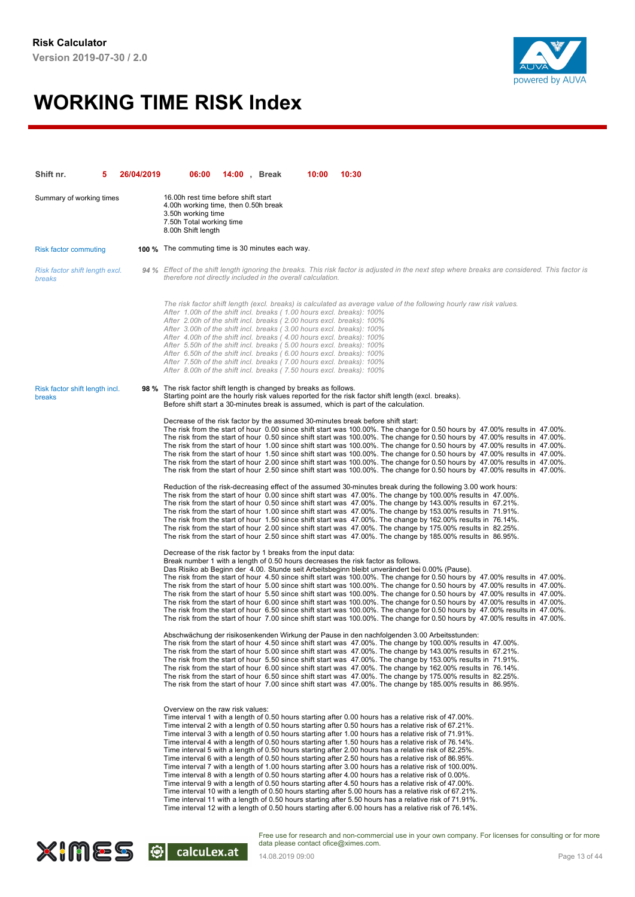

| Shift nr.                                       | 26/04/2019 | 06:00                                                                                                                                                                                                                                                                                                                                                                                                                                                                                                                                                                                                                                                                                                                                                                                                                                                                                                                                                                                                                                                                                                                                                                                                                                                                                                                               | <b>14:00</b> , Break | 10:00 | 10:30 |  |  |
|-------------------------------------------------|------------|-------------------------------------------------------------------------------------------------------------------------------------------------------------------------------------------------------------------------------------------------------------------------------------------------------------------------------------------------------------------------------------------------------------------------------------------------------------------------------------------------------------------------------------------------------------------------------------------------------------------------------------------------------------------------------------------------------------------------------------------------------------------------------------------------------------------------------------------------------------------------------------------------------------------------------------------------------------------------------------------------------------------------------------------------------------------------------------------------------------------------------------------------------------------------------------------------------------------------------------------------------------------------------------------------------------------------------------|----------------------|-------|-------|--|--|
| Summary of working times                        |            | 16.00h rest time before shift start<br>4.00h working time, then 0.50h break<br>3.50h working time<br>7.50h Total working time<br>8.00h Shift length                                                                                                                                                                                                                                                                                                                                                                                                                                                                                                                                                                                                                                                                                                                                                                                                                                                                                                                                                                                                                                                                                                                                                                                 |                      |       |       |  |  |
| <b>Risk factor commuting</b>                    |            | <b>100 %</b> The commuting time is 30 minutes each way.                                                                                                                                                                                                                                                                                                                                                                                                                                                                                                                                                                                                                                                                                                                                                                                                                                                                                                                                                                                                                                                                                                                                                                                                                                                                             |                      |       |       |  |  |
| Risk factor shift length excl.<br>breaks        |            | 94 % Effect of the shift length ignoring the breaks. This risk factor is adjusted in the next step where breaks are considered. This factor is<br>therefore not directly included in the overall calculation.                                                                                                                                                                                                                                                                                                                                                                                                                                                                                                                                                                                                                                                                                                                                                                                                                                                                                                                                                                                                                                                                                                                       |                      |       |       |  |  |
|                                                 |            | The risk factor shift length (excl. breaks) is calculated as average value of the following hourly raw risk values.<br>After 1.00h of the shift incl. breaks (1.00 hours excl. breaks): 100%<br>After 2.00h of the shift incl. breaks (2.00 hours excl. breaks): 100%<br>After 3.00h of the shift incl. breaks (3.00 hours excl. breaks): 100%<br>After 4.00h of the shift incl. breaks (4.00 hours excl. breaks): 100%<br>After 5.50h of the shift incl. breaks (5.00 hours excl. breaks): 100%<br>After 6.50h of the shift incl. breaks (6.00 hours excl. breaks): 100%<br>After 7.50h of the shift incl. breaks (7.00 hours excl. breaks): 100%<br>After 8.00h of the shift incl. breaks (7.50 hours excl. breaks): 100%                                                                                                                                                                                                                                                                                                                                                                                                                                                                                                                                                                                                         |                      |       |       |  |  |
| Risk factor shift length incl.<br><b>breaks</b> |            | 98 % The risk factor shift length is changed by breaks as follows.<br>Starting point are the hourly risk values reported for the risk factor shift length (excl. breaks).<br>Before shift start a 30-minutes break is assumed, which is part of the calculation.                                                                                                                                                                                                                                                                                                                                                                                                                                                                                                                                                                                                                                                                                                                                                                                                                                                                                                                                                                                                                                                                    |                      |       |       |  |  |
|                                                 |            | Decrease of the risk factor by the assumed 30-minutes break before shift start:<br>The risk from the start of hour 0.00 since shift start was 100.00%. The change for 0.50 hours by 47.00% results in 47.00%.<br>The risk from the start of hour 0.50 since shift start was 100.00%. The change for 0.50 hours by 47.00% results in 47.00%.<br>The risk from the start of hour 1.00 since shift start was 100.00%. The change for 0.50 hours by 47.00% results in 47.00%.<br>The risk from the start of hour 1.50 since shift start was 100.00%. The change for 0.50 hours by 47.00% results in 47.00%.<br>The risk from the start of hour 2.00 since shift start was 100.00%. The change for 0.50 hours by 47.00% results in 47.00%.<br>The risk from the start of hour 2.50 since shift start was 100.00%. The change for 0.50 hours by 47.00% results in 47.00%.                                                                                                                                                                                                                                                                                                                                                                                                                                                                 |                      |       |       |  |  |
|                                                 |            | Reduction of the risk-decreasing effect of the assumed 30-minutes break during the following 3.00 work hours:<br>The risk from the start of hour 0.00 since shift start was 47.00%. The change by 100.00% results in 47.00%.<br>The risk from the start of hour 0.50 since shift start was 47.00%. The change by 143.00% results in 67.21%.<br>The risk from the start of hour 1.00 since shift start was 47.00%. The change by 153.00% results in 71.91%.<br>The risk from the start of hour 1.50 since shift start was 47.00%. The change by 162.00% results in 76.14%.<br>The risk from the start of hour 2.00 since shift start was 47.00%. The change by 175.00% results in 82.25%.<br>The risk from the start of hour 2.50 since shift start was 47.00%. The change by 185.00% results in 86.95%.                                                                                                                                                                                                                                                                                                                                                                                                                                                                                                                             |                      |       |       |  |  |
|                                                 |            | Decrease of the risk factor by 1 breaks from the input data:<br>Break number 1 with a length of 0.50 hours decreases the risk factor as follows.<br>Das Risiko ab Beginn der 4.00. Stunde seit Arbeitsbeginn bleibt unverändert bei 0.00% (Pause).<br>The risk from the start of hour 4.50 since shift start was 100.00%. The change for 0.50 hours by 47.00% results in 47.00%.<br>The risk from the start of hour 5.00 since shift start was 100.00%. The change for 0.50 hours by 47.00% results in 47.00%.<br>The risk from the start of hour 5.50 since shift start was 100.00%. The change for 0.50 hours by 47.00% results in 47.00%.<br>The risk from the start of hour 6.00 since shift start was 100.00%. The change for 0.50 hours by 47.00% results in 47.00%.<br>The risk from the start of hour 6.50 since shift start was 100.00%. The change for 0.50 hours by 47.00% results in 47.00%.<br>The risk from the start of hour 7.00 since shift start was 100.00%. The change for 0.50 hours by 47.00% results in 47.00%.                                                                                                                                                                                                                                                                                              |                      |       |       |  |  |
|                                                 |            | Abschwächung der risikosenkenden Wirkung der Pause in den nachfolgenden 3.00 Arbeitsstunden:<br>The risk from the start of hour 4.50 since shift start was 47.00%. The change by 100.00% results in 47.00%.<br>The risk from the start of hour 5.00 since shift start was 47.00%. The change by 143.00% results in 67.21%.<br>The risk from the start of hour 5.50 since shift start was 47.00%. The change by 153.00% results in 71.91%.<br>The risk from the start of hour 6.00 since shift start was 47.00%. The change by 162.00% results in 76.14%.<br>The risk from the start of hour 6.50 since shift start was 47.00%. The change by 175.00% results in 82.25%.<br>The risk from the start of hour 7.00 since shift start was 47.00%. The change by 185.00% results in 86.95%.                                                                                                                                                                                                                                                                                                                                                                                                                                                                                                                                              |                      |       |       |  |  |
|                                                 |            | Overview on the raw risk values:<br>Time interval 1 with a length of 0.50 hours starting after 0.00 hours has a relative risk of 47.00%.<br>Time interval 2 with a length of 0.50 hours starting after 0.50 hours has a relative risk of 67.21%.<br>Time interval 3 with a length of 0.50 hours starting after 1.00 hours has a relative risk of 71.91%.<br>Time interval 4 with a length of 0.50 hours starting after 1.50 hours has a relative risk of 76.14%.<br>Time interval 5 with a length of 0.50 hours starting after 2.00 hours has a relative risk of 82.25%.<br>Time interval 6 with a length of 0.50 hours starting after 2.50 hours has a relative risk of 86.95%.<br>Time interval 7 with a length of 1.00 hours starting after 3.00 hours has a relative risk of 100.00%.<br>Time interval 8 with a length of 0.50 hours starting after 4.00 hours has a relative risk of 0.00%.<br>Time interval 9 with a length of 0.50 hours starting after 4.50 hours has a relative risk of 47.00%.<br>Time interval 10 with a length of 0.50 hours starting after 5.00 hours has a relative risk of 67.21%.<br>Time interval 11 with a length of 0.50 hours starting after 5.50 hours has a relative risk of 71.91%.<br>Time interval 12 with a length of 0.50 hours starting after 6.00 hours has a relative risk of 76.14%. |                      |       |       |  |  |

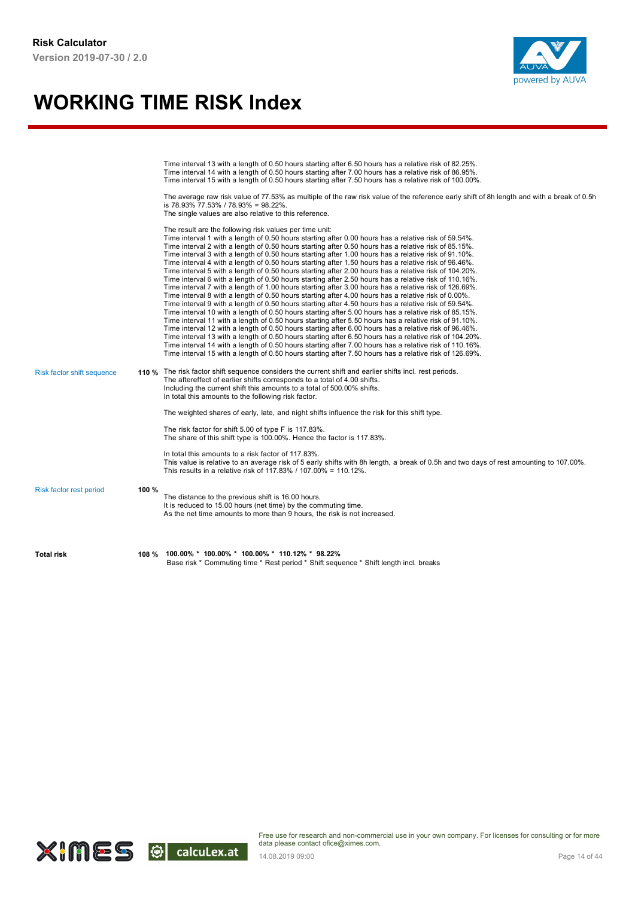

|                            |       | Time interval 13 with a length of 0.50 hours starting after 6.50 hours has a relative risk of 82.25%.<br>Time interval 14 with a length of 0.50 hours starting after 7.00 hours has a relative risk of 86.95%.<br>Time interval 15 with a length of 0.50 hours starting after 7.50 hours has a relative risk of 100.00%.<br>The average raw risk value of 77.53% as multiple of the raw risk value of the reference early shift of 8h length and with a break of 0.5h<br>is 78.93% 77.53% / 78.93% = 98.22%.<br>The single values are also relative to this reference.<br>The result are the following risk values per time unit:<br>Time interval 1 with a length of 0.50 hours starting after 0.00 hours has a relative risk of 59.54%.<br>Time interval 2 with a length of 0.50 hours starting after 0.50 hours has a relative risk of 85.15%.<br>Time interval 3 with a length of 0.50 hours starting after 1.00 hours has a relative risk of 91.10%.<br>Time interval 4 with a length of 0.50 hours starting after 1.50 hours has a relative risk of 96.46%.<br>Time interval 5 with a length of 0.50 hours starting after 2.00 hours has a relative risk of 104.20%.<br>Time interval 6 with a length of 0.50 hours starting after 2.50 hours has a relative risk of 110.16%.<br>Time interval 7 with a length of 1.00 hours starting after 3.00 hours has a relative risk of 126.69%. |
|----------------------------|-------|----------------------------------------------------------------------------------------------------------------------------------------------------------------------------------------------------------------------------------------------------------------------------------------------------------------------------------------------------------------------------------------------------------------------------------------------------------------------------------------------------------------------------------------------------------------------------------------------------------------------------------------------------------------------------------------------------------------------------------------------------------------------------------------------------------------------------------------------------------------------------------------------------------------------------------------------------------------------------------------------------------------------------------------------------------------------------------------------------------------------------------------------------------------------------------------------------------------------------------------------------------------------------------------------------------------------------------------------------------------------------------------------|
| Risk factor shift sequence |       | Time interval 8 with a length of 0.50 hours starting after 4.00 hours has a relative risk of 0.00%.<br>Time interval 9 with a length of 0.50 hours starting after 4.50 hours has a relative risk of 59.54%.<br>Time interval 10 with a length of 0.50 hours starting after 5.00 hours has a relative risk of 85.15%.<br>Time interval 11 with a length of 0.50 hours starting after 5.50 hours has a relative risk of 91.10%.<br>Time interval 12 with a length of 0.50 hours starting after 6.00 hours has a relative risk of 96.46%.<br>Time interval 13 with a length of 0.50 hours starting after 6.50 hours has a relative risk of 104.20%.<br>Time interval 14 with a length of 0.50 hours starting after 7.00 hours has a relative risk of 110.16%.<br>Time interval 15 with a length of 0.50 hours starting after 7.50 hours has a relative risk of 126.69%.<br>110 % The risk factor shift sequence considers the current shift and earlier shifts incl. rest periods.<br>The aftereffect of earlier shifts corresponds to a total of 4.00 shifts.                                                                                                                                                                                                                                                                                                                                  |
|                            |       | Including the current shift this amounts to a total of 500.00% shifts.<br>In total this amounts to the following risk factor.<br>The weighted shares of early, late, and night shifts influence the risk for this shift type.<br>The risk factor for shift 5.00 of type F is 117.83%.<br>The share of this shift type is 100.00%. Hence the factor is 117.83%.<br>In total this amounts to a risk factor of 117.83%.<br>This value is relative to an average risk of 5 early shifts with 8h length, a break of 0.5h and two days of rest amounting to 107.00%.<br>This results in a relative risk of 117.83% / 107.00% = 110.12%.                                                                                                                                                                                                                                                                                                                                                                                                                                                                                                                                                                                                                                                                                                                                                            |
| Risk factor rest period    | 100 % | The distance to the previous shift is 16.00 hours.<br>It is reduced to 15.00 hours (net time) by the commuting time.<br>As the net time amounts to more than 9 hours, the risk is not increased.                                                                                                                                                                                                                                                                                                                                                                                                                                                                                                                                                                                                                                                                                                                                                                                                                                                                                                                                                                                                                                                                                                                                                                                             |
| <b>Total risk</b>          | 108 % | $100.00\% * 100.00\% * 100.00\% * 110.12\% * 98.22\%$<br>Base risk * Commuting time * Rest period * Shift sequence * Shift length incl. breaks                                                                                                                                                                                                                                                                                                                                                                                                                                                                                                                                                                                                                                                                                                                                                                                                                                                                                                                                                                                                                                                                                                                                                                                                                                               |

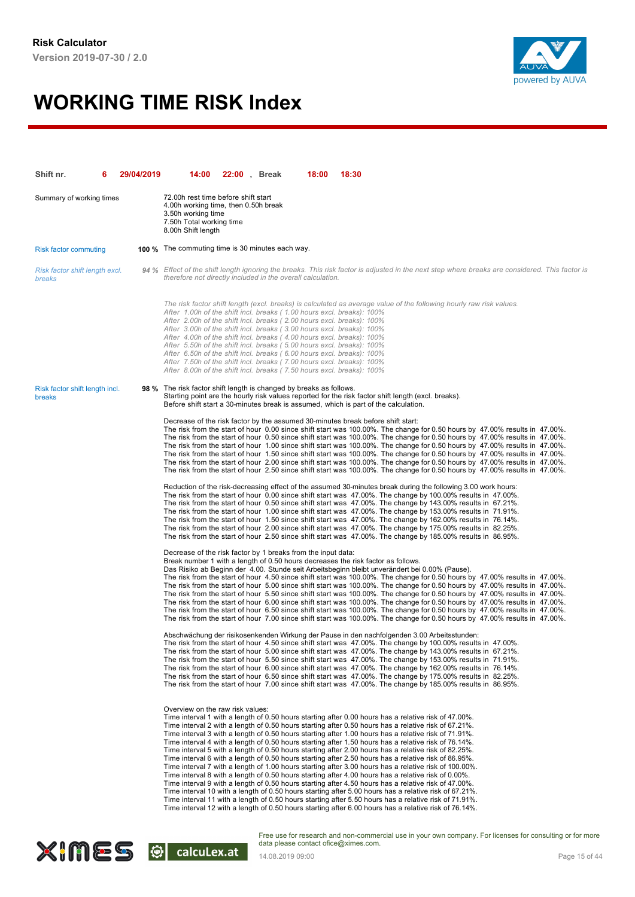

| Shift nr.                                | 29/04/2019 | 14:00                                                                                                                                                                                                                                                                                                                                                                                                                                                                                                                                                                                                | 22:00, Break | 18:00 | 18:30                                                                                                                                                                                                                                                                                                                                                                                                                                                                                                                                                                                                                                                                                                                                                                                                                                                                                                                                                                                                                                                                                                                                                                                                                                                                                           |
|------------------------------------------|------------|------------------------------------------------------------------------------------------------------------------------------------------------------------------------------------------------------------------------------------------------------------------------------------------------------------------------------------------------------------------------------------------------------------------------------------------------------------------------------------------------------------------------------------------------------------------------------------------------------|--------------|-------|-------------------------------------------------------------------------------------------------------------------------------------------------------------------------------------------------------------------------------------------------------------------------------------------------------------------------------------------------------------------------------------------------------------------------------------------------------------------------------------------------------------------------------------------------------------------------------------------------------------------------------------------------------------------------------------------------------------------------------------------------------------------------------------------------------------------------------------------------------------------------------------------------------------------------------------------------------------------------------------------------------------------------------------------------------------------------------------------------------------------------------------------------------------------------------------------------------------------------------------------------------------------------------------------------|
| Summary of working times                 |            | 72.00h rest time before shift start<br>4.00h working time, then 0.50h break<br>3.50h working time<br>7.50h Total working time<br>8.00h Shift length                                                                                                                                                                                                                                                                                                                                                                                                                                                  |              |       |                                                                                                                                                                                                                                                                                                                                                                                                                                                                                                                                                                                                                                                                                                                                                                                                                                                                                                                                                                                                                                                                                                                                                                                                                                                                                                 |
| <b>Risk factor commuting</b>             |            | <b>100 %</b> The commuting time is 30 minutes each way.                                                                                                                                                                                                                                                                                                                                                                                                                                                                                                                                              |              |       |                                                                                                                                                                                                                                                                                                                                                                                                                                                                                                                                                                                                                                                                                                                                                                                                                                                                                                                                                                                                                                                                                                                                                                                                                                                                                                 |
| Risk factor shift length excl.<br>breaks |            | therefore not directly included in the overall calculation.                                                                                                                                                                                                                                                                                                                                                                                                                                                                                                                                          |              |       | 94 % Effect of the shift length ignoring the breaks. This risk factor is adjusted in the next step where breaks are considered. This factor is                                                                                                                                                                                                                                                                                                                                                                                                                                                                                                                                                                                                                                                                                                                                                                                                                                                                                                                                                                                                                                                                                                                                                  |
|                                          |            | After 1.00h of the shift incl. breaks (1.00 hours excl. breaks): 100%<br>After 2.00h of the shift incl. breaks (2.00 hours excl. breaks): 100%<br>After 3.00h of the shift incl. breaks (3.00 hours excl. breaks): 100%<br>After 4.00h of the shift incl. breaks (4.00 hours excl. breaks): 100%<br>After 5.50h of the shift incl. breaks (5.00 hours excl. breaks): 100%<br>After 6.50h of the shift incl. breaks (6.00 hours excl. breaks): 100%<br>After 7.50h of the shift incl. breaks (7.00 hours excl. breaks): 100%<br>After 8.00h of the shift incl. breaks (7.50 hours excl. breaks): 100% |              |       | The risk factor shift length (excl. breaks) is calculated as average value of the following hourly raw risk values.                                                                                                                                                                                                                                                                                                                                                                                                                                                                                                                                                                                                                                                                                                                                                                                                                                                                                                                                                                                                                                                                                                                                                                             |
| Risk factor shift length incl.<br>breaks |            | 98 % The risk factor shift length is changed by breaks as follows.                                                                                                                                                                                                                                                                                                                                                                                                                                                                                                                                   |              |       | Starting point are the hourly risk values reported for the risk factor shift length (excl. breaks).<br>Before shift start a 30-minutes break is assumed, which is part of the calculation.                                                                                                                                                                                                                                                                                                                                                                                                                                                                                                                                                                                                                                                                                                                                                                                                                                                                                                                                                                                                                                                                                                      |
|                                          |            |                                                                                                                                                                                                                                                                                                                                                                                                                                                                                                                                                                                                      |              |       | Decrease of the risk factor by the assumed 30-minutes break before shift start:<br>The risk from the start of hour 0.00 since shift start was 100.00%. The change for 0.50 hours by 47.00% results in 47.00%.<br>The risk from the start of hour 0.50 since shift start was 100.00%. The change for 0.50 hours by 47.00% results in 47.00%.<br>The risk from the start of hour 1.00 since shift start was 100.00%. The change for 0.50 hours by 47.00% results in 47.00%.<br>The risk from the start of hour 1.50 since shift start was 100.00%. The change for 0.50 hours by 47.00% results in 47.00%.<br>The risk from the start of hour 2.00 since shift start was 100.00%. The change for 0.50 hours by 47.00% results in 47.00%.<br>The risk from the start of hour 2.50 since shift start was 100.00%. The change for 0.50 hours by 47.00% results in 47.00%.                                                                                                                                                                                                                                                                                                                                                                                                                             |
|                                          |            |                                                                                                                                                                                                                                                                                                                                                                                                                                                                                                                                                                                                      |              |       | Reduction of the risk-decreasing effect of the assumed 30-minutes break during the following 3.00 work hours:<br>The risk from the start of hour 0.00 since shift start was 47.00%. The change by 100.00% results in 47.00%.<br>The risk from the start of hour 0.50 since shift start was 47.00%. The change by 143.00% results in 67.21%.<br>The risk from the start of hour 1.00 since shift start was 47.00%. The change by 153.00% results in 71.91%.<br>The risk from the start of hour 1.50 since shift start was 47.00%. The change by 162.00% results in 76.14%.<br>The risk from the start of hour 2.00 since shift start was 47.00%. The change by 175.00% results in 82.25%.<br>The risk from the start of hour 2.50 since shift start was 47.00%. The change by 185.00% results in 86.95%.                                                                                                                                                                                                                                                                                                                                                                                                                                                                                         |
|                                          |            | Decrease of the risk factor by 1 breaks from the input data:                                                                                                                                                                                                                                                                                                                                                                                                                                                                                                                                         |              |       | Break number 1 with a length of 0.50 hours decreases the risk factor as follows.<br>Das Risiko ab Beginn der 4.00. Stunde seit Arbeitsbeginn bleibt unverändert bei 0.00% (Pause).<br>The risk from the start of hour 4.50 since shift start was 100.00%. The change for 0.50 hours by 47.00% results in 47.00%.<br>The risk from the start of hour 5.00 since shift start was 100.00%. The change for 0.50 hours by 47.00% results in 47.00%.<br>The risk from the start of hour 5.50 since shift start was 100.00%. The change for 0.50 hours by 47.00% results in 47.00%.<br>The risk from the start of hour 6.00 since shift start was 100.00%. The change for 0.50 hours by 47.00% results in 47.00%.<br>The risk from the start of hour 6.50 since shift start was 100.00%. The change for 0.50 hours by 47.00% results in 47.00%.<br>The risk from the start of hour 7.00 since shift start was 100.00%. The change for 0.50 hours by 47.00% results in 47.00%.                                                                                                                                                                                                                                                                                                                          |
|                                          |            |                                                                                                                                                                                                                                                                                                                                                                                                                                                                                                                                                                                                      |              |       | Abschwächung der risikosenkenden Wirkung der Pause in den nachfolgenden 3.00 Arbeitsstunden:<br>The risk from the start of hour 4.50 since shift start was 47.00%. The change by 100.00% results in 47.00%.<br>The risk from the start of hour 5.00 since shift start was 47.00%. The change by 143.00% results in 67.21%.<br>The risk from the start of hour 5.50 since shift start was 47.00%. The change by 153.00% results in 71.91%.<br>The risk from the start of hour 6.00 since shift start was 47.00%. The change by 162.00% results in 76.14%.<br>The risk from the start of hour 6.50 since shift start was 47.00%. The change by 175.00% results in 82.25%.<br>The risk from the start of hour 7.00 since shift start was 47.00%. The change by 185.00% results in 86.95%.                                                                                                                                                                                                                                                                                                                                                                                                                                                                                                          |
|                                          |            | Overview on the raw risk values:                                                                                                                                                                                                                                                                                                                                                                                                                                                                                                                                                                     |              |       | Time interval 1 with a length of 0.50 hours starting after 0.00 hours has a relative risk of 47.00%.<br>Time interval 2 with a length of 0.50 hours starting after 0.50 hours has a relative risk of 67.21%.<br>Time interval 3 with a length of 0.50 hours starting after 1.00 hours has a relative risk of 71.91%.<br>Time interval 4 with a length of 0.50 hours starting after 1.50 hours has a relative risk of 76.14%.<br>Time interval 5 with a length of 0.50 hours starting after 2.00 hours has a relative risk of 82.25%.<br>Time interval 6 with a length of 0.50 hours starting after 2.50 hours has a relative risk of 86.95%.<br>Time interval 7 with a length of 1.00 hours starting after 3.00 hours has a relative risk of 100.00%.<br>Time interval 8 with a length of 0.50 hours starting after 4.00 hours has a relative risk of 0.00%.<br>Time interval 9 with a length of 0.50 hours starting after 4.50 hours has a relative risk of 47.00%.<br>Time interval 10 with a length of 0.50 hours starting after 5.00 hours has a relative risk of 67.21%.<br>Time interval 11 with a length of 0.50 hours starting after 5.50 hours has a relative risk of 71.91%.<br>Time interval 12 with a length of 0.50 hours starting after 6.00 hours has a relative risk of 76.14%. |

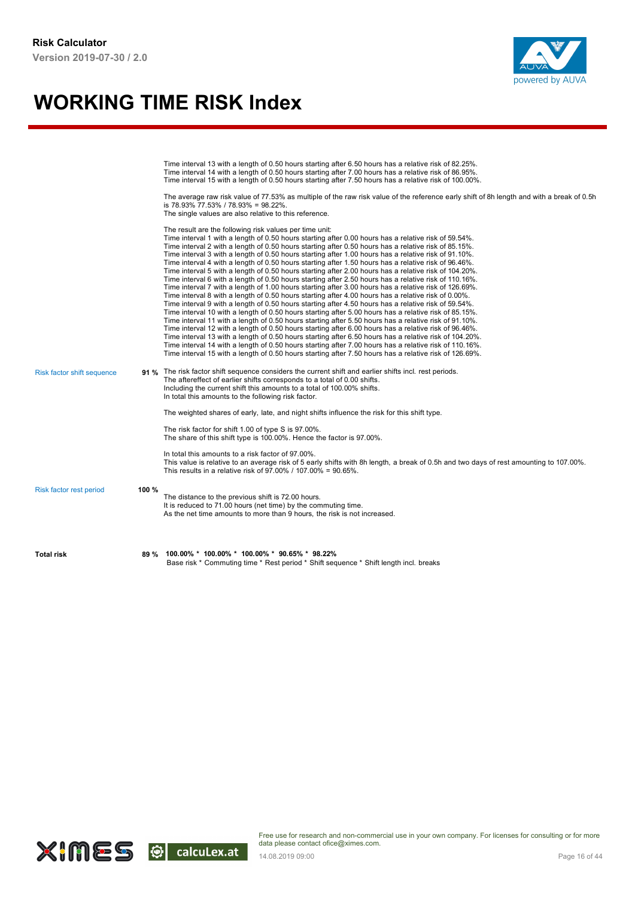

|                            |       | Time interval 13 with a length of 0.50 hours starting after 6.50 hours has a relative risk of 82.25%.<br>Time interval 14 with a length of 0.50 hours starting after 7.00 hours has a relative risk of 86.95%.<br>Time interval 15 with a length of 0.50 hours starting after 7.50 hours has a relative risk of 100.00%.<br>The average raw risk value of 77.53% as multiple of the raw risk value of the reference early shift of 8h length and with a break of 0.5h<br>is 78.93% 77.53% / 78.93% = 98.22%.<br>The single values are also relative to this reference.<br>The result are the following risk values per time unit:<br>Time interval 1 with a length of 0.50 hours starting after 0.00 hours has a relative risk of 59.54%.<br>Time interval 2 with a length of 0.50 hours starting after 0.50 hours has a relative risk of 85.15%.<br>Time interval 3 with a length of 0.50 hours starting after 1.00 hours has a relative risk of 91.10%.                                                                                                                                                                                                                                                                                                                                               |
|----------------------------|-------|---------------------------------------------------------------------------------------------------------------------------------------------------------------------------------------------------------------------------------------------------------------------------------------------------------------------------------------------------------------------------------------------------------------------------------------------------------------------------------------------------------------------------------------------------------------------------------------------------------------------------------------------------------------------------------------------------------------------------------------------------------------------------------------------------------------------------------------------------------------------------------------------------------------------------------------------------------------------------------------------------------------------------------------------------------------------------------------------------------------------------------------------------------------------------------------------------------------------------------------------------------------------------------------------------------|
|                            |       | Time interval 4 with a length of 0.50 hours starting after 1.50 hours has a relative risk of 96.46%.<br>Time interval 5 with a length of 0.50 hours starting after 2.00 hours has a relative risk of 104.20%.<br>Time interval 6 with a length of 0.50 hours starting after 2.50 hours has a relative risk of 110.16%.<br>Time interval 7 with a length of 1.00 hours starting after 3.00 hours has a relative risk of 126.69%.<br>Time interval 8 with a length of 0.50 hours starting after 4.00 hours has a relative risk of 0.00%.<br>Time interval 9 with a length of 0.50 hours starting after 4.50 hours has a relative risk of 59.54%.<br>Time interval 10 with a length of 0.50 hours starting after 5.00 hours has a relative risk of 85.15%.<br>Time interval 11 with a length of 0.50 hours starting after 5.50 hours has a relative risk of 91.10%.<br>Time interval 12 with a length of 0.50 hours starting after 6.00 hours has a relative risk of 96.46%.<br>Time interval 13 with a length of 0.50 hours starting after 6.50 hours has a relative risk of 104.20%.<br>Time interval 14 with a length of 0.50 hours starting after 7.00 hours has a relative risk of 110.16%.<br>Time interval 15 with a length of 0.50 hours starting after 7.50 hours has a relative risk of 126.69%. |
| Risk factor shift sequence |       | 91 % The risk factor shift sequence considers the current shift and earlier shifts incl. rest periods.<br>The aftereffect of earlier shifts corresponds to a total of 0.00 shifts.<br>Including the current shift this amounts to a total of 100.00% shifts.<br>In total this amounts to the following risk factor.                                                                                                                                                                                                                                                                                                                                                                                                                                                                                                                                                                                                                                                                                                                                                                                                                                                                                                                                                                                     |
|                            |       | The weighted shares of early, late, and night shifts influence the risk for this shift type.<br>The risk factor for shift 1.00 of type S is 97.00%.<br>The share of this shift type is 100.00%. Hence the factor is 97.00%.                                                                                                                                                                                                                                                                                                                                                                                                                                                                                                                                                                                                                                                                                                                                                                                                                                                                                                                                                                                                                                                                             |
|                            |       | In total this amounts to a risk factor of 97.00%.<br>This value is relative to an average risk of 5 early shifts with 8h length, a break of 0.5h and two days of rest amounting to 107.00%.<br>This results in a relative risk of 97.00% / 107.00% = 90.65%.                                                                                                                                                                                                                                                                                                                                                                                                                                                                                                                                                                                                                                                                                                                                                                                                                                                                                                                                                                                                                                            |
| Risk factor rest period    | 100 % | The distance to the previous shift is 72.00 hours.<br>It is reduced to 71.00 hours (net time) by the commuting time.<br>As the net time amounts to more than 9 hours, the risk is not increased.                                                                                                                                                                                                                                                                                                                                                                                                                                                                                                                                                                                                                                                                                                                                                                                                                                                                                                                                                                                                                                                                                                        |
| <b>Total risk</b>          | 89 %  | 100.00% * 100.00% * 100.00% * 90.65% * 98.22%<br>Base risk * Commuting time * Rest period * Shift sequence * Shift length incl. breaks                                                                                                                                                                                                                                                                                                                                                                                                                                                                                                                                                                                                                                                                                                                                                                                                                                                                                                                                                                                                                                                                                                                                                                  |

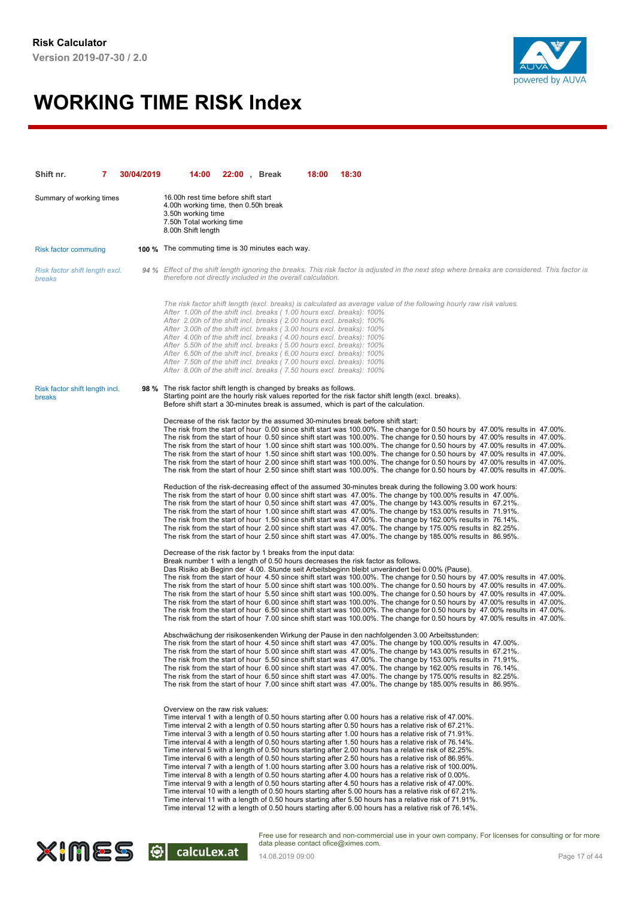

| Shift nr.                                | 7 | 30/04/2019 | 14:00                                                                                                                                                                                                                                                                                                                                                                                                                                                                                                                                                                                                | 22:00, Break | 18:00 | 18:30                                                                                                                                                                                                                                                                                                                                                                                                                                                                                                                                                                                                                                                                                                                                                                                                                                                                                                                                                                                                                                                                                                                                                                                                                                                                                           |
|------------------------------------------|---|------------|------------------------------------------------------------------------------------------------------------------------------------------------------------------------------------------------------------------------------------------------------------------------------------------------------------------------------------------------------------------------------------------------------------------------------------------------------------------------------------------------------------------------------------------------------------------------------------------------------|--------------|-------|-------------------------------------------------------------------------------------------------------------------------------------------------------------------------------------------------------------------------------------------------------------------------------------------------------------------------------------------------------------------------------------------------------------------------------------------------------------------------------------------------------------------------------------------------------------------------------------------------------------------------------------------------------------------------------------------------------------------------------------------------------------------------------------------------------------------------------------------------------------------------------------------------------------------------------------------------------------------------------------------------------------------------------------------------------------------------------------------------------------------------------------------------------------------------------------------------------------------------------------------------------------------------------------------------|
| Summary of working times                 |   |            | 16.00h rest time before shift start<br>4.00h working time, then 0.50h break<br>3.50h working time<br>7.50h Total working time<br>8.00h Shift length                                                                                                                                                                                                                                                                                                                                                                                                                                                  |              |       |                                                                                                                                                                                                                                                                                                                                                                                                                                                                                                                                                                                                                                                                                                                                                                                                                                                                                                                                                                                                                                                                                                                                                                                                                                                                                                 |
| <b>Risk factor commuting</b>             |   |            | <b>100 %</b> The commuting time is 30 minutes each way.                                                                                                                                                                                                                                                                                                                                                                                                                                                                                                                                              |              |       |                                                                                                                                                                                                                                                                                                                                                                                                                                                                                                                                                                                                                                                                                                                                                                                                                                                                                                                                                                                                                                                                                                                                                                                                                                                                                                 |
| Risk factor shift length excl.<br>breaks |   |            | therefore not directly included in the overall calculation.                                                                                                                                                                                                                                                                                                                                                                                                                                                                                                                                          |              |       | 94 % Effect of the shift length ignoring the breaks. This risk factor is adjusted in the next step where breaks are considered. This factor is                                                                                                                                                                                                                                                                                                                                                                                                                                                                                                                                                                                                                                                                                                                                                                                                                                                                                                                                                                                                                                                                                                                                                  |
|                                          |   |            | After 1.00h of the shift incl. breaks (1.00 hours excl. breaks): 100%<br>After 2.00h of the shift incl. breaks (2.00 hours excl. breaks): 100%<br>After 3.00h of the shift incl. breaks (3.00 hours excl. breaks): 100%<br>After 4.00h of the shift incl. breaks (4.00 hours excl. breaks): 100%<br>After 5.50h of the shift incl. breaks (5.00 hours excl. breaks): 100%<br>After 6.50h of the shift incl. breaks (6.00 hours excl. breaks): 100%<br>After 7.50h of the shift incl. breaks (7.00 hours excl. breaks): 100%<br>After 8.00h of the shift incl. breaks (7.50 hours excl. breaks): 100% |              |       | The risk factor shift length (excl. breaks) is calculated as average value of the following hourly raw risk values.                                                                                                                                                                                                                                                                                                                                                                                                                                                                                                                                                                                                                                                                                                                                                                                                                                                                                                                                                                                                                                                                                                                                                                             |
| Risk factor shift length incl.<br>breaks |   |            | 98 % The risk factor shift length is changed by breaks as follows.                                                                                                                                                                                                                                                                                                                                                                                                                                                                                                                                   |              |       | Starting point are the hourly risk values reported for the risk factor shift length (excl. breaks).<br>Before shift start a 30-minutes break is assumed, which is part of the calculation.                                                                                                                                                                                                                                                                                                                                                                                                                                                                                                                                                                                                                                                                                                                                                                                                                                                                                                                                                                                                                                                                                                      |
|                                          |   |            |                                                                                                                                                                                                                                                                                                                                                                                                                                                                                                                                                                                                      |              |       | Decrease of the risk factor by the assumed 30-minutes break before shift start:<br>The risk from the start of hour 0.00 since shift start was 100.00%. The change for 0.50 hours by 47.00% results in 47.00%.<br>The risk from the start of hour 0.50 since shift start was 100.00%. The change for 0.50 hours by 47.00% results in 47.00%.<br>The risk from the start of hour 1.00 since shift start was 100.00%. The change for 0.50 hours by 47.00% results in 47.00%.<br>The risk from the start of hour 1.50 since shift start was 100.00%. The change for 0.50 hours by 47.00% results in 47.00%.<br>The risk from the start of hour 2.00 since shift start was 100.00%. The change for 0.50 hours by 47.00% results in 47.00%.<br>The risk from the start of hour 2.50 since shift start was 100.00%. The change for 0.50 hours by 47.00% results in 47.00%.                                                                                                                                                                                                                                                                                                                                                                                                                             |
|                                          |   |            |                                                                                                                                                                                                                                                                                                                                                                                                                                                                                                                                                                                                      |              |       | Reduction of the risk-decreasing effect of the assumed 30-minutes break during the following 3.00 work hours:<br>The risk from the start of hour 0.00 since shift start was 47.00%. The change by 100.00% results in 47.00%.<br>The risk from the start of hour 0.50 since shift start was 47.00%. The change by 143.00% results in 67.21%.<br>The risk from the start of hour 1.00 since shift start was 47.00%. The change by 153.00% results in 71.91%.<br>The risk from the start of hour 1.50 since shift start was 47.00%. The change by 162.00% results in 76.14%.<br>The risk from the start of hour 2.00 since shift start was 47.00%. The change by 175.00% results in 82.25%.<br>The risk from the start of hour 2.50 since shift start was 47.00%. The change by 185.00% results in 86.95%.                                                                                                                                                                                                                                                                                                                                                                                                                                                                                         |
|                                          |   |            | Decrease of the risk factor by 1 breaks from the input data:                                                                                                                                                                                                                                                                                                                                                                                                                                                                                                                                         |              |       | Break number 1 with a length of 0.50 hours decreases the risk factor as follows.<br>Das Risiko ab Beginn der 4.00. Stunde seit Arbeitsbeginn bleibt unverändert bei 0.00% (Pause).<br>The risk from the start of hour 4.50 since shift start was 100.00%. The change for 0.50 hours by 47.00% results in 47.00%.<br>The risk from the start of hour 5.00 since shift start was 100.00%. The change for 0.50 hours by 47.00% results in 47.00%.<br>The risk from the start of hour 5.50 since shift start was 100.00%. The change for 0.50 hours by 47.00% results in 47.00%.<br>The risk from the start of hour 6.00 since shift start was 100.00%. The change for 0.50 hours by 47.00% results in 47.00%.<br>The risk from the start of hour 6.50 since shift start was 100.00%. The change for 0.50 hours by 47.00% results in 47.00%.<br>The risk from the start of hour 7.00 since shift start was 100.00%. The change for 0.50 hours by 47.00% results in 47.00%.                                                                                                                                                                                                                                                                                                                          |
|                                          |   |            |                                                                                                                                                                                                                                                                                                                                                                                                                                                                                                                                                                                                      |              |       | Abschwächung der risikosenkenden Wirkung der Pause in den nachfolgenden 3.00 Arbeitsstunden:<br>The risk from the start of hour 4.50 since shift start was 47.00%. The change by 100.00% results in 47.00%.<br>The risk from the start of hour 5.00 since shift start was 47.00%. The change by 143.00% results in 67.21%.<br>The risk from the start of hour 5.50 since shift start was 47.00%. The change by 153.00% results in 71.91%.<br>The risk from the start of hour 6.00 since shift start was 47.00%. The change by 162.00% results in 76.14%.<br>The risk from the start of hour 6.50 since shift start was 47.00%. The change by 175.00% results in 82.25%.<br>The risk from the start of hour 7.00 since shift start was 47.00%. The change by 185.00% results in 86.95%.                                                                                                                                                                                                                                                                                                                                                                                                                                                                                                          |
|                                          |   |            | Overview on the raw risk values:                                                                                                                                                                                                                                                                                                                                                                                                                                                                                                                                                                     |              |       | Time interval 1 with a length of 0.50 hours starting after 0.00 hours has a relative risk of 47.00%.<br>Time interval 2 with a length of 0.50 hours starting after 0.50 hours has a relative risk of 67.21%.<br>Time interval 3 with a length of 0.50 hours starting after 1.00 hours has a relative risk of 71.91%.<br>Time interval 4 with a length of 0.50 hours starting after 1.50 hours has a relative risk of 76.14%.<br>Time interval 5 with a length of 0.50 hours starting after 2.00 hours has a relative risk of 82.25%.<br>Time interval 6 with a length of 0.50 hours starting after 2.50 hours has a relative risk of 86.95%.<br>Time interval 7 with a length of 1.00 hours starting after 3.00 hours has a relative risk of 100.00%.<br>Time interval 8 with a length of 0.50 hours starting after 4.00 hours has a relative risk of 0.00%.<br>Time interval 9 with a length of 0.50 hours starting after 4.50 hours has a relative risk of 47.00%.<br>Time interval 10 with a length of 0.50 hours starting after 5.00 hours has a relative risk of 67.21%.<br>Time interval 11 with a length of 0.50 hours starting after 5.50 hours has a relative risk of 71.91%.<br>Time interval 12 with a length of 0.50 hours starting after 6.00 hours has a relative risk of 76.14%. |

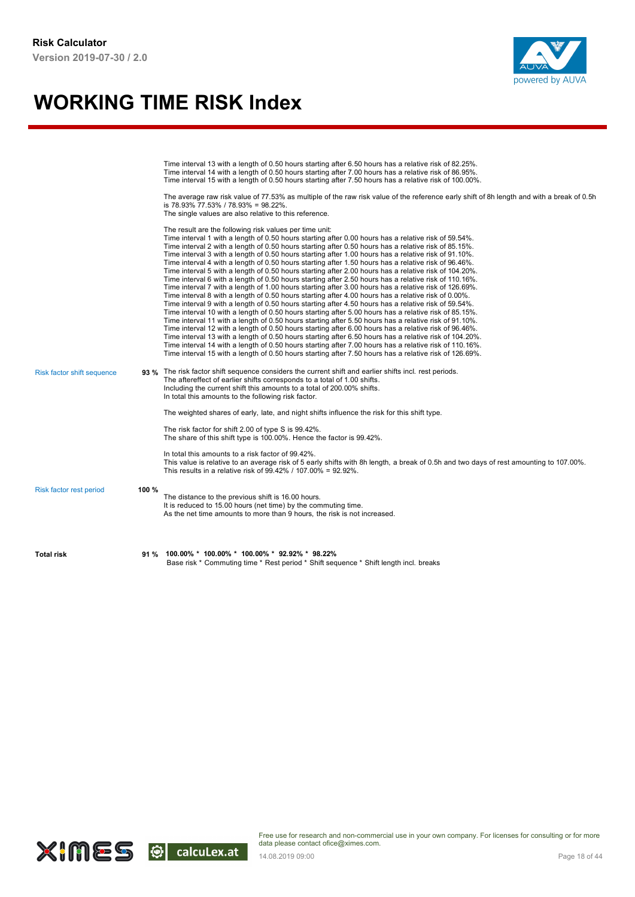

|                            |       | Time interval 13 with a length of 0.50 hours starting after 6.50 hours has a relative risk of 82.25%.<br>Time interval 14 with a length of 0.50 hours starting after 7.00 hours has a relative risk of 86.95%.<br>Time interval 15 with a length of 0.50 hours starting after 7.50 hours has a relative risk of 100.00%.<br>The average raw risk value of 77.53% as multiple of the raw risk value of the reference early shift of 8h length and with a break of 0.5h<br>is 78.93% 77.53% / 78.93% = 98.22%.<br>The single values are also relative to this reference.                                                                                                                                                                                                                                                                                                                                                                                                                                                                                                                                                                                                                                                                                                                                                                                                                                                                                                                                                                                                                                                                                                                     |
|----------------------------|-------|--------------------------------------------------------------------------------------------------------------------------------------------------------------------------------------------------------------------------------------------------------------------------------------------------------------------------------------------------------------------------------------------------------------------------------------------------------------------------------------------------------------------------------------------------------------------------------------------------------------------------------------------------------------------------------------------------------------------------------------------------------------------------------------------------------------------------------------------------------------------------------------------------------------------------------------------------------------------------------------------------------------------------------------------------------------------------------------------------------------------------------------------------------------------------------------------------------------------------------------------------------------------------------------------------------------------------------------------------------------------------------------------------------------------------------------------------------------------------------------------------------------------------------------------------------------------------------------------------------------------------------------------------------------------------------------------|
|                            |       | The result are the following risk values per time unit:<br>Time interval 1 with a length of 0.50 hours starting after 0.00 hours has a relative risk of 59.54%.<br>Time interval 2 with a length of 0.50 hours starting after 0.50 hours has a relative risk of 85.15%.<br>Time interval 3 with a length of 0.50 hours starting after 1.00 hours has a relative risk of 91.10%.<br>Time interval 4 with a length of 0.50 hours starting after 1.50 hours has a relative risk of 96.46%.<br>Time interval 5 with a length of 0.50 hours starting after 2.00 hours has a relative risk of 104.20%.<br>Time interval 6 with a length of 0.50 hours starting after 2.50 hours has a relative risk of 110.16%.<br>Time interval 7 with a length of 1.00 hours starting after 3.00 hours has a relative risk of 126.69%.<br>Time interval 8 with a length of 0.50 hours starting after 4.00 hours has a relative risk of 0.00%.<br>Time interval 9 with a length of 0.50 hours starting after 4.50 hours has a relative risk of 59.54%.<br>Time interval 10 with a length of 0.50 hours starting after 5.00 hours has a relative risk of 85.15%.<br>Time interval 11 with a length of 0.50 hours starting after 5.50 hours has a relative risk of 91.10%.<br>Time interval 12 with a length of 0.50 hours starting after 6.00 hours has a relative risk of 96.46%.<br>Time interval 13 with a length of 0.50 hours starting after 6.50 hours has a relative risk of 104.20%.<br>Time interval 14 with a length of 0.50 hours starting after 7.00 hours has a relative risk of 110.16%.<br>Time interval 15 with a length of 0.50 hours starting after 7.50 hours has a relative risk of 126.69%. |
| Risk factor shift sequence |       | 93 % The risk factor shift sequence considers the current shift and earlier shifts incl. rest periods.<br>The aftereffect of earlier shifts corresponds to a total of 1.00 shifts.<br>Including the current shift this amounts to a total of 200.00% shifts.<br>In total this amounts to the following risk factor.                                                                                                                                                                                                                                                                                                                                                                                                                                                                                                                                                                                                                                                                                                                                                                                                                                                                                                                                                                                                                                                                                                                                                                                                                                                                                                                                                                        |
|                            |       | The weighted shares of early, late, and night shifts influence the risk for this shift type.                                                                                                                                                                                                                                                                                                                                                                                                                                                                                                                                                                                                                                                                                                                                                                                                                                                                                                                                                                                                                                                                                                                                                                                                                                                                                                                                                                                                                                                                                                                                                                                               |
|                            |       | The risk factor for shift 2.00 of type S is 99.42%.<br>The share of this shift type is 100.00%. Hence the factor is 99.42%.                                                                                                                                                                                                                                                                                                                                                                                                                                                                                                                                                                                                                                                                                                                                                                                                                                                                                                                                                                                                                                                                                                                                                                                                                                                                                                                                                                                                                                                                                                                                                                |
|                            |       | In total this amounts to a risk factor of 99.42%.<br>This value is relative to an average risk of 5 early shifts with 8h length, a break of 0.5h and two days of rest amounting to 107.00%.<br>This results in a relative risk of 99.42% / 107.00% = 92.92%.                                                                                                                                                                                                                                                                                                                                                                                                                                                                                                                                                                                                                                                                                                                                                                                                                                                                                                                                                                                                                                                                                                                                                                                                                                                                                                                                                                                                                               |
| Risk factor rest period    | 100 % | The distance to the previous shift is 16.00 hours.<br>It is reduced to 15.00 hours (net time) by the commuting time.<br>As the net time amounts to more than 9 hours, the risk is not increased.                                                                                                                                                                                                                                                                                                                                                                                                                                                                                                                                                                                                                                                                                                                                                                                                                                                                                                                                                                                                                                                                                                                                                                                                                                                                                                                                                                                                                                                                                           |
| <b>Total risk</b>          | 91 %  | $100.00\% * 100.00\% * 100.00\% * 92.92\% * 98.22\%$<br>Base risk * Commuting time * Rest period * Shift sequence * Shift length incl. breaks                                                                                                                                                                                                                                                                                                                                                                                                                                                                                                                                                                                                                                                                                                                                                                                                                                                                                                                                                                                                                                                                                                                                                                                                                                                                                                                                                                                                                                                                                                                                              |

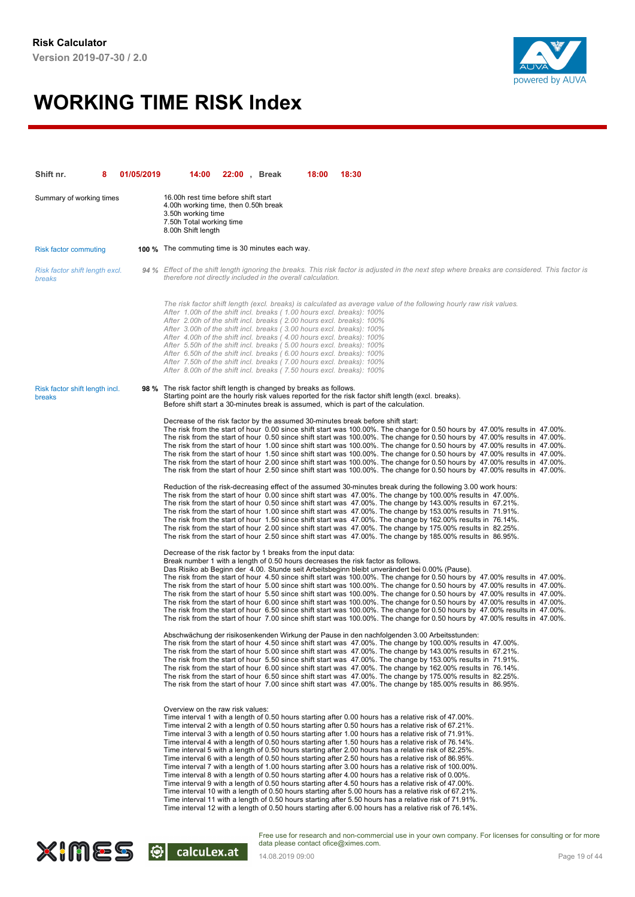

| Shift nr.                                | 01/05/2019 | 14:00                                                                                                                                                                                                                                                                                                                                                                                                                                                                                                                                                                                                | 22:00, Break | 18:00 | 18:30                                                                                                                                                                                                                                                                                                                                                                                                                                                                                                                                                                                                                                                                                                                                                                                                                                                                                                                                                                                                                                                                                                                                                                                                                                                                                           |
|------------------------------------------|------------|------------------------------------------------------------------------------------------------------------------------------------------------------------------------------------------------------------------------------------------------------------------------------------------------------------------------------------------------------------------------------------------------------------------------------------------------------------------------------------------------------------------------------------------------------------------------------------------------------|--------------|-------|-------------------------------------------------------------------------------------------------------------------------------------------------------------------------------------------------------------------------------------------------------------------------------------------------------------------------------------------------------------------------------------------------------------------------------------------------------------------------------------------------------------------------------------------------------------------------------------------------------------------------------------------------------------------------------------------------------------------------------------------------------------------------------------------------------------------------------------------------------------------------------------------------------------------------------------------------------------------------------------------------------------------------------------------------------------------------------------------------------------------------------------------------------------------------------------------------------------------------------------------------------------------------------------------------|
| Summary of working times                 |            | 16.00h rest time before shift start<br>4.00h working time, then 0.50h break<br>3.50h working time<br>7.50h Total working time<br>8.00h Shift length                                                                                                                                                                                                                                                                                                                                                                                                                                                  |              |       |                                                                                                                                                                                                                                                                                                                                                                                                                                                                                                                                                                                                                                                                                                                                                                                                                                                                                                                                                                                                                                                                                                                                                                                                                                                                                                 |
| <b>Risk factor commuting</b>             |            | <b>100 %</b> The commuting time is 30 minutes each way.                                                                                                                                                                                                                                                                                                                                                                                                                                                                                                                                              |              |       |                                                                                                                                                                                                                                                                                                                                                                                                                                                                                                                                                                                                                                                                                                                                                                                                                                                                                                                                                                                                                                                                                                                                                                                                                                                                                                 |
| Risk factor shift length excl.<br>breaks |            | therefore not directly included in the overall calculation.                                                                                                                                                                                                                                                                                                                                                                                                                                                                                                                                          |              |       | 94 % Effect of the shift length ignoring the breaks. This risk factor is adjusted in the next step where breaks are considered. This factor is                                                                                                                                                                                                                                                                                                                                                                                                                                                                                                                                                                                                                                                                                                                                                                                                                                                                                                                                                                                                                                                                                                                                                  |
|                                          |            | After 1.00h of the shift incl. breaks (1.00 hours excl. breaks): 100%<br>After 2.00h of the shift incl. breaks (2.00 hours excl. breaks): 100%<br>After 3.00h of the shift incl. breaks (3.00 hours excl. breaks): 100%<br>After 4.00h of the shift incl. breaks (4.00 hours excl. breaks): 100%<br>After 5.50h of the shift incl. breaks (5.00 hours excl. breaks): 100%<br>After 6.50h of the shift incl. breaks (6.00 hours excl. breaks): 100%<br>After 7.50h of the shift incl. breaks (7.00 hours excl. breaks): 100%<br>After 8.00h of the shift incl. breaks (7.50 hours excl. breaks): 100% |              |       | The risk factor shift length (excl. breaks) is calculated as average value of the following hourly raw risk values.                                                                                                                                                                                                                                                                                                                                                                                                                                                                                                                                                                                                                                                                                                                                                                                                                                                                                                                                                                                                                                                                                                                                                                             |
| Risk factor shift length incl.<br>breaks |            | 98 % The risk factor shift length is changed by breaks as follows.                                                                                                                                                                                                                                                                                                                                                                                                                                                                                                                                   |              |       | Starting point are the hourly risk values reported for the risk factor shift length (excl. breaks).<br>Before shift start a 30-minutes break is assumed, which is part of the calculation.                                                                                                                                                                                                                                                                                                                                                                                                                                                                                                                                                                                                                                                                                                                                                                                                                                                                                                                                                                                                                                                                                                      |
|                                          |            |                                                                                                                                                                                                                                                                                                                                                                                                                                                                                                                                                                                                      |              |       | Decrease of the risk factor by the assumed 30-minutes break before shift start:<br>The risk from the start of hour 0.00 since shift start was 100.00%. The change for 0.50 hours by 47.00% results in 47.00%.<br>The risk from the start of hour 0.50 since shift start was 100.00%. The change for 0.50 hours by 47.00% results in 47.00%.<br>The risk from the start of hour 1.00 since shift start was 100.00%. The change for 0.50 hours by 47.00% results in 47.00%.<br>The risk from the start of hour 1.50 since shift start was 100.00%. The change for 0.50 hours by 47.00% results in 47.00%.<br>The risk from the start of hour 2.00 since shift start was 100.00%. The change for 0.50 hours by 47.00% results in 47.00%.<br>The risk from the start of hour 2.50 since shift start was 100.00%. The change for 0.50 hours by 47.00% results in 47.00%.                                                                                                                                                                                                                                                                                                                                                                                                                             |
|                                          |            |                                                                                                                                                                                                                                                                                                                                                                                                                                                                                                                                                                                                      |              |       | Reduction of the risk-decreasing effect of the assumed 30-minutes break during the following 3.00 work hours:<br>The risk from the start of hour 0.00 since shift start was 47.00%. The change by 100.00% results in 47.00%.<br>The risk from the start of hour 0.50 since shift start was 47.00%. The change by 143.00% results in 67.21%.<br>The risk from the start of hour 1.00 since shift start was 47.00%. The change by 153.00% results in 71.91%.<br>The risk from the start of hour 1.50 since shift start was 47.00%. The change by 162.00% results in 76.14%.<br>The risk from the start of hour 2.00 since shift start was 47.00%. The change by 175.00% results in 82.25%.<br>The risk from the start of hour 2.50 since shift start was 47.00%. The change by 185.00% results in 86.95%.                                                                                                                                                                                                                                                                                                                                                                                                                                                                                         |
|                                          |            | Decrease of the risk factor by 1 breaks from the input data:                                                                                                                                                                                                                                                                                                                                                                                                                                                                                                                                         |              |       | Break number 1 with a length of 0.50 hours decreases the risk factor as follows.<br>Das Risiko ab Beginn der 4.00. Stunde seit Arbeitsbeginn bleibt unverändert bei 0.00% (Pause).<br>The risk from the start of hour 4.50 since shift start was 100.00%. The change for 0.50 hours by 47.00% results in 47.00%.<br>The risk from the start of hour 5.00 since shift start was 100.00%. The change for 0.50 hours by 47.00% results in 47.00%.<br>The risk from the start of hour 5.50 since shift start was 100.00%. The change for 0.50 hours by 47.00% results in 47.00%.<br>The risk from the start of hour 6.00 since shift start was 100.00%. The change for 0.50 hours by 47.00% results in 47.00%.<br>The risk from the start of hour 6.50 since shift start was 100.00%. The change for 0.50 hours by 47.00% results in 47.00%.<br>The risk from the start of hour 7.00 since shift start was 100.00%. The change for 0.50 hours by 47.00% results in 47.00%.                                                                                                                                                                                                                                                                                                                          |
|                                          |            |                                                                                                                                                                                                                                                                                                                                                                                                                                                                                                                                                                                                      |              |       | Abschwächung der risikosenkenden Wirkung der Pause in den nachfolgenden 3.00 Arbeitsstunden:<br>The risk from the start of hour 4.50 since shift start was 47.00%. The change by 100.00% results in 47.00%.<br>The risk from the start of hour 5.00 since shift start was 47.00%. The change by 143.00% results in 67.21%.<br>The risk from the start of hour 5.50 since shift start was 47.00%. The change by 153.00% results in 71.91%.<br>The risk from the start of hour 6.00 since shift start was 47.00%. The change by 162.00% results in 76.14%.<br>The risk from the start of hour 6.50 since shift start was 47.00%. The change by 175.00% results in 82.25%.<br>The risk from the start of hour 7.00 since shift start was 47.00%. The change by 185.00% results in 86.95%.                                                                                                                                                                                                                                                                                                                                                                                                                                                                                                          |
|                                          |            | Overview on the raw risk values:                                                                                                                                                                                                                                                                                                                                                                                                                                                                                                                                                                     |              |       | Time interval 1 with a length of 0.50 hours starting after 0.00 hours has a relative risk of 47.00%.<br>Time interval 2 with a length of 0.50 hours starting after 0.50 hours has a relative risk of 67.21%.<br>Time interval 3 with a length of 0.50 hours starting after 1.00 hours has a relative risk of 71.91%.<br>Time interval 4 with a length of 0.50 hours starting after 1.50 hours has a relative risk of 76.14%.<br>Time interval 5 with a length of 0.50 hours starting after 2.00 hours has a relative risk of 82.25%.<br>Time interval 6 with a length of 0.50 hours starting after 2.50 hours has a relative risk of 86.95%.<br>Time interval 7 with a length of 1.00 hours starting after 3.00 hours has a relative risk of 100.00%.<br>Time interval 8 with a length of 0.50 hours starting after 4.00 hours has a relative risk of 0.00%.<br>Time interval 9 with a length of 0.50 hours starting after 4.50 hours has a relative risk of 47.00%.<br>Time interval 10 with a length of 0.50 hours starting after 5.00 hours has a relative risk of 67.21%.<br>Time interval 11 with a length of 0.50 hours starting after 5.50 hours has a relative risk of 71.91%.<br>Time interval 12 with a length of 0.50 hours starting after 6.00 hours has a relative risk of 76.14%. |

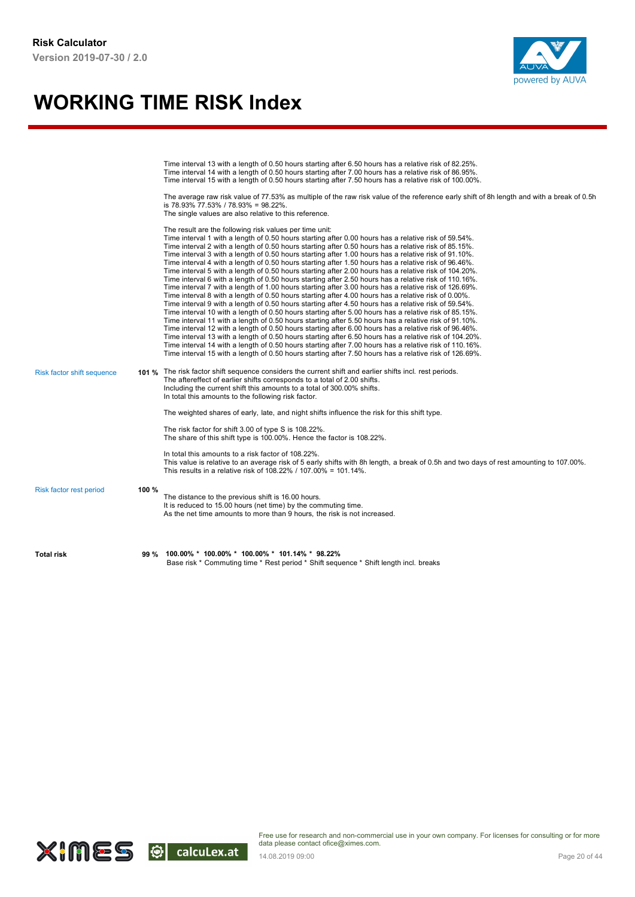

|                            |       | Time interval 13 with a length of 0.50 hours starting after 6.50 hours has a relative risk of 82.25%.<br>Time interval 14 with a length of 0.50 hours starting after 7.00 hours has a relative risk of 86.95%.<br>Time interval 15 with a length of 0.50 hours starting after 7.50 hours has a relative risk of 100.00%.<br>The average raw risk value of 77.53% as multiple of the raw risk value of the reference early shift of 8h length and with a break of 0.5h<br>is 78.93% 77.53% / 78.93% = 98.22%.<br>The single values are also relative to this reference.                                                                                                                                                                                                                                                                                                                                                                                                                                                                                                                                                                                                                                                                                                                                                                                                                                                                                                                                                                                                                                                                                                                     |
|----------------------------|-------|--------------------------------------------------------------------------------------------------------------------------------------------------------------------------------------------------------------------------------------------------------------------------------------------------------------------------------------------------------------------------------------------------------------------------------------------------------------------------------------------------------------------------------------------------------------------------------------------------------------------------------------------------------------------------------------------------------------------------------------------------------------------------------------------------------------------------------------------------------------------------------------------------------------------------------------------------------------------------------------------------------------------------------------------------------------------------------------------------------------------------------------------------------------------------------------------------------------------------------------------------------------------------------------------------------------------------------------------------------------------------------------------------------------------------------------------------------------------------------------------------------------------------------------------------------------------------------------------------------------------------------------------------------------------------------------------|
|                            |       | The result are the following risk values per time unit:<br>Time interval 1 with a length of 0.50 hours starting after 0.00 hours has a relative risk of 59.54%.<br>Time interval 2 with a length of 0.50 hours starting after 0.50 hours has a relative risk of 85.15%.<br>Time interval 3 with a length of 0.50 hours starting after 1.00 hours has a relative risk of 91.10%.<br>Time interval 4 with a length of 0.50 hours starting after 1.50 hours has a relative risk of 96.46%.<br>Time interval 5 with a length of 0.50 hours starting after 2.00 hours has a relative risk of 104.20%.<br>Time interval 6 with a length of 0.50 hours starting after 2.50 hours has a relative risk of 110.16%.<br>Time interval 7 with a length of 1.00 hours starting after 3.00 hours has a relative risk of 126.69%.<br>Time interval 8 with a length of 0.50 hours starting after 4.00 hours has a relative risk of 0.00%.<br>Time interval 9 with a length of 0.50 hours starting after 4.50 hours has a relative risk of 59.54%.<br>Time interval 10 with a length of 0.50 hours starting after 5.00 hours has a relative risk of 85.15%.<br>Time interval 11 with a length of 0.50 hours starting after 5.50 hours has a relative risk of 91.10%.<br>Time interval 12 with a length of 0.50 hours starting after 6.00 hours has a relative risk of 96.46%.<br>Time interval 13 with a length of 0.50 hours starting after 6.50 hours has a relative risk of 104.20%.<br>Time interval 14 with a length of 0.50 hours starting after 7.00 hours has a relative risk of 110.16%.<br>Time interval 15 with a length of 0.50 hours starting after 7.50 hours has a relative risk of 126.69%. |
| Risk factor shift sequence |       | 101 % The risk factor shift sequence considers the current shift and earlier shifts incl. rest periods.<br>The aftereffect of earlier shifts corresponds to a total of 2.00 shifts.<br>Including the current shift this amounts to a total of 300.00% shifts.<br>In total this amounts to the following risk factor.                                                                                                                                                                                                                                                                                                                                                                                                                                                                                                                                                                                                                                                                                                                                                                                                                                                                                                                                                                                                                                                                                                                                                                                                                                                                                                                                                                       |
|                            |       | The weighted shares of early, late, and night shifts influence the risk for this shift type.                                                                                                                                                                                                                                                                                                                                                                                                                                                                                                                                                                                                                                                                                                                                                                                                                                                                                                                                                                                                                                                                                                                                                                                                                                                                                                                                                                                                                                                                                                                                                                                               |
|                            |       | The risk factor for shift 3.00 of type S is 108.22%.<br>The share of this shift type is 100.00%. Hence the factor is 108.22%.                                                                                                                                                                                                                                                                                                                                                                                                                                                                                                                                                                                                                                                                                                                                                                                                                                                                                                                                                                                                                                                                                                                                                                                                                                                                                                                                                                                                                                                                                                                                                              |
|                            |       | In total this amounts to a risk factor of 108.22%.<br>This value is relative to an average risk of 5 early shifts with 8h length, a break of 0.5h and two days of rest amounting to 107.00%.<br>This results in a relative risk of 108.22% / 107.00% = 101.14%.                                                                                                                                                                                                                                                                                                                                                                                                                                                                                                                                                                                                                                                                                                                                                                                                                                                                                                                                                                                                                                                                                                                                                                                                                                                                                                                                                                                                                            |
| Risk factor rest period    | 100 % | The distance to the previous shift is 16.00 hours.<br>It is reduced to 15.00 hours (net time) by the commuting time.<br>As the net time amounts to more than 9 hours, the risk is not increased.                                                                                                                                                                                                                                                                                                                                                                                                                                                                                                                                                                                                                                                                                                                                                                                                                                                                                                                                                                                                                                                                                                                                                                                                                                                                                                                                                                                                                                                                                           |
| <b>Total risk</b>          | 99 %  | 100.00% * 100.00% * 100.00% * 101.14% * 98.22%<br>Base risk * Commuting time * Rest period * Shift sequence * Shift length incl. breaks                                                                                                                                                                                                                                                                                                                                                                                                                                                                                                                                                                                                                                                                                                                                                                                                                                                                                                                                                                                                                                                                                                                                                                                                                                                                                                                                                                                                                                                                                                                                                    |

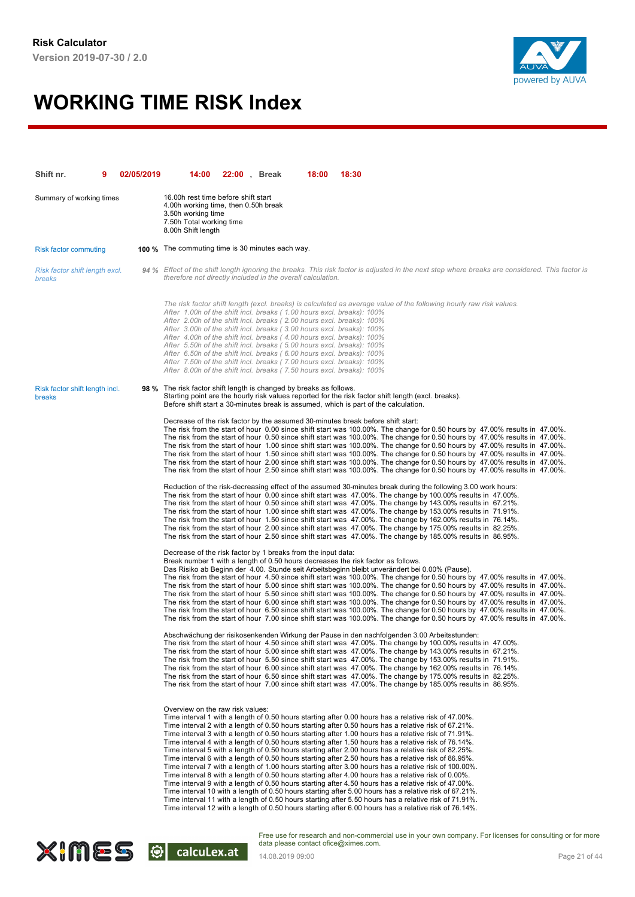

| Shift nr.                                | 02/05/2019 | 14:00                                                                                                                                                                                                                                                                                                                                                                                                                                                                                                                                                                                                | 22:00, Break | 18:00 | 18:30                                                                                                                                                                                                                                                                                                                                                                                                                                                                                                                                                                                                                                                                                                                                                                                                                                                                                                                                                                                                                                                                                                                                                                                                                                                                                           |
|------------------------------------------|------------|------------------------------------------------------------------------------------------------------------------------------------------------------------------------------------------------------------------------------------------------------------------------------------------------------------------------------------------------------------------------------------------------------------------------------------------------------------------------------------------------------------------------------------------------------------------------------------------------------|--------------|-------|-------------------------------------------------------------------------------------------------------------------------------------------------------------------------------------------------------------------------------------------------------------------------------------------------------------------------------------------------------------------------------------------------------------------------------------------------------------------------------------------------------------------------------------------------------------------------------------------------------------------------------------------------------------------------------------------------------------------------------------------------------------------------------------------------------------------------------------------------------------------------------------------------------------------------------------------------------------------------------------------------------------------------------------------------------------------------------------------------------------------------------------------------------------------------------------------------------------------------------------------------------------------------------------------------|
| Summary of working times                 |            | 16.00h rest time before shift start<br>4.00h working time, then 0.50h break<br>3.50h working time<br>7.50h Total working time<br>8.00h Shift length                                                                                                                                                                                                                                                                                                                                                                                                                                                  |              |       |                                                                                                                                                                                                                                                                                                                                                                                                                                                                                                                                                                                                                                                                                                                                                                                                                                                                                                                                                                                                                                                                                                                                                                                                                                                                                                 |
| <b>Risk factor commuting</b>             |            | <b>100 %</b> The commuting time is 30 minutes each way.                                                                                                                                                                                                                                                                                                                                                                                                                                                                                                                                              |              |       |                                                                                                                                                                                                                                                                                                                                                                                                                                                                                                                                                                                                                                                                                                                                                                                                                                                                                                                                                                                                                                                                                                                                                                                                                                                                                                 |
| Risk factor shift length excl.<br>breaks |            | therefore not directly included in the overall calculation.                                                                                                                                                                                                                                                                                                                                                                                                                                                                                                                                          |              |       | 94 % Effect of the shift length ignoring the breaks. This risk factor is adjusted in the next step where breaks are considered. This factor is                                                                                                                                                                                                                                                                                                                                                                                                                                                                                                                                                                                                                                                                                                                                                                                                                                                                                                                                                                                                                                                                                                                                                  |
|                                          |            | After 1.00h of the shift incl. breaks (1.00 hours excl. breaks): 100%<br>After 2.00h of the shift incl. breaks (2.00 hours excl. breaks): 100%<br>After 3.00h of the shift incl. breaks (3.00 hours excl. breaks): 100%<br>After 4.00h of the shift incl. breaks (4.00 hours excl. breaks): 100%<br>After 5.50h of the shift incl. breaks (5.00 hours excl. breaks): 100%<br>After 6.50h of the shift incl. breaks (6.00 hours excl. breaks): 100%<br>After 7.50h of the shift incl. breaks (7.00 hours excl. breaks): 100%<br>After 8.00h of the shift incl. breaks (7.50 hours excl. breaks): 100% |              |       | The risk factor shift length (excl. breaks) is calculated as average value of the following hourly raw risk values.                                                                                                                                                                                                                                                                                                                                                                                                                                                                                                                                                                                                                                                                                                                                                                                                                                                                                                                                                                                                                                                                                                                                                                             |
| Risk factor shift length incl.<br>breaks |            | 98 % The risk factor shift length is changed by breaks as follows.                                                                                                                                                                                                                                                                                                                                                                                                                                                                                                                                   |              |       | Starting point are the hourly risk values reported for the risk factor shift length (excl. breaks).<br>Before shift start a 30-minutes break is assumed, which is part of the calculation.                                                                                                                                                                                                                                                                                                                                                                                                                                                                                                                                                                                                                                                                                                                                                                                                                                                                                                                                                                                                                                                                                                      |
|                                          |            |                                                                                                                                                                                                                                                                                                                                                                                                                                                                                                                                                                                                      |              |       | Decrease of the risk factor by the assumed 30-minutes break before shift start:<br>The risk from the start of hour 0.00 since shift start was 100.00%. The change for 0.50 hours by 47.00% results in 47.00%.<br>The risk from the start of hour 0.50 since shift start was 100.00%. The change for 0.50 hours by 47.00% results in 47.00%.<br>The risk from the start of hour 1.00 since shift start was 100.00%. The change for 0.50 hours by 47.00% results in 47.00%.<br>The risk from the start of hour 1.50 since shift start was 100.00%. The change for 0.50 hours by 47.00% results in 47.00%.<br>The risk from the start of hour 2.00 since shift start was 100.00%. The change for 0.50 hours by 47.00% results in 47.00%.<br>The risk from the start of hour 2.50 since shift start was 100.00%. The change for 0.50 hours by 47.00% results in 47.00%.                                                                                                                                                                                                                                                                                                                                                                                                                             |
|                                          |            |                                                                                                                                                                                                                                                                                                                                                                                                                                                                                                                                                                                                      |              |       | Reduction of the risk-decreasing effect of the assumed 30-minutes break during the following 3.00 work hours:<br>The risk from the start of hour 0.00 since shift start was 47.00%. The change by 100.00% results in 47.00%.<br>The risk from the start of hour 0.50 since shift start was 47.00%. The change by 143.00% results in 67.21%.<br>The risk from the start of hour 1.00 since shift start was 47.00%. The change by 153.00% results in 71.91%.<br>The risk from the start of hour 1.50 since shift start was 47.00%. The change by 162.00% results in 76.14%.<br>The risk from the start of hour 2.00 since shift start was 47.00%. The change by 175.00% results in 82.25%.<br>The risk from the start of hour 2.50 since shift start was 47.00%. The change by 185.00% results in 86.95%.                                                                                                                                                                                                                                                                                                                                                                                                                                                                                         |
|                                          |            | Decrease of the risk factor by 1 breaks from the input data:                                                                                                                                                                                                                                                                                                                                                                                                                                                                                                                                         |              |       | Break number 1 with a length of 0.50 hours decreases the risk factor as follows.<br>Das Risiko ab Beginn der 4.00. Stunde seit Arbeitsbeginn bleibt unverändert bei 0.00% (Pause).<br>The risk from the start of hour 4.50 since shift start was 100.00%. The change for 0.50 hours by 47.00% results in 47.00%.<br>The risk from the start of hour 5.00 since shift start was 100.00%. The change for 0.50 hours by 47.00% results in 47.00%.<br>The risk from the start of hour 5.50 since shift start was 100.00%. The change for 0.50 hours by 47.00% results in 47.00%.<br>The risk from the start of hour 6.00 since shift start was 100.00%. The change for 0.50 hours by 47.00% results in 47.00%.<br>The risk from the start of hour 6.50 since shift start was 100.00%. The change for 0.50 hours by 47.00% results in 47.00%.<br>The risk from the start of hour 7.00 since shift start was 100.00%. The change for 0.50 hours by 47.00% results in 47.00%.                                                                                                                                                                                                                                                                                                                          |
|                                          |            |                                                                                                                                                                                                                                                                                                                                                                                                                                                                                                                                                                                                      |              |       | Abschwächung der risikosenkenden Wirkung der Pause in den nachfolgenden 3.00 Arbeitsstunden:<br>The risk from the start of hour 4.50 since shift start was 47.00%. The change by 100.00% results in 47.00%.<br>The risk from the start of hour 5.00 since shift start was 47.00%. The change by 143.00% results in 67.21%.<br>The risk from the start of hour 5.50 since shift start was 47.00%. The change by 153.00% results in 71.91%.<br>The risk from the start of hour 6.00 since shift start was 47.00%. The change by 162.00% results in 76.14%.<br>The risk from the start of hour 6.50 since shift start was 47.00%. The change by 175.00% results in 82.25%.<br>The risk from the start of hour 7.00 since shift start was 47.00%. The change by 185.00% results in 86.95%.                                                                                                                                                                                                                                                                                                                                                                                                                                                                                                          |
|                                          |            | Overview on the raw risk values:                                                                                                                                                                                                                                                                                                                                                                                                                                                                                                                                                                     |              |       | Time interval 1 with a length of 0.50 hours starting after 0.00 hours has a relative risk of 47.00%.<br>Time interval 2 with a length of 0.50 hours starting after 0.50 hours has a relative risk of 67.21%.<br>Time interval 3 with a length of 0.50 hours starting after 1.00 hours has a relative risk of 71.91%.<br>Time interval 4 with a length of 0.50 hours starting after 1.50 hours has a relative risk of 76.14%.<br>Time interval 5 with a length of 0.50 hours starting after 2.00 hours has a relative risk of 82.25%.<br>Time interval 6 with a length of 0.50 hours starting after 2.50 hours has a relative risk of 86.95%.<br>Time interval 7 with a length of 1.00 hours starting after 3.00 hours has a relative risk of 100.00%.<br>Time interval 8 with a length of 0.50 hours starting after 4.00 hours has a relative risk of 0.00%.<br>Time interval 9 with a length of 0.50 hours starting after 4.50 hours has a relative risk of 47.00%.<br>Time interval 10 with a length of 0.50 hours starting after 5.00 hours has a relative risk of 67.21%.<br>Time interval 11 with a length of 0.50 hours starting after 5.50 hours has a relative risk of 71.91%.<br>Time interval 12 with a length of 0.50 hours starting after 6.00 hours has a relative risk of 76.14%. |

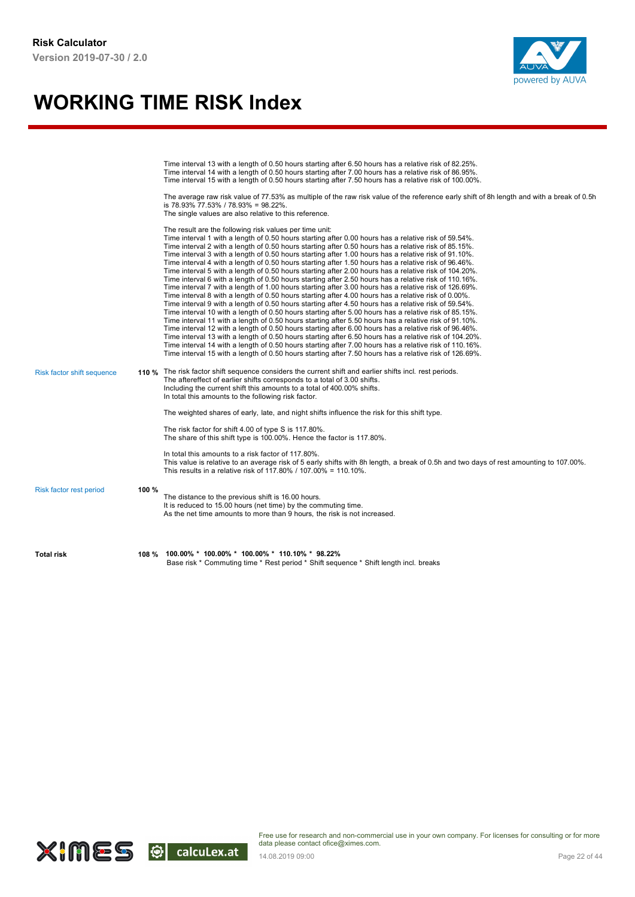

|                            |       | Time interval 13 with a length of 0.50 hours starting after 6.50 hours has a relative risk of 82.25%.<br>Time interval 14 with a length of 0.50 hours starting after 7.00 hours has a relative risk of 86.95%.<br>Time interval 15 with a length of 0.50 hours starting after 7.50 hours has a relative risk of 100.00%.<br>The average raw risk value of 77.53% as multiple of the raw risk value of the reference early shift of 8h length and with a break of 0.5h<br>is 78.93% 77.53% / 78.93% = 98.22%.<br>The single values are also relative to this reference.<br>The result are the following risk values per time unit:<br>Time interval 1 with a length of 0.50 hours starting after 0.00 hours has a relative risk of 59.54%.<br>Time interval 2 with a length of 0.50 hours starting after 0.50 hours has a relative risk of 85.15%.<br>Time interval 3 with a length of 0.50 hours starting after 1.00 hours has a relative risk of 91.10%.<br>Time interval 4 with a length of 0.50 hours starting after 1.50 hours has a relative risk of 96.46%.<br>Time interval 5 with a length of 0.50 hours starting after 2.00 hours has a relative risk of 104.20%.<br>Time interval 6 with a length of 0.50 hours starting after 2.50 hours has a relative risk of 110.16%.<br>Time interval 7 with a length of 1.00 hours starting after 3.00 hours has a relative risk of 126.69%.<br>Time interval 8 with a length of 0.50 hours starting after 4.00 hours has a relative risk of 0.00%.<br>Time interval 9 with a length of 0.50 hours starting after 4.50 hours has a relative risk of 59.54%. |
|----------------------------|-------|-------------------------------------------------------------------------------------------------------------------------------------------------------------------------------------------------------------------------------------------------------------------------------------------------------------------------------------------------------------------------------------------------------------------------------------------------------------------------------------------------------------------------------------------------------------------------------------------------------------------------------------------------------------------------------------------------------------------------------------------------------------------------------------------------------------------------------------------------------------------------------------------------------------------------------------------------------------------------------------------------------------------------------------------------------------------------------------------------------------------------------------------------------------------------------------------------------------------------------------------------------------------------------------------------------------------------------------------------------------------------------------------------------------------------------------------------------------------------------------------------------------------------------------------------------------------------------------------------------------|
| Risk factor shift sequence |       | Time interval 10 with a length of 0.50 hours starting after 5.00 hours has a relative risk of 85.15%.<br>Time interval 11 with a length of 0.50 hours starting after 5.50 hours has a relative risk of 91.10%.<br>Time interval 12 with a length of 0.50 hours starting after 6.00 hours has a relative risk of 96.46%.<br>Time interval 13 with a length of 0.50 hours starting after 6.50 hours has a relative risk of 104.20%.<br>Time interval 14 with a length of 0.50 hours starting after 7.00 hours has a relative risk of 110.16%.<br>Time interval 15 with a length of 0.50 hours starting after 7.50 hours has a relative risk of 126.69%.<br>110 % The risk factor shift sequence considers the current shift and earlier shifts incl. rest periods.<br>The aftereffect of earlier shifts corresponds to a total of 3.00 shifts.<br>Including the current shift this amounts to a total of 400.00% shifts.                                                                                                                                                                                                                                                                                                                                                                                                                                                                                                                                                                                                                                                                                      |
|                            |       | In total this amounts to the following risk factor.<br>The weighted shares of early, late, and night shifts influence the risk for this shift type.<br>The risk factor for shift 4.00 of type S is 117.80%.<br>The share of this shift type is 100.00%. Hence the factor is 117.80%.<br>In total this amounts to a risk factor of 117.80%.<br>This value is relative to an average risk of 5 early shifts with 8h length, a break of 0.5h and two days of rest amounting to 107.00%.                                                                                                                                                                                                                                                                                                                                                                                                                                                                                                                                                                                                                                                                                                                                                                                                                                                                                                                                                                                                                                                                                                                        |
| Risk factor rest period    | 100 % | This results in a relative risk of 117.80% / 107.00% = 110.10%.<br>The distance to the previous shift is 16.00 hours.<br>It is reduced to 15.00 hours (net time) by the commuting time.<br>As the net time amounts to more than 9 hours, the risk is not increased.                                                                                                                                                                                                                                                                                                                                                                                                                                                                                                                                                                                                                                                                                                                                                                                                                                                                                                                                                                                                                                                                                                                                                                                                                                                                                                                                         |
| <b>Total risk</b>          | 108 % | $100.00\% * 100.00\% * 100.00\% * 110.10\% * 98.22\%$<br>Base risk * Commuting time * Rest period * Shift sequence * Shift length incl. breaks                                                                                                                                                                                                                                                                                                                                                                                                                                                                                                                                                                                                                                                                                                                                                                                                                                                                                                                                                                                                                                                                                                                                                                                                                                                                                                                                                                                                                                                              |

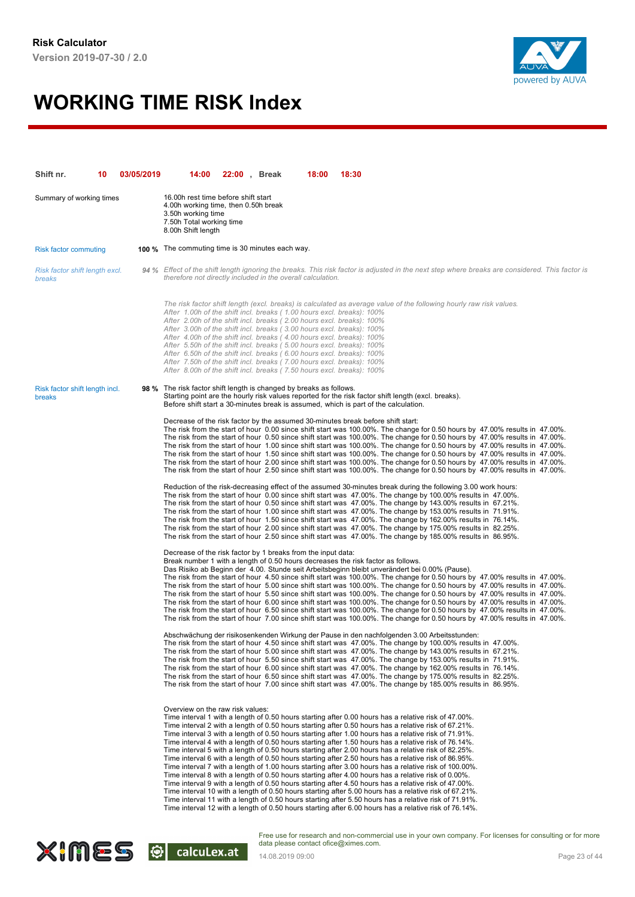

| Shift nr.                                       | 10 | 03/05/2019 | 14:00                                                                                                                                                                                                                                                                                                                                                                                                                                                                                                                                                                                                                                                                                                                                                                                                                                                                                                                                                                                                                                                                                                                                                                                                                                                                                                                               | <b>22:00</b> , Break | 18:00 | 18:30 |  |                                                                                                                                                                                                                                                                                                                                                                                                                                                                                                                                                                                                                                                                                                                                                                                  |  |
|-------------------------------------------------|----|------------|-------------------------------------------------------------------------------------------------------------------------------------------------------------------------------------------------------------------------------------------------------------------------------------------------------------------------------------------------------------------------------------------------------------------------------------------------------------------------------------------------------------------------------------------------------------------------------------------------------------------------------------------------------------------------------------------------------------------------------------------------------------------------------------------------------------------------------------------------------------------------------------------------------------------------------------------------------------------------------------------------------------------------------------------------------------------------------------------------------------------------------------------------------------------------------------------------------------------------------------------------------------------------------------------------------------------------------------|----------------------|-------|-------|--|----------------------------------------------------------------------------------------------------------------------------------------------------------------------------------------------------------------------------------------------------------------------------------------------------------------------------------------------------------------------------------------------------------------------------------------------------------------------------------------------------------------------------------------------------------------------------------------------------------------------------------------------------------------------------------------------------------------------------------------------------------------------------------|--|
| Summary of working times                        |    |            | 16.00h rest time before shift start<br>4.00h working time, then 0.50h break<br>3.50h working time<br>7.50h Total working time<br>8.00h Shift length                                                                                                                                                                                                                                                                                                                                                                                                                                                                                                                                                                                                                                                                                                                                                                                                                                                                                                                                                                                                                                                                                                                                                                                 |                      |       |       |  |                                                                                                                                                                                                                                                                                                                                                                                                                                                                                                                                                                                                                                                                                                                                                                                  |  |
| <b>Risk factor commuting</b>                    |    |            | <b>100 %</b> The commuting time is 30 minutes each way.                                                                                                                                                                                                                                                                                                                                                                                                                                                                                                                                                                                                                                                                                                                                                                                                                                                                                                                                                                                                                                                                                                                                                                                                                                                                             |                      |       |       |  |                                                                                                                                                                                                                                                                                                                                                                                                                                                                                                                                                                                                                                                                                                                                                                                  |  |
| Risk factor shift length excl.<br>breaks        |    |            | 94 % Effect of the shift length ignoring the breaks. This risk factor is adjusted in the next step where breaks are considered. This factor is<br>therefore not directly included in the overall calculation.                                                                                                                                                                                                                                                                                                                                                                                                                                                                                                                                                                                                                                                                                                                                                                                                                                                                                                                                                                                                                                                                                                                       |                      |       |       |  |                                                                                                                                                                                                                                                                                                                                                                                                                                                                                                                                                                                                                                                                                                                                                                                  |  |
|                                                 |    |            | The risk factor shift length (excl. breaks) is calculated as average value of the following hourly raw risk values.<br>After 1.00h of the shift incl. breaks (1.00 hours excl. breaks): 100%<br>After 2.00h of the shift incl. breaks (2.00 hours excl. breaks): 100%<br>After 3.00h of the shift incl. breaks (3.00 hours excl. breaks): 100%<br>After 4.00h of the shift incl. breaks (4.00 hours excl. breaks): 100%<br>After 5.50h of the shift incl. breaks (5.00 hours excl. breaks): 100%<br>After 6.50h of the shift incl. breaks (6.00 hours excl. breaks): 100%<br>After 7.50h of the shift incl. breaks (7.00 hours excl. breaks): 100%<br>After 8.00h of the shift incl. breaks (7.50 hours excl. breaks): 100%                                                                                                                                                                                                                                                                                                                                                                                                                                                                                                                                                                                                         |                      |       |       |  |                                                                                                                                                                                                                                                                                                                                                                                                                                                                                                                                                                                                                                                                                                                                                                                  |  |
| Risk factor shift length incl.<br><b>breaks</b> |    |            | 98 % The risk factor shift length is changed by breaks as follows.<br>Starting point are the hourly risk values reported for the risk factor shift length (excl. breaks).<br>Before shift start a 30-minutes break is assumed, which is part of the calculation.                                                                                                                                                                                                                                                                                                                                                                                                                                                                                                                                                                                                                                                                                                                                                                                                                                                                                                                                                                                                                                                                    |                      |       |       |  |                                                                                                                                                                                                                                                                                                                                                                                                                                                                                                                                                                                                                                                                                                                                                                                  |  |
|                                                 |    |            | Decrease of the risk factor by the assumed 30-minutes break before shift start:                                                                                                                                                                                                                                                                                                                                                                                                                                                                                                                                                                                                                                                                                                                                                                                                                                                                                                                                                                                                                                                                                                                                                                                                                                                     |                      |       |       |  | The risk from the start of hour 0.00 since shift start was 100.00%. The change for 0.50 hours by 47.00% results in 47.00%.<br>The risk from the start of hour 0.50 since shift start was 100.00%. The change for 0.50 hours by 47.00% results in 47.00%.<br>The risk from the start of hour 1.00 since shift start was 100.00%. The change for 0.50 hours by 47.00% results in 47.00%.<br>The risk from the start of hour 1.50 since shift start was 100.00%. The change for 0.50 hours by 47.00% results in 47.00%.<br>The risk from the start of hour 2.00 since shift start was 100.00%. The change for 0.50 hours by 47.00% results in 47.00%.<br>The risk from the start of hour 2.50 since shift start was 100.00%. The change for 0.50 hours by 47.00% results in 47.00%. |  |
|                                                 |    |            | Reduction of the risk-decreasing effect of the assumed 30-minutes break during the following 3.00 work hours:<br>The risk from the start of hour 0.00 since shift start was 47.00%. The change by 100.00% results in 47.00%.<br>The risk from the start of hour 0.50 since shift start was 47.00%. The change by 143.00% results in 67.21%.<br>The risk from the start of hour 1.00 since shift start was 47.00%. The change by 153.00% results in 71.91%.<br>The risk from the start of hour 1.50 since shift start was 47.00%. The change by 162.00% results in 76.14%.<br>The risk from the start of hour 2.00 since shift start was 47.00%. The change by 175.00% results in 82.25%.<br>The risk from the start of hour 2.50 since shift start was 47.00%. The change by 185.00% results in 86.95%.                                                                                                                                                                                                                                                                                                                                                                                                                                                                                                                             |                      |       |       |  |                                                                                                                                                                                                                                                                                                                                                                                                                                                                                                                                                                                                                                                                                                                                                                                  |  |
|                                                 |    |            | Decrease of the risk factor by 1 breaks from the input data:<br>Break number 1 with a length of 0.50 hours decreases the risk factor as follows.<br>Das Risiko ab Beginn der 4.00. Stunde seit Arbeitsbeginn bleibt unverändert bei 0.00% (Pause).                                                                                                                                                                                                                                                                                                                                                                                                                                                                                                                                                                                                                                                                                                                                                                                                                                                                                                                                                                                                                                                                                  |                      |       |       |  | The risk from the start of hour 4.50 since shift start was 100.00%. The change for 0.50 hours by 47.00% results in 47.00%.<br>The risk from the start of hour 5.00 since shift start was 100.00%. The change for 0.50 hours by 47.00% results in 47.00%.<br>The risk from the start of hour 5.50 since shift start was 100.00%. The change for 0.50 hours by 47.00% results in 47.00%.<br>The risk from the start of hour 6.00 since shift start was 100.00%. The change for 0.50 hours by 47.00% results in 47.00%.<br>The risk from the start of hour 6.50 since shift start was 100.00%. The change for 0.50 hours by 47.00% results in 47.00%.<br>The risk from the start of hour 7.00 since shift start was 100.00%. The change for 0.50 hours by 47.00% results in 47.00%. |  |
|                                                 |    |            | Abschwächung der risikosenkenden Wirkung der Pause in den nachfolgenden 3.00 Arbeitsstunden:<br>The risk from the start of hour 4.50 since shift start was 47.00%. The change by 100.00% results in 47.00%.<br>The risk from the start of hour 5.00 since shift start was 47.00%. The change by 143.00% results in 67.21%.<br>The risk from the start of hour 5.50 since shift start was 47.00%. The change by 153.00% results in 71.91%.<br>The risk from the start of hour 6.00 since shift start was 47.00%. The change by 162.00% results in 76.14%.<br>The risk from the start of hour 6.50 since shift start was 47.00%. The change by 175.00% results in 82.25%.<br>The risk from the start of hour 7.00 since shift start was 47.00%. The change by 185.00% results in 86.95%.                                                                                                                                                                                                                                                                                                                                                                                                                                                                                                                                              |                      |       |       |  |                                                                                                                                                                                                                                                                                                                                                                                                                                                                                                                                                                                                                                                                                                                                                                                  |  |
|                                                 |    |            | Overview on the raw risk values:<br>Time interval 1 with a length of 0.50 hours starting after 0.00 hours has a relative risk of 47.00%.<br>Time interval 2 with a length of 0.50 hours starting after 0.50 hours has a relative risk of 67.21%.<br>Time interval 3 with a length of 0.50 hours starting after 1.00 hours has a relative risk of 71.91%.<br>Time interval 4 with a length of 0.50 hours starting after 1.50 hours has a relative risk of 76.14%.<br>Time interval 5 with a length of 0.50 hours starting after 2.00 hours has a relative risk of 82.25%.<br>Time interval 6 with a length of 0.50 hours starting after 2.50 hours has a relative risk of 86.95%.<br>Time interval 7 with a length of 1.00 hours starting after 3.00 hours has a relative risk of 100.00%.<br>Time interval 8 with a length of 0.50 hours starting after 4.00 hours has a relative risk of 0.00%.<br>Time interval 9 with a length of 0.50 hours starting after 4.50 hours has a relative risk of 47.00%.<br>Time interval 10 with a length of 0.50 hours starting after 5.00 hours has a relative risk of 67.21%.<br>Time interval 11 with a length of 0.50 hours starting after 5.50 hours has a relative risk of 71.91%.<br>Time interval 12 with a length of 0.50 hours starting after 6.00 hours has a relative risk of 76.14%. |                      |       |       |  |                                                                                                                                                                                                                                                                                                                                                                                                                                                                                                                                                                                                                                                                                                                                                                                  |  |

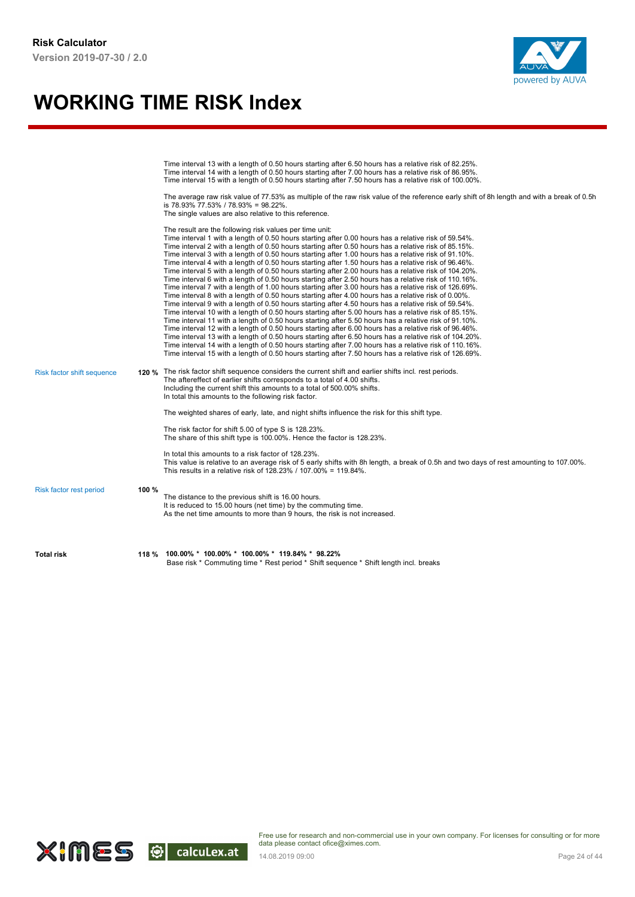

|                            |       | Time interval 13 with a length of 0.50 hours starting after 6.50 hours has a relative risk of 82.25%.<br>Time interval 14 with a length of 0.50 hours starting after 7.00 hours has a relative risk of 86.95%.<br>Time interval 15 with a length of 0.50 hours starting after 7.50 hours has a relative risk of 100.00%.<br>The average raw risk value of 77.53% as multiple of the raw risk value of the reference early shift of 8h length and with a break of 0.5h<br>is 78.93% 77.53% / 78.93% = 98.22%.<br>The single values are also relative to this reference.                                                                                                                                                                                                                                                                                                                                                                                                                                                                                                                                                                                                                                                                                                                                                                                                                                                                                                                                                                                                                                                                                                                     |
|----------------------------|-------|--------------------------------------------------------------------------------------------------------------------------------------------------------------------------------------------------------------------------------------------------------------------------------------------------------------------------------------------------------------------------------------------------------------------------------------------------------------------------------------------------------------------------------------------------------------------------------------------------------------------------------------------------------------------------------------------------------------------------------------------------------------------------------------------------------------------------------------------------------------------------------------------------------------------------------------------------------------------------------------------------------------------------------------------------------------------------------------------------------------------------------------------------------------------------------------------------------------------------------------------------------------------------------------------------------------------------------------------------------------------------------------------------------------------------------------------------------------------------------------------------------------------------------------------------------------------------------------------------------------------------------------------------------------------------------------------|
|                            |       | The result are the following risk values per time unit:<br>Time interval 1 with a length of 0.50 hours starting after 0.00 hours has a relative risk of 59.54%.<br>Time interval 2 with a length of 0.50 hours starting after 0.50 hours has a relative risk of 85.15%.<br>Time interval 3 with a length of 0.50 hours starting after 1.00 hours has a relative risk of 91.10%.<br>Time interval 4 with a length of 0.50 hours starting after 1.50 hours has a relative risk of 96.46%.<br>Time interval 5 with a length of 0.50 hours starting after 2.00 hours has a relative risk of 104.20%.<br>Time interval 6 with a length of 0.50 hours starting after 2.50 hours has a relative risk of 110.16%.<br>Time interval 7 with a length of 1.00 hours starting after 3.00 hours has a relative risk of 126.69%.<br>Time interval 8 with a length of 0.50 hours starting after 4.00 hours has a relative risk of 0.00%.<br>Time interval 9 with a length of 0.50 hours starting after 4.50 hours has a relative risk of 59.54%.<br>Time interval 10 with a length of 0.50 hours starting after 5.00 hours has a relative risk of 85.15%.<br>Time interval 11 with a length of 0.50 hours starting after 5.50 hours has a relative risk of 91.10%.<br>Time interval 12 with a length of 0.50 hours starting after 6.00 hours has a relative risk of 96.46%.<br>Time interval 13 with a length of 0.50 hours starting after 6.50 hours has a relative risk of 104.20%.<br>Time interval 14 with a length of 0.50 hours starting after 7.00 hours has a relative risk of 110.16%.<br>Time interval 15 with a length of 0.50 hours starting after 7.50 hours has a relative risk of 126.69%. |
| Risk factor shift sequence |       | 120 % The risk factor shift sequence considers the current shift and earlier shifts incl. rest periods.<br>The aftereffect of earlier shifts corresponds to a total of 4.00 shifts.<br>Including the current shift this amounts to a total of 500.00% shifts.<br>In total this amounts to the following risk factor.                                                                                                                                                                                                                                                                                                                                                                                                                                                                                                                                                                                                                                                                                                                                                                                                                                                                                                                                                                                                                                                                                                                                                                                                                                                                                                                                                                       |
|                            |       | The weighted shares of early, late, and night shifts influence the risk for this shift type.                                                                                                                                                                                                                                                                                                                                                                                                                                                                                                                                                                                                                                                                                                                                                                                                                                                                                                                                                                                                                                                                                                                                                                                                                                                                                                                                                                                                                                                                                                                                                                                               |
|                            |       | The risk factor for shift 5.00 of type S is 128.23%.<br>The share of this shift type is 100.00%. Hence the factor is 128.23%.                                                                                                                                                                                                                                                                                                                                                                                                                                                                                                                                                                                                                                                                                                                                                                                                                                                                                                                                                                                                                                                                                                                                                                                                                                                                                                                                                                                                                                                                                                                                                              |
|                            |       | In total this amounts to a risk factor of 128.23%.<br>This value is relative to an average risk of 5 early shifts with 8h length, a break of 0.5h and two days of rest amounting to 107.00%.<br>This results in a relative risk of 128.23% / 107.00% = 119.84%.                                                                                                                                                                                                                                                                                                                                                                                                                                                                                                                                                                                                                                                                                                                                                                                                                                                                                                                                                                                                                                                                                                                                                                                                                                                                                                                                                                                                                            |
| Risk factor rest period    | 100 % | The distance to the previous shift is 16.00 hours.<br>It is reduced to 15.00 hours (net time) by the commuting time.<br>As the net time amounts to more than 9 hours, the risk is not increased.                                                                                                                                                                                                                                                                                                                                                                                                                                                                                                                                                                                                                                                                                                                                                                                                                                                                                                                                                                                                                                                                                                                                                                                                                                                                                                                                                                                                                                                                                           |
| <b>Total risk</b>          | 118 % | $100.00\% * 100.00\% * 100.00\% * 119.84\% * 98.22\%$<br>Base risk * Commuting time * Rest period * Shift sequence * Shift length incl. breaks                                                                                                                                                                                                                                                                                                                                                                                                                                                                                                                                                                                                                                                                                                                                                                                                                                                                                                                                                                                                                                                                                                                                                                                                                                                                                                                                                                                                                                                                                                                                             |

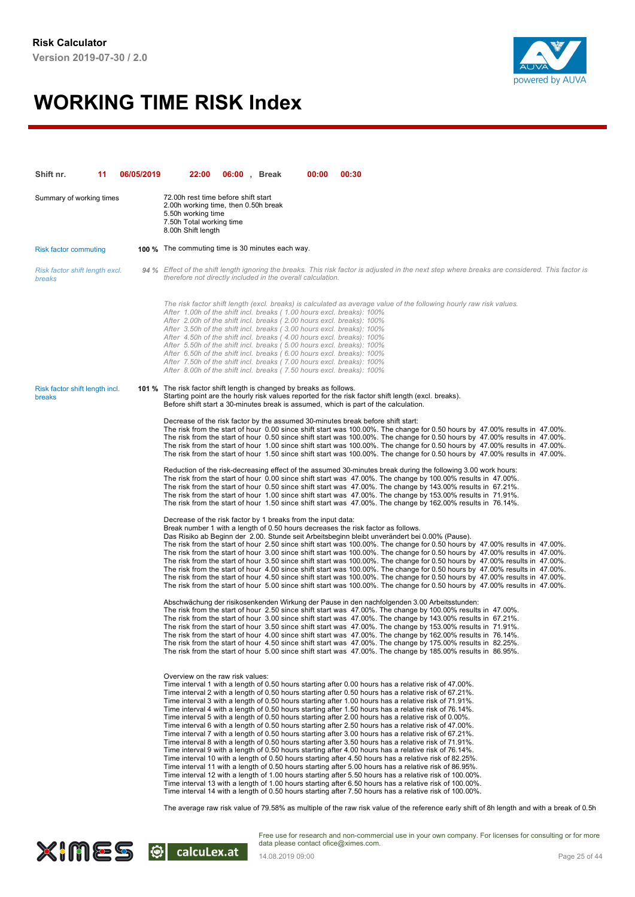

| Shift nr.                                | 11 | 06/05/2019 | 22:00                                                                                                                                                                                                                                                                                                                                                                                                                                                                                                                                                                                                | 06:00, Break | 00:00 | 00:30                                                                                                                                                                                                                                                                                                                                                                                                                                                                                                                                                                                                                                                                                                                                                                                                                                                                                                                                                                                                                                                                                                                                                                                                                                                                                                                                                                                                                                                                                                               |
|------------------------------------------|----|------------|------------------------------------------------------------------------------------------------------------------------------------------------------------------------------------------------------------------------------------------------------------------------------------------------------------------------------------------------------------------------------------------------------------------------------------------------------------------------------------------------------------------------------------------------------------------------------------------------------|--------------|-------|---------------------------------------------------------------------------------------------------------------------------------------------------------------------------------------------------------------------------------------------------------------------------------------------------------------------------------------------------------------------------------------------------------------------------------------------------------------------------------------------------------------------------------------------------------------------------------------------------------------------------------------------------------------------------------------------------------------------------------------------------------------------------------------------------------------------------------------------------------------------------------------------------------------------------------------------------------------------------------------------------------------------------------------------------------------------------------------------------------------------------------------------------------------------------------------------------------------------------------------------------------------------------------------------------------------------------------------------------------------------------------------------------------------------------------------------------------------------------------------------------------------------|
| Summary of working times                 |    |            | 72.00h rest time before shift start<br>2.00h working time, then 0.50h break<br>5.50h working time<br>7.50h Total working time<br>8.00h Shift length                                                                                                                                                                                                                                                                                                                                                                                                                                                  |              |       |                                                                                                                                                                                                                                                                                                                                                                                                                                                                                                                                                                                                                                                                                                                                                                                                                                                                                                                                                                                                                                                                                                                                                                                                                                                                                                                                                                                                                                                                                                                     |
| <b>Risk factor commuting</b>             |    |            | <b>100 %</b> The commuting time is 30 minutes each way.                                                                                                                                                                                                                                                                                                                                                                                                                                                                                                                                              |              |       |                                                                                                                                                                                                                                                                                                                                                                                                                                                                                                                                                                                                                                                                                                                                                                                                                                                                                                                                                                                                                                                                                                                                                                                                                                                                                                                                                                                                                                                                                                                     |
| Risk factor shift length excl.<br>breaks |    |            | therefore not directly included in the overall calculation.                                                                                                                                                                                                                                                                                                                                                                                                                                                                                                                                          |              |       | 94 % Effect of the shift length ignoring the breaks. This risk factor is adjusted in the next step where breaks are considered. This factor is                                                                                                                                                                                                                                                                                                                                                                                                                                                                                                                                                                                                                                                                                                                                                                                                                                                                                                                                                                                                                                                                                                                                                                                                                                                                                                                                                                      |
|                                          |    |            | After 1.00h of the shift incl. breaks (1.00 hours excl. breaks): 100%<br>After 2.00h of the shift incl. breaks (2.00 hours excl. breaks): 100%<br>After 3.50h of the shift incl. breaks (3.00 hours excl. breaks): 100%<br>After 4.50h of the shift incl. breaks (4.00 hours excl. breaks): 100%<br>After 5.50h of the shift incl. breaks (5.00 hours excl. breaks): 100%<br>After 6.50h of the shift incl. breaks (6.00 hours excl. breaks): 100%<br>After 7.50h of the shift incl. breaks (7.00 hours excl. breaks): 100%<br>After 8.00h of the shift incl. breaks (7.50 hours excl. breaks): 100% |              |       | The risk factor shift length (excl. breaks) is calculated as average value of the following hourly raw risk values.                                                                                                                                                                                                                                                                                                                                                                                                                                                                                                                                                                                                                                                                                                                                                                                                                                                                                                                                                                                                                                                                                                                                                                                                                                                                                                                                                                                                 |
| Risk factor shift length incl.<br>breaks |    |            | 101 % The risk factor shift length is changed by breaks as follows.                                                                                                                                                                                                                                                                                                                                                                                                                                                                                                                                  |              |       | Starting point are the hourly risk values reported for the risk factor shift length (excl. breaks).<br>Before shift start a 30-minutes break is assumed, which is part of the calculation.                                                                                                                                                                                                                                                                                                                                                                                                                                                                                                                                                                                                                                                                                                                                                                                                                                                                                                                                                                                                                                                                                                                                                                                                                                                                                                                          |
|                                          |    |            |                                                                                                                                                                                                                                                                                                                                                                                                                                                                                                                                                                                                      |              |       | Decrease of the risk factor by the assumed 30-minutes break before shift start:<br>The risk from the start of hour 0.00 since shift start was 100.00%. The change for 0.50 hours by 47.00% results in 47.00%.<br>The risk from the start of hour 0.50 since shift start was 100.00%. The change for 0.50 hours by 47.00% results in 47.00%.<br>The risk from the start of hour 1.00 since shift start was 100.00%. The change for 0.50 hours by 47.00% results in 47.00%.<br>The risk from the start of hour 1.50 since shift start was 100.00%. The change for 0.50 hours by 47.00% results in 47.00%.                                                                                                                                                                                                                                                                                                                                                                                                                                                                                                                                                                                                                                                                                                                                                                                                                                                                                                             |
|                                          |    |            |                                                                                                                                                                                                                                                                                                                                                                                                                                                                                                                                                                                                      |              |       | Reduction of the risk-decreasing effect of the assumed 30-minutes break during the following 3.00 work hours:<br>The risk from the start of hour 0.00 since shift start was 47.00%. The change by 100.00% results in 47.00%.<br>The risk from the start of hour 0.50 since shift start was 47.00%. The change by 143.00% results in 67.21%.<br>The risk from the start of hour 1.00 since shift start was 47.00%. The change by 153.00% results in 71.91%.<br>The risk from the start of hour 1.50 since shift start was 47.00%. The change by 162.00% results in 76.14%.                                                                                                                                                                                                                                                                                                                                                                                                                                                                                                                                                                                                                                                                                                                                                                                                                                                                                                                                           |
|                                          |    |            | Decrease of the risk factor by 1 breaks from the input data:                                                                                                                                                                                                                                                                                                                                                                                                                                                                                                                                         |              |       | Break number 1 with a length of 0.50 hours decreases the risk factor as follows.<br>Das Risiko ab Beginn der 2.00. Stunde seit Arbeitsbeginn bleibt unverändert bei 0.00% (Pause).<br>The risk from the start of hour 2.50 since shift start was 100.00%. The change for 0.50 hours by 47.00% results in 47.00%.<br>The risk from the start of hour 3.00 since shift start was 100.00%. The change for 0.50 hours by 47.00% results in 47.00%.<br>The risk from the start of hour 3.50 since shift start was 100.00%. The change for 0.50 hours by 47.00% results in 47.00%.<br>The risk from the start of hour 4.00 since shift start was 100.00%. The change for 0.50 hours by 47.00% results in 47.00%.<br>The risk from the start of hour 4.50 since shift start was 100.00%. The change for 0.50 hours by 47.00% results in 47.00%.<br>The risk from the start of hour 5.00 since shift start was 100.00%. The change for 0.50 hours by 47.00% results in 47.00%.                                                                                                                                                                                                                                                                                                                                                                                                                                                                                                                                              |
|                                          |    |            |                                                                                                                                                                                                                                                                                                                                                                                                                                                                                                                                                                                                      |              |       | Abschwächung der risikosenkenden Wirkung der Pause in den nachfolgenden 3.00 Arbeitsstunden:<br>The risk from the start of hour 2.50 since shift start was 47.00%. The change by 100.00% results in 47.00%.<br>The risk from the start of hour 3.00 since shift start was 47.00%. The change by 143.00% results in 67.21%.<br>The risk from the start of hour 3.50 since shift start was 47.00%. The change by 153.00% results in 71.91%.<br>The risk from the start of hour 4.00 since shift start was 47.00%. The change by 162.00% results in 76.14%.<br>The risk from the start of hour 4.50 since shift start was 47.00%. The change by 175.00% results in 82.25%.<br>The risk from the start of hour 5.00 since shift start was 47.00%. The change by 185.00% results in 86.95%.                                                                                                                                                                                                                                                                                                                                                                                                                                                                                                                                                                                                                                                                                                                              |
|                                          |    |            | Overview on the raw risk values:                                                                                                                                                                                                                                                                                                                                                                                                                                                                                                                                                                     |              |       | Time interval 1 with a length of 0.50 hours starting after 0.00 hours has a relative risk of 47.00%.<br>Time interval 2 with a length of 0.50 hours starting after 0.50 hours has a relative risk of 67.21%.<br>Time interval 3 with a length of 0.50 hours starting after 1.00 hours has a relative risk of 71.91%.<br>Time interval 4 with a length of 0.50 hours starting after 1.50 hours has a relative risk of 76.14%.<br>Time interval 5 with a length of 0.50 hours starting after 2.00 hours has a relative risk of 0.00%.<br>Time interval 6 with a length of 0.50 hours starting after 2.50 hours has a relative risk of 47.00%.<br>Time interval 7 with a length of 0.50 hours starting after 3.00 hours has a relative risk of 67.21%.<br>Time interval 8 with a length of 0.50 hours starting after 3.50 hours has a relative risk of 71.91%.<br>Time interval 9 with a length of 0.50 hours starting after 4.00 hours has a relative risk of 76.14%.<br>Time interval 10 with a length of 0.50 hours starting after 4.50 hours has a relative risk of 82.25%.<br>Time interval 11 with a length of 0.50 hours starting after 5.00 hours has a relative risk of 86.95%.<br>Time interval 12 with a length of 1.00 hours starting after 5.50 hours has a relative risk of 100.00%.<br>Time interval 13 with a length of 1.00 hours starting after 6.50 hours has a relative risk of 100.00%.<br>Time interval 14 with a length of 0.50 hours starting after 7.50 hours has a relative risk of 100.00%. |
|                                          |    |            |                                                                                                                                                                                                                                                                                                                                                                                                                                                                                                                                                                                                      |              |       | The average raw risk value of 79.58% as multiple of the raw risk value of the reference early shift of 8h length and with a break of 0.5r                                                                                                                                                                                                                                                                                                                                                                                                                                                                                                                                                                                                                                                                                                                                                                                                                                                                                                                                                                                                                                                                                                                                                                                                                                                                                                                                                                           |

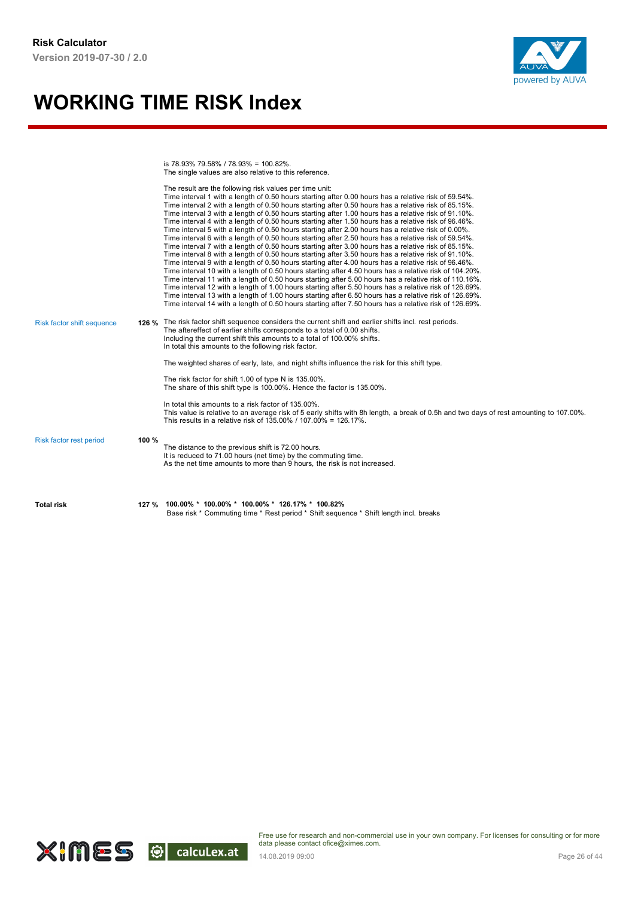

is 78.93% 79.58% / 78.93% = 100.82%. The single values are also relative to this reference.

| <b>Total risk</b>                 |       | 127 % 100.00% * 100.00% * 100.00% * 126.17% * 100.82%<br>Base risk * Commuting time * Rest period * Shift sequence * Shift length incl. breaks                                                                                                                                                                                                                                                                                                                                                                                                                                                                                                                                                                                                                                                                                                                                                                                                                                                                                                                                                                                                                                                                                                                                                                                                                                                                                                                                                                                                                                                                                                                                              |
|-----------------------------------|-------|---------------------------------------------------------------------------------------------------------------------------------------------------------------------------------------------------------------------------------------------------------------------------------------------------------------------------------------------------------------------------------------------------------------------------------------------------------------------------------------------------------------------------------------------------------------------------------------------------------------------------------------------------------------------------------------------------------------------------------------------------------------------------------------------------------------------------------------------------------------------------------------------------------------------------------------------------------------------------------------------------------------------------------------------------------------------------------------------------------------------------------------------------------------------------------------------------------------------------------------------------------------------------------------------------------------------------------------------------------------------------------------------------------------------------------------------------------------------------------------------------------------------------------------------------------------------------------------------------------------------------------------------------------------------------------------------|
| Risk factor rest period           | 100 % | The distance to the previous shift is 72.00 hours.<br>It is reduced to 71.00 hours (net time) by the commuting time.<br>As the net time amounts to more than 9 hours, the risk is not increased.                                                                                                                                                                                                                                                                                                                                                                                                                                                                                                                                                                                                                                                                                                                                                                                                                                                                                                                                                                                                                                                                                                                                                                                                                                                                                                                                                                                                                                                                                            |
|                                   |       | In total this amounts to a risk factor of 135,00%.<br>This value is relative to an average risk of 5 early shifts with 8h length, a break of 0.5h and two days of rest amounting to 107.00%.<br>This results in a relative risk of 135,00% / 107,00% = 126,17%.                                                                                                                                                                                                                                                                                                                                                                                                                                                                                                                                                                                                                                                                                                                                                                                                                                                                                                                                                                                                                                                                                                                                                                                                                                                                                                                                                                                                                             |
|                                   |       | The risk factor for shift 1.00 of type N is 135.00%.<br>The share of this shift type is 100.00%. Hence the factor is 135.00%.                                                                                                                                                                                                                                                                                                                                                                                                                                                                                                                                                                                                                                                                                                                                                                                                                                                                                                                                                                                                                                                                                                                                                                                                                                                                                                                                                                                                                                                                                                                                                               |
| <b>Risk factor shift sequence</b> |       | The aftereffect of earlier shifts corresponds to a total of 0.00 shifts.<br>Including the current shift this amounts to a total of 100.00% shifts.<br>In total this amounts to the following risk factor.<br>The weighted shares of early, late, and night shifts influence the risk for this shift type.                                                                                                                                                                                                                                                                                                                                                                                                                                                                                                                                                                                                                                                                                                                                                                                                                                                                                                                                                                                                                                                                                                                                                                                                                                                                                                                                                                                   |
|                                   |       | The result are the following risk values per time unit:<br>Time interval 1 with a length of 0.50 hours starting after 0.00 hours has a relative risk of 59.54%.<br>Time interval 2 with a length of 0.50 hours starting after 0.50 hours has a relative risk of 85.15%.<br>Time interval 3 with a length of 0.50 hours starting after 1.00 hours has a relative risk of 91.10%.<br>Time interval 4 with a length of 0.50 hours starting after 1.50 hours has a relative risk of 96.46%.<br>Time interval 5 with a length of 0.50 hours starting after 2.00 hours has a relative risk of 0.00%.<br>Time interval 6 with a length of 0.50 hours starting after 2.50 hours has a relative risk of 59.54%.<br>Time interval 7 with a length of 0.50 hours starting after 3.00 hours has a relative risk of 85.15%.<br>Time interval 8 with a length of 0.50 hours starting after 3.50 hours has a relative risk of 91.10%.<br>Time interval 9 with a length of 0.50 hours starting after 4.00 hours has a relative risk of 96.46%.<br>Time interval 10 with a length of 0.50 hours starting after 4.50 hours has a relative risk of 104.20%.<br>Time interval 11 with a length of 0.50 hours starting after 5.00 hours has a relative risk of 110.16%.<br>Time interval 12 with a length of 1.00 hours starting after 5.50 hours has a relative risk of 126.69%.<br>Time interval 13 with a length of 1.00 hours starting after 6.50 hours has a relative risk of 126.69%.<br>Time interval 14 with a length of 0.50 hours starting after 7.50 hours has a relative risk of 126.69%.<br>126 % The risk factor shift sequence considers the current shift and earlier shifts incl. rest periods. |

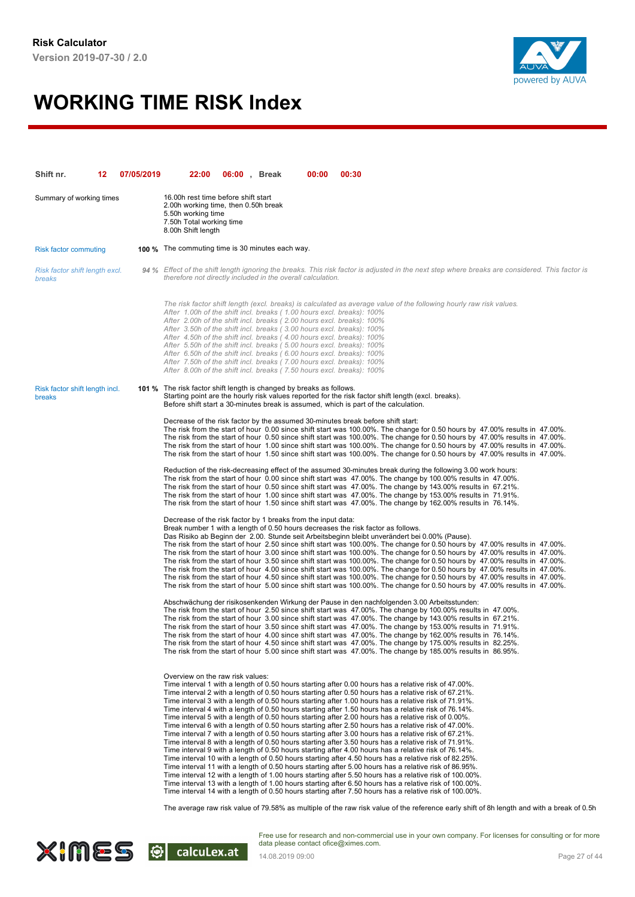

| Shift nr.                                | 12. | 07/05/2019 | 22:00                                                                                                                                                                                                                                                                                                                                                                                                                                                                                                                                                                                                | 06:00, Break | 00:00 | 00:30                                                                                                                                                                                                                                                                                                                                                                                                                                                                                                                                                                                                                                                                                                                                                                                                                                                                                                                                                                                                                                                                                                                                                                                                                                                                                                                                                                                                                                                                                                                                                                                                                                                            |
|------------------------------------------|-----|------------|------------------------------------------------------------------------------------------------------------------------------------------------------------------------------------------------------------------------------------------------------------------------------------------------------------------------------------------------------------------------------------------------------------------------------------------------------------------------------------------------------------------------------------------------------------------------------------------------------|--------------|-------|------------------------------------------------------------------------------------------------------------------------------------------------------------------------------------------------------------------------------------------------------------------------------------------------------------------------------------------------------------------------------------------------------------------------------------------------------------------------------------------------------------------------------------------------------------------------------------------------------------------------------------------------------------------------------------------------------------------------------------------------------------------------------------------------------------------------------------------------------------------------------------------------------------------------------------------------------------------------------------------------------------------------------------------------------------------------------------------------------------------------------------------------------------------------------------------------------------------------------------------------------------------------------------------------------------------------------------------------------------------------------------------------------------------------------------------------------------------------------------------------------------------------------------------------------------------------------------------------------------------------------------------------------------------|
| Summary of working times                 |     |            | 16.00h rest time before shift start<br>2.00h working time, then 0.50h break<br>5.50h working time<br>7.50h Total working time<br>8.00h Shift length                                                                                                                                                                                                                                                                                                                                                                                                                                                  |              |       |                                                                                                                                                                                                                                                                                                                                                                                                                                                                                                                                                                                                                                                                                                                                                                                                                                                                                                                                                                                                                                                                                                                                                                                                                                                                                                                                                                                                                                                                                                                                                                                                                                                                  |
| <b>Risk factor commuting</b>             |     |            | <b>100 %</b> The commuting time is 30 minutes each way.                                                                                                                                                                                                                                                                                                                                                                                                                                                                                                                                              |              |       |                                                                                                                                                                                                                                                                                                                                                                                                                                                                                                                                                                                                                                                                                                                                                                                                                                                                                                                                                                                                                                                                                                                                                                                                                                                                                                                                                                                                                                                                                                                                                                                                                                                                  |
| Risk factor shift length excl.<br>breaks |     |            | therefore not directly included in the overall calculation.                                                                                                                                                                                                                                                                                                                                                                                                                                                                                                                                          |              |       | 94 % Effect of the shift length ignoring the breaks. This risk factor is adjusted in the next step where breaks are considered. This factor is                                                                                                                                                                                                                                                                                                                                                                                                                                                                                                                                                                                                                                                                                                                                                                                                                                                                                                                                                                                                                                                                                                                                                                                                                                                                                                                                                                                                                                                                                                                   |
|                                          |     |            | After 1.00h of the shift incl. breaks (1.00 hours excl. breaks): 100%<br>After 2.00h of the shift incl. breaks (2.00 hours excl. breaks): 100%<br>After 3.50h of the shift incl. breaks (3.00 hours excl. breaks): 100%<br>After 4.50h of the shift incl. breaks (4.00 hours excl. breaks): 100%<br>After 5.50h of the shift incl. breaks (5.00 hours excl. breaks): 100%<br>After 6.50h of the shift incl. breaks (6.00 hours excl. breaks): 100%<br>After 7.50h of the shift incl. breaks (7.00 hours excl. breaks): 100%<br>After 8.00h of the shift incl. breaks (7.50 hours excl. breaks): 100% |              |       | The risk factor shift length (excl. breaks) is calculated as average value of the following hourly raw risk values.                                                                                                                                                                                                                                                                                                                                                                                                                                                                                                                                                                                                                                                                                                                                                                                                                                                                                                                                                                                                                                                                                                                                                                                                                                                                                                                                                                                                                                                                                                                                              |
| Risk factor shift length incl.<br>breaks |     |            | 101 % The risk factor shift length is changed by breaks as follows.                                                                                                                                                                                                                                                                                                                                                                                                                                                                                                                                  |              |       | Starting point are the hourly risk values reported for the risk factor shift length (excl. breaks).<br>Before shift start a 30-minutes break is assumed, which is part of the calculation.                                                                                                                                                                                                                                                                                                                                                                                                                                                                                                                                                                                                                                                                                                                                                                                                                                                                                                                                                                                                                                                                                                                                                                                                                                                                                                                                                                                                                                                                       |
|                                          |     |            |                                                                                                                                                                                                                                                                                                                                                                                                                                                                                                                                                                                                      |              |       | Decrease of the risk factor by the assumed 30-minutes break before shift start:<br>The risk from the start of hour 0.00 since shift start was 100.00%. The change for 0.50 hours by 47.00% results in 47.00%.<br>The risk from the start of hour 0.50 since shift start was 100.00%. The change for 0.50 hours by 47.00% results in 47.00%.<br>The risk from the start of hour 1.00 since shift start was 100.00%. The change for 0.50 hours by 47.00% results in 47.00%.<br>The risk from the start of hour 1.50 since shift start was 100.00%. The change for 0.50 hours by 47.00% results in 47.00%.                                                                                                                                                                                                                                                                                                                                                                                                                                                                                                                                                                                                                                                                                                                                                                                                                                                                                                                                                                                                                                                          |
|                                          |     |            |                                                                                                                                                                                                                                                                                                                                                                                                                                                                                                                                                                                                      |              |       | Reduction of the risk-decreasing effect of the assumed 30-minutes break during the following 3.00 work hours:<br>The risk from the start of hour 0.00 since shift start was 47.00%. The change by 100.00% results in 47.00%.<br>The risk from the start of hour 0.50 since shift start was 47.00%. The change by 143.00% results in 67.21%.<br>The risk from the start of hour 1.00 since shift start was 47.00%. The change by 153.00% results in 71.91%.<br>The risk from the start of hour 1.50 since shift start was 47.00%. The change by 162.00% results in 76.14%.                                                                                                                                                                                                                                                                                                                                                                                                                                                                                                                                                                                                                                                                                                                                                                                                                                                                                                                                                                                                                                                                                        |
|                                          |     |            | Decrease of the risk factor by 1 breaks from the input data:                                                                                                                                                                                                                                                                                                                                                                                                                                                                                                                                         |              |       | Break number 1 with a length of 0.50 hours decreases the risk factor as follows.<br>Das Risiko ab Beginn der 2.00. Stunde seit Arbeitsbeginn bleibt unverändert bei 0.00% (Pause).<br>The risk from the start of hour 2.50 since shift start was 100.00%. The change for 0.50 hours by 47.00% results in 47.00%.<br>The risk from the start of hour 3.00 since shift start was 100.00%. The change for 0.50 hours by 47.00% results in 47.00%.<br>The risk from the start of hour 3.50 since shift start was 100.00%. The change for 0.50 hours by 47.00% results in 47.00%.<br>The risk from the start of hour 4.00 since shift start was 100.00%. The change for 0.50 hours by 47.00% results in 47.00%.<br>The risk from the start of hour 4.50 since shift start was 100.00%. The change for 0.50 hours by 47.00% results in 47.00%.<br>The risk from the start of hour 5.00 since shift start was 100.00%. The change for 0.50 hours by 47.00% results in 47.00%.                                                                                                                                                                                                                                                                                                                                                                                                                                                                                                                                                                                                                                                                                           |
|                                          |     |            |                                                                                                                                                                                                                                                                                                                                                                                                                                                                                                                                                                                                      |              |       | Abschwächung der risikosenkenden Wirkung der Pause in den nachfolgenden 3.00 Arbeitsstunden:<br>The risk from the start of hour 2.50 since shift start was 47.00%. The change by 100.00% results in 47.00%.<br>The risk from the start of hour 3.00 since shift start was 47.00%. The change by 143.00% results in 67.21%.<br>The risk from the start of hour 3.50 since shift start was 47.00%. The change by 153.00% results in 71.91%.<br>The risk from the start of hour 4.00 since shift start was 47.00%. The change by 162.00% results in 76.14%.<br>The risk from the start of hour 4.50 since shift start was 47.00%. The change by 175.00% results in 82.25%.<br>The risk from the start of hour 5.00 since shift start was 47.00%. The change by 185.00% results in 86.95%.                                                                                                                                                                                                                                                                                                                                                                                                                                                                                                                                                                                                                                                                                                                                                                                                                                                                           |
|                                          |     |            | Overview on the raw risk values:                                                                                                                                                                                                                                                                                                                                                                                                                                                                                                                                                                     |              |       | Time interval 1 with a length of 0.50 hours starting after 0.00 hours has a relative risk of 47.00%.<br>Time interval 2 with a length of 0.50 hours starting after 0.50 hours has a relative risk of 67.21%.<br>Time interval 3 with a length of 0.50 hours starting after 1.00 hours has a relative risk of 71.91%.<br>Time interval 4 with a length of 0.50 hours starting after 1.50 hours has a relative risk of 76.14%.<br>Time interval 5 with a length of 0.50 hours starting after 2.00 hours has a relative risk of 0.00%.<br>Time interval 6 with a length of 0.50 hours starting after 2.50 hours has a relative risk of 47.00%.<br>Time interval 7 with a length of 0.50 hours starting after 3.00 hours has a relative risk of 67.21%.<br>Time interval 8 with a length of 0.50 hours starting after 3.50 hours has a relative risk of 71.91%.<br>Time interval 9 with a length of 0.50 hours starting after 4.00 hours has a relative risk of 76.14%.<br>Time interval 10 with a length of 0.50 hours starting after 4.50 hours has a relative risk of 82.25%.<br>Time interval 11 with a length of 0.50 hours starting after 5.00 hours has a relative risk of 86.95%.<br>Time interval 12 with a length of 1.00 hours starting after 5.50 hours has a relative risk of 100.00%.<br>Time interval 13 with a length of 1.00 hours starting after 6.50 hours has a relative risk of 100.00%.<br>Time interval 14 with a length of 0.50 hours starting after 7.50 hours has a relative risk of 100.00%.<br>The average raw risk value of 79.58% as multiple of the raw risk value of the reference early shift of 8h length and with a break of 0.5r |
|                                          |     |            |                                                                                                                                                                                                                                                                                                                                                                                                                                                                                                                                                                                                      |              |       |                                                                                                                                                                                                                                                                                                                                                                                                                                                                                                                                                                                                                                                                                                                                                                                                                                                                                                                                                                                                                                                                                                                                                                                                                                                                                                                                                                                                                                                                                                                                                                                                                                                                  |

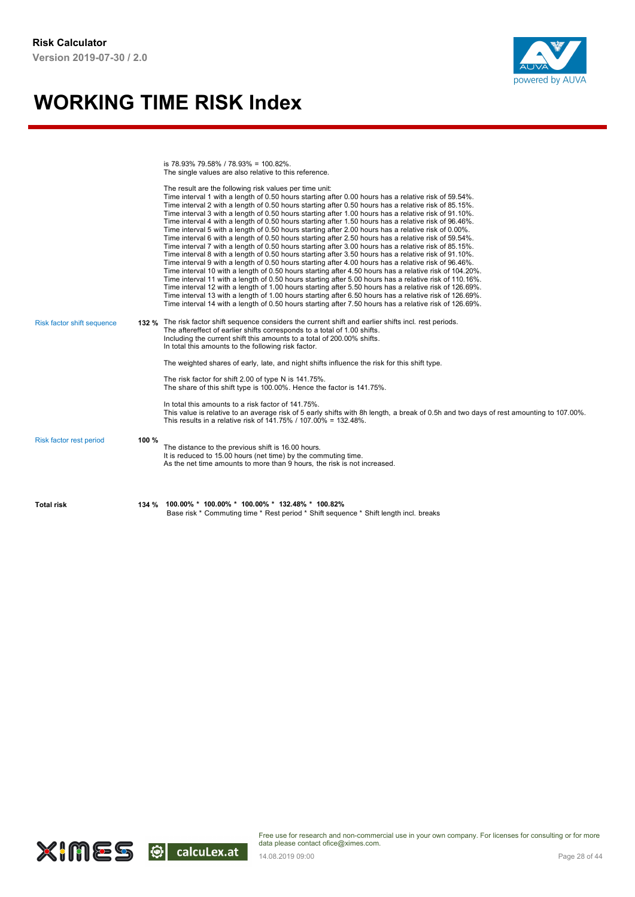

is 78.93% 79.58% / 78.93% = 100.82%. The single values are also relative to this reference.

| <b>Total risk</b>                 |       | 134 % 100.00% * 100.00% * 100.00% * 132.48% * 100.82%<br>Base risk * Commuting time * Rest period * Shift sequence * Shift length incl. breaks                                                                                                                                                                                                                                                                                                                                                                                                                                                                                                                                                                                                                                                                                                                                                                                                                                                                                                                                                                                                                                                                                                                                                                                                                                                                                                                                                                                                                                   |
|-----------------------------------|-------|----------------------------------------------------------------------------------------------------------------------------------------------------------------------------------------------------------------------------------------------------------------------------------------------------------------------------------------------------------------------------------------------------------------------------------------------------------------------------------------------------------------------------------------------------------------------------------------------------------------------------------------------------------------------------------------------------------------------------------------------------------------------------------------------------------------------------------------------------------------------------------------------------------------------------------------------------------------------------------------------------------------------------------------------------------------------------------------------------------------------------------------------------------------------------------------------------------------------------------------------------------------------------------------------------------------------------------------------------------------------------------------------------------------------------------------------------------------------------------------------------------------------------------------------------------------------------------|
| Risk factor rest period           | 100 % | The distance to the previous shift is 16.00 hours.<br>It is reduced to 15.00 hours (net time) by the commuting time.<br>As the net time amounts to more than 9 hours, the risk is not increased.                                                                                                                                                                                                                                                                                                                                                                                                                                                                                                                                                                                                                                                                                                                                                                                                                                                                                                                                                                                                                                                                                                                                                                                                                                                                                                                                                                                 |
|                                   |       | In total this amounts to a risk factor of 141.75%.<br>This value is relative to an average risk of 5 early shifts with 8h length, a break of 0.5h and two days of rest amounting to 107.00%.<br>This results in a relative risk of 141.75% / 107.00% = 132.48%.                                                                                                                                                                                                                                                                                                                                                                                                                                                                                                                                                                                                                                                                                                                                                                                                                                                                                                                                                                                                                                                                                                                                                                                                                                                                                                                  |
|                                   |       | The risk factor for shift 2.00 of type N is 141.75%.<br>The share of this shift type is 100.00%. Hence the factor is 141.75%.                                                                                                                                                                                                                                                                                                                                                                                                                                                                                                                                                                                                                                                                                                                                                                                                                                                                                                                                                                                                                                                                                                                                                                                                                                                                                                                                                                                                                                                    |
| <b>Risk factor shift sequence</b> |       | 132 % The risk factor shift sequence considers the current shift and earlier shifts incl. rest periods.<br>The aftereffect of earlier shifts corresponds to a total of 1.00 shifts.<br>Including the current shift this amounts to a total of 200.00% shifts.<br>In total this amounts to the following risk factor.<br>The weighted shares of early, late, and night shifts influence the risk for this shift type.                                                                                                                                                                                                                                                                                                                                                                                                                                                                                                                                                                                                                                                                                                                                                                                                                                                                                                                                                                                                                                                                                                                                                             |
|                                   |       | The result are the following risk values per time unit:<br>Time interval 1 with a length of 0.50 hours starting after 0.00 hours has a relative risk of 59.54%.<br>Time interval 2 with a length of 0.50 hours starting after 0.50 hours has a relative risk of 85.15%.<br>Time interval 3 with a length of 0.50 hours starting after 1.00 hours has a relative risk of 91.10%.<br>Time interval 4 with a length of 0.50 hours starting after 1.50 hours has a relative risk of 96.46%.<br>Time interval 5 with a length of 0.50 hours starting after 2.00 hours has a relative risk of 0.00%.<br>Time interval 6 with a length of 0.50 hours starting after 2.50 hours has a relative risk of 59.54%.<br>Time interval 7 with a length of 0.50 hours starting after 3.00 hours has a relative risk of 85.15%.<br>Time interval 8 with a length of 0.50 hours starting after 3.50 hours has a relative risk of 91.10%.<br>Time interval 9 with a length of 0.50 hours starting after 4.00 hours has a relative risk of 96.46%.<br>Time interval 10 with a length of 0.50 hours starting after 4.50 hours has a relative risk of 104.20%.<br>Time interval 11 with a length of 0.50 hours starting after 5.00 hours has a relative risk of 110.16%.<br>Time interval 12 with a length of 1.00 hours starting after 5.50 hours has a relative risk of 126.69%.<br>Time interval 13 with a length of 1.00 hours starting after 6.50 hours has a relative risk of 126.69%.<br>Time interval 14 with a length of 0.50 hours starting after 7.50 hours has a relative risk of 126.69%. |

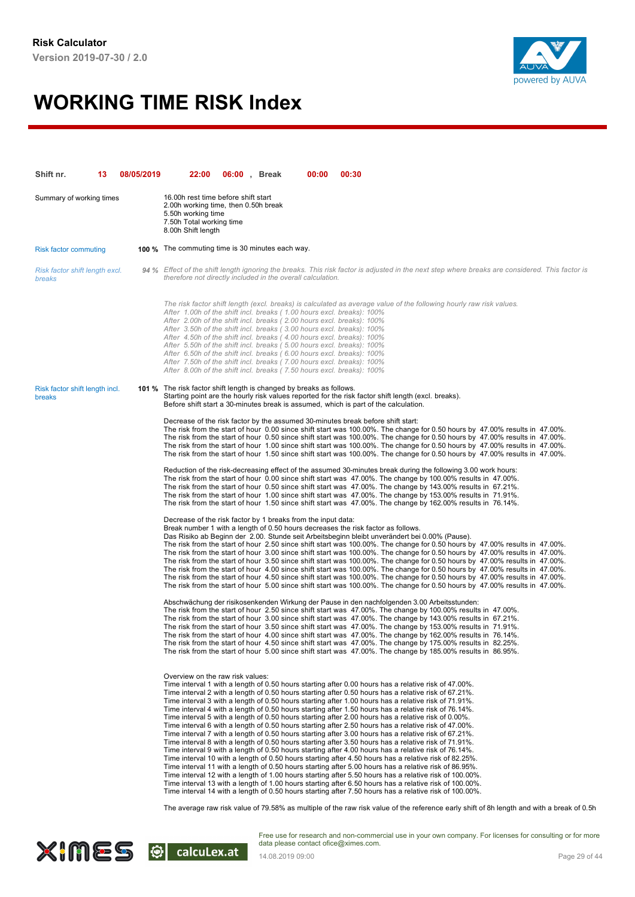

| Shift nr.                                | 13 | 08/05/2019 | 22:00                                                                                                                                                                                                                                                                                                                                                                                                                                                                                                                                                                                                | 06:00, Break | 00:00 | 00:30                                                                                                                                                                                                                                                                                                                                                                                                                                                                                                                                                                                                                                                                                                                                                                                                                                                                                                                                                                                                                                                                                                                                                                                                                                                                                                                                                                                                                                                                                                               |
|------------------------------------------|----|------------|------------------------------------------------------------------------------------------------------------------------------------------------------------------------------------------------------------------------------------------------------------------------------------------------------------------------------------------------------------------------------------------------------------------------------------------------------------------------------------------------------------------------------------------------------------------------------------------------------|--------------|-------|---------------------------------------------------------------------------------------------------------------------------------------------------------------------------------------------------------------------------------------------------------------------------------------------------------------------------------------------------------------------------------------------------------------------------------------------------------------------------------------------------------------------------------------------------------------------------------------------------------------------------------------------------------------------------------------------------------------------------------------------------------------------------------------------------------------------------------------------------------------------------------------------------------------------------------------------------------------------------------------------------------------------------------------------------------------------------------------------------------------------------------------------------------------------------------------------------------------------------------------------------------------------------------------------------------------------------------------------------------------------------------------------------------------------------------------------------------------------------------------------------------------------|
| Summary of working times                 |    |            | 16.00h rest time before shift start<br>2.00h working time, then 0.50h break<br>5.50h working time<br>7.50h Total working time<br>8.00h Shift length                                                                                                                                                                                                                                                                                                                                                                                                                                                  |              |       |                                                                                                                                                                                                                                                                                                                                                                                                                                                                                                                                                                                                                                                                                                                                                                                                                                                                                                                                                                                                                                                                                                                                                                                                                                                                                                                                                                                                                                                                                                                     |
| <b>Risk factor commuting</b>             |    |            | <b>100 %</b> The commuting time is 30 minutes each way.                                                                                                                                                                                                                                                                                                                                                                                                                                                                                                                                              |              |       |                                                                                                                                                                                                                                                                                                                                                                                                                                                                                                                                                                                                                                                                                                                                                                                                                                                                                                                                                                                                                                                                                                                                                                                                                                                                                                                                                                                                                                                                                                                     |
| Risk factor shift length excl.<br>breaks |    |            | therefore not directly included in the overall calculation.                                                                                                                                                                                                                                                                                                                                                                                                                                                                                                                                          |              |       | 94 % Effect of the shift length ignoring the breaks. This risk factor is adjusted in the next step where breaks are considered. This factor is                                                                                                                                                                                                                                                                                                                                                                                                                                                                                                                                                                                                                                                                                                                                                                                                                                                                                                                                                                                                                                                                                                                                                                                                                                                                                                                                                                      |
|                                          |    |            | After 1.00h of the shift incl. breaks (1.00 hours excl. breaks): 100%<br>After 2.00h of the shift incl. breaks (2.00 hours excl. breaks): 100%<br>After 3.50h of the shift incl. breaks (3.00 hours excl. breaks): 100%<br>After 4.50h of the shift incl. breaks (4.00 hours excl. breaks): 100%<br>After 5.50h of the shift incl. breaks (5.00 hours excl. breaks): 100%<br>After 6.50h of the shift incl. breaks (6.00 hours excl. breaks): 100%<br>After 7.50h of the shift incl. breaks (7.00 hours excl. breaks): 100%<br>After 8.00h of the shift incl. breaks (7.50 hours excl. breaks): 100% |              |       | The risk factor shift length (excl. breaks) is calculated as average value of the following hourly raw risk values.                                                                                                                                                                                                                                                                                                                                                                                                                                                                                                                                                                                                                                                                                                                                                                                                                                                                                                                                                                                                                                                                                                                                                                                                                                                                                                                                                                                                 |
| Risk factor shift length incl.<br>breaks |    |            | 101 % The risk factor shift length is changed by breaks as follows.                                                                                                                                                                                                                                                                                                                                                                                                                                                                                                                                  |              |       | Starting point are the hourly risk values reported for the risk factor shift length (excl. breaks).<br>Before shift start a 30-minutes break is assumed, which is part of the calculation.                                                                                                                                                                                                                                                                                                                                                                                                                                                                                                                                                                                                                                                                                                                                                                                                                                                                                                                                                                                                                                                                                                                                                                                                                                                                                                                          |
|                                          |    |            |                                                                                                                                                                                                                                                                                                                                                                                                                                                                                                                                                                                                      |              |       | Decrease of the risk factor by the assumed 30-minutes break before shift start:<br>The risk from the start of hour 0.00 since shift start was 100.00%. The change for 0.50 hours by 47.00% results in 47.00%.<br>The risk from the start of hour 0.50 since shift start was 100.00%. The change for 0.50 hours by 47.00% results in 47.00%.<br>The risk from the start of hour 1.00 since shift start was 100.00%. The change for 0.50 hours by 47.00% results in 47.00%.<br>The risk from the start of hour 1.50 since shift start was 100.00%. The change for 0.50 hours by 47.00% results in 47.00%.                                                                                                                                                                                                                                                                                                                                                                                                                                                                                                                                                                                                                                                                                                                                                                                                                                                                                                             |
|                                          |    |            |                                                                                                                                                                                                                                                                                                                                                                                                                                                                                                                                                                                                      |              |       | Reduction of the risk-decreasing effect of the assumed 30-minutes break during the following 3.00 work hours:<br>The risk from the start of hour 0.00 since shift start was 47.00%. The change by 100.00% results in 47.00%.<br>The risk from the start of hour 0.50 since shift start was 47.00%. The change by 143.00% results in 67.21%.<br>The risk from the start of hour 1.00 since shift start was 47.00%. The change by 153.00% results in 71.91%.<br>The risk from the start of hour 1.50 since shift start was 47.00%. The change by 162.00% results in 76.14%.                                                                                                                                                                                                                                                                                                                                                                                                                                                                                                                                                                                                                                                                                                                                                                                                                                                                                                                                           |
|                                          |    |            | Decrease of the risk factor by 1 breaks from the input data:                                                                                                                                                                                                                                                                                                                                                                                                                                                                                                                                         |              |       | Break number 1 with a length of 0.50 hours decreases the risk factor as follows.<br>Das Risiko ab Beginn der 2.00. Stunde seit Arbeitsbeginn bleibt unverändert bei 0.00% (Pause).<br>The risk from the start of hour 2.50 since shift start was 100.00%. The change for 0.50 hours by 47.00% results in 47.00%.<br>The risk from the start of hour 3.00 since shift start was 100.00%. The change for 0.50 hours by 47.00% results in 47.00%.<br>The risk from the start of hour 3.50 since shift start was 100.00%. The change for 0.50 hours by 47.00% results in 47.00%.<br>The risk from the start of hour 4.00 since shift start was 100.00%. The change for 0.50 hours by 47.00% results in 47.00%.<br>The risk from the start of hour 4.50 since shift start was 100.00%. The change for 0.50 hours by 47.00% results in 47.00%.<br>The risk from the start of hour 5.00 since shift start was 100.00%. The change for 0.50 hours by 47.00% results in 47.00%.                                                                                                                                                                                                                                                                                                                                                                                                                                                                                                                                              |
|                                          |    |            |                                                                                                                                                                                                                                                                                                                                                                                                                                                                                                                                                                                                      |              |       | Abschwächung der risikosenkenden Wirkung der Pause in den nachfolgenden 3.00 Arbeitsstunden:<br>The risk from the start of hour 2.50 since shift start was 47.00%. The change by 100.00% results in 47.00%.<br>The risk from the start of hour 3.00 since shift start was 47.00%. The change by 143.00% results in 67.21%.<br>The risk from the start of hour 3.50 since shift start was 47.00%. The change by 153.00% results in 71.91%.<br>The risk from the start of hour 4.00 since shift start was 47.00%. The change by 162.00% results in 76.14%.<br>The risk from the start of hour 4.50 since shift start was 47.00%. The change by 175.00% results in 82.25%.<br>The risk from the start of hour 5.00 since shift start was 47.00%. The change by 185.00% results in 86.95%.                                                                                                                                                                                                                                                                                                                                                                                                                                                                                                                                                                                                                                                                                                                              |
|                                          |    |            | Overview on the raw risk values:                                                                                                                                                                                                                                                                                                                                                                                                                                                                                                                                                                     |              |       | Time interval 1 with a length of 0.50 hours starting after 0.00 hours has a relative risk of 47.00%.<br>Time interval 2 with a length of 0.50 hours starting after 0.50 hours has a relative risk of 67.21%.<br>Time interval 3 with a length of 0.50 hours starting after 1.00 hours has a relative risk of 71.91%.<br>Time interval 4 with a length of 0.50 hours starting after 1.50 hours has a relative risk of 76.14%.<br>Time interval 5 with a length of 0.50 hours starting after 2.00 hours has a relative risk of 0.00%.<br>Time interval 6 with a length of 0.50 hours starting after 2.50 hours has a relative risk of 47.00%.<br>Time interval 7 with a length of 0.50 hours starting after 3.00 hours has a relative risk of 67.21%.<br>Time interval 8 with a length of 0.50 hours starting after 3.50 hours has a relative risk of 71.91%.<br>Time interval 9 with a length of 0.50 hours starting after 4.00 hours has a relative risk of 76.14%.<br>Time interval 10 with a length of 0.50 hours starting after 4.50 hours has a relative risk of 82.25%.<br>Time interval 11 with a length of 0.50 hours starting after 5.00 hours has a relative risk of 86.95%.<br>Time interval 12 with a length of 1.00 hours starting after 5.50 hours has a relative risk of 100.00%.<br>Time interval 13 with a length of 1.00 hours starting after 6.50 hours has a relative risk of 100.00%.<br>Time interval 14 with a length of 0.50 hours starting after 7.50 hours has a relative risk of 100.00%. |
|                                          |    |            |                                                                                                                                                                                                                                                                                                                                                                                                                                                                                                                                                                                                      |              |       | The average raw risk value of 79.58% as multiple of the raw risk value of the reference early shift of 8h length and with a break of 0.5r                                                                                                                                                                                                                                                                                                                                                                                                                                                                                                                                                                                                                                                                                                                                                                                                                                                                                                                                                                                                                                                                                                                                                                                                                                                                                                                                                                           |

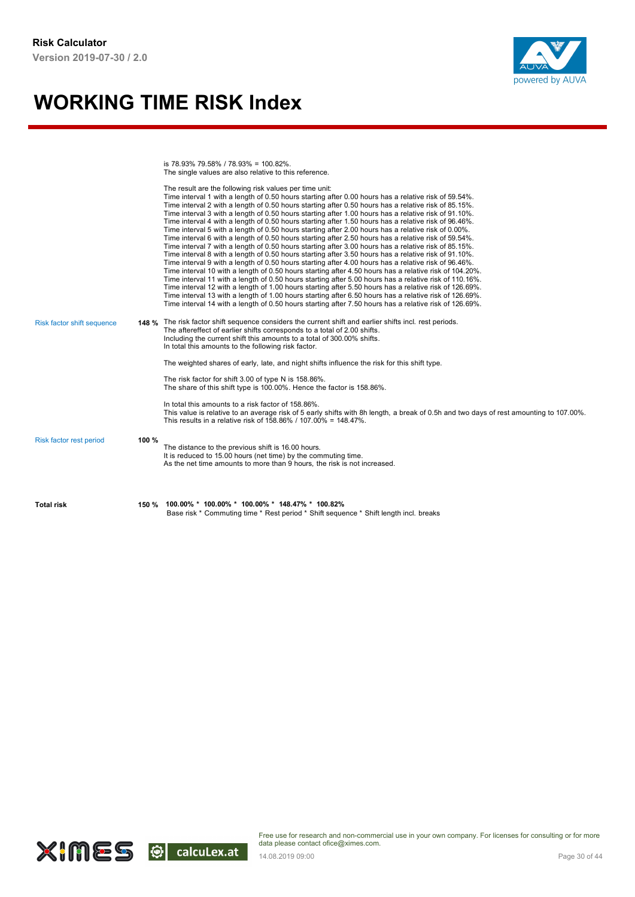

is 78.93% 79.58% / 78.93% = 100.82%. The single values are also relative to this reference.

| <b>Total risk</b>          |       | 150 % 100.00% * 100.00% * 100.00% * 148.47% * 100.82%<br>Base risk * Commuting time * Rest period * Shift sequence * Shift length incl. breaks                                                                                                                                                                                                                                                                                                                                                                                                                                                                                                                                                                                                                                                                                                                                                                                                                                                                                                                                                                                                                                                                                                                                                                                                                                                                                                                                                                                                                                   |
|----------------------------|-------|----------------------------------------------------------------------------------------------------------------------------------------------------------------------------------------------------------------------------------------------------------------------------------------------------------------------------------------------------------------------------------------------------------------------------------------------------------------------------------------------------------------------------------------------------------------------------------------------------------------------------------------------------------------------------------------------------------------------------------------------------------------------------------------------------------------------------------------------------------------------------------------------------------------------------------------------------------------------------------------------------------------------------------------------------------------------------------------------------------------------------------------------------------------------------------------------------------------------------------------------------------------------------------------------------------------------------------------------------------------------------------------------------------------------------------------------------------------------------------------------------------------------------------------------------------------------------------|
| Risk factor rest period    | 100 % | The distance to the previous shift is 16.00 hours.<br>It is reduced to 15.00 hours (net time) by the commuting time.<br>As the net time amounts to more than 9 hours, the risk is not increased.                                                                                                                                                                                                                                                                                                                                                                                                                                                                                                                                                                                                                                                                                                                                                                                                                                                                                                                                                                                                                                                                                                                                                                                                                                                                                                                                                                                 |
|                            |       | In total this amounts to a risk factor of 158,86%.<br>This value is relative to an average risk of 5 early shifts with 8h length, a break of 0.5h and two days of rest amounting to 107.00%.<br>This results in a relative risk of 158.86% / 107.00% = 148.47%.                                                                                                                                                                                                                                                                                                                                                                                                                                                                                                                                                                                                                                                                                                                                                                                                                                                                                                                                                                                                                                                                                                                                                                                                                                                                                                                  |
|                            |       | The risk factor for shift 3.00 of type N is 158.86%.<br>The share of this shift type is 100.00%. Hence the factor is 158.86%.                                                                                                                                                                                                                                                                                                                                                                                                                                                                                                                                                                                                                                                                                                                                                                                                                                                                                                                                                                                                                                                                                                                                                                                                                                                                                                                                                                                                                                                    |
|                            |       | In total this amounts to the following risk factor.<br>The weighted shares of early, late, and night shifts influence the risk for this shift type.                                                                                                                                                                                                                                                                                                                                                                                                                                                                                                                                                                                                                                                                                                                                                                                                                                                                                                                                                                                                                                                                                                                                                                                                                                                                                                                                                                                                                              |
| Risk factor shift sequence |       | 148 % The risk factor shift sequence considers the current shift and earlier shifts incl. rest periods.<br>The aftereffect of earlier shifts corresponds to a total of 2.00 shifts.<br>Including the current shift this amounts to a total of 300.00% shifts.                                                                                                                                                                                                                                                                                                                                                                                                                                                                                                                                                                                                                                                                                                                                                                                                                                                                                                                                                                                                                                                                                                                                                                                                                                                                                                                    |
|                            |       | The result are the following risk values per time unit:<br>Time interval 1 with a length of 0.50 hours starting after 0.00 hours has a relative risk of 59.54%.<br>Time interval 2 with a length of 0.50 hours starting after 0.50 hours has a relative risk of 85.15%.<br>Time interval 3 with a length of 0.50 hours starting after 1.00 hours has a relative risk of 91.10%.<br>Time interval 4 with a length of 0.50 hours starting after 1.50 hours has a relative risk of 96.46%.<br>Time interval 5 with a length of 0.50 hours starting after 2.00 hours has a relative risk of 0.00%.<br>Time interval 6 with a length of 0.50 hours starting after 2.50 hours has a relative risk of 59.54%.<br>Time interval 7 with a length of 0.50 hours starting after 3.00 hours has a relative risk of 85.15%.<br>Time interval 8 with a length of 0.50 hours starting after 3.50 hours has a relative risk of 91.10%.<br>Time interval 9 with a length of 0.50 hours starting after 4.00 hours has a relative risk of 96.46%.<br>Time interval 10 with a length of 0.50 hours starting after 4.50 hours has a relative risk of 104.20%.<br>Time interval 11 with a length of 0.50 hours starting after 5.00 hours has a relative risk of 110.16%.<br>Time interval 12 with a length of 1.00 hours starting after 5.50 hours has a relative risk of 126.69%.<br>Time interval 13 with a length of 1.00 hours starting after 6.50 hours has a relative risk of 126.69%.<br>Time interval 14 with a length of 0.50 hours starting after 7.50 hours has a relative risk of 126.69%. |

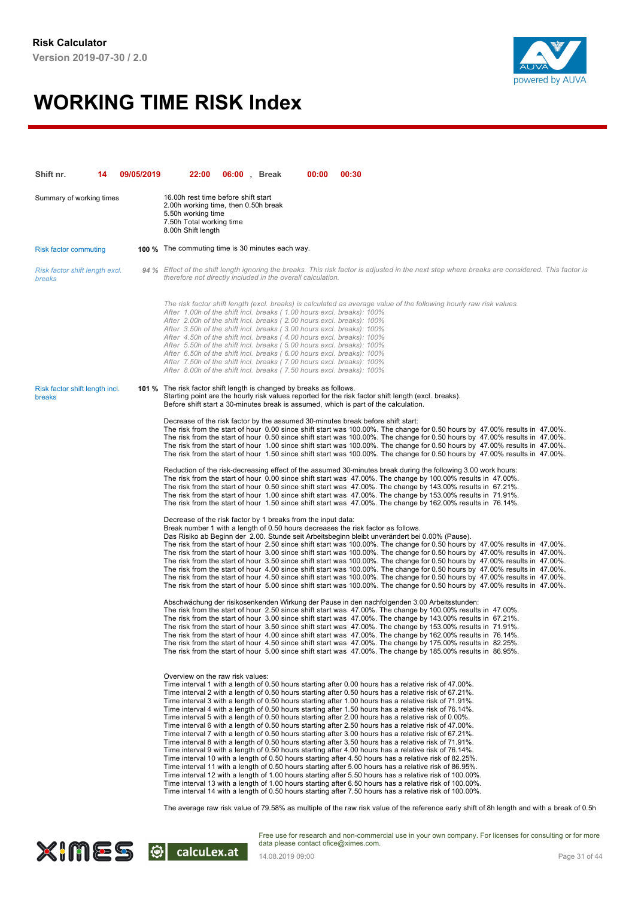

| Shift nr.                                | 14 | 09/05/2019 | 22:00                                                                                                                                                                                                                                                                                                                                                                                                                                                                                                                                                                                                | 06:00, Break | 00:00 | 00:30                                                                                                                                                                                                                                                                                                                                                                                                                                                                                                                                                                                                                                                                                                                                                                                                                                                                                                                                                                                                                                                                                                                                                                                                                                                                                                                                                                                                                                                                                                                                                                                                                                                            |
|------------------------------------------|----|------------|------------------------------------------------------------------------------------------------------------------------------------------------------------------------------------------------------------------------------------------------------------------------------------------------------------------------------------------------------------------------------------------------------------------------------------------------------------------------------------------------------------------------------------------------------------------------------------------------------|--------------|-------|------------------------------------------------------------------------------------------------------------------------------------------------------------------------------------------------------------------------------------------------------------------------------------------------------------------------------------------------------------------------------------------------------------------------------------------------------------------------------------------------------------------------------------------------------------------------------------------------------------------------------------------------------------------------------------------------------------------------------------------------------------------------------------------------------------------------------------------------------------------------------------------------------------------------------------------------------------------------------------------------------------------------------------------------------------------------------------------------------------------------------------------------------------------------------------------------------------------------------------------------------------------------------------------------------------------------------------------------------------------------------------------------------------------------------------------------------------------------------------------------------------------------------------------------------------------------------------------------------------------------------------------------------------------|
| Summary of working times                 |    |            | 16.00h rest time before shift start<br>2.00h working time, then 0.50h break<br>5.50h working time<br>7.50h Total working time<br>8.00h Shift length                                                                                                                                                                                                                                                                                                                                                                                                                                                  |              |       |                                                                                                                                                                                                                                                                                                                                                                                                                                                                                                                                                                                                                                                                                                                                                                                                                                                                                                                                                                                                                                                                                                                                                                                                                                                                                                                                                                                                                                                                                                                                                                                                                                                                  |
| <b>Risk factor commuting</b>             |    |            | <b>100 %</b> The commuting time is 30 minutes each way.                                                                                                                                                                                                                                                                                                                                                                                                                                                                                                                                              |              |       |                                                                                                                                                                                                                                                                                                                                                                                                                                                                                                                                                                                                                                                                                                                                                                                                                                                                                                                                                                                                                                                                                                                                                                                                                                                                                                                                                                                                                                                                                                                                                                                                                                                                  |
| Risk factor shift length excl.<br>breaks |    |            | therefore not directly included in the overall calculation.                                                                                                                                                                                                                                                                                                                                                                                                                                                                                                                                          |              |       | 94 % Effect of the shift length ignoring the breaks. This risk factor is adjusted in the next step where breaks are considered. This factor is                                                                                                                                                                                                                                                                                                                                                                                                                                                                                                                                                                                                                                                                                                                                                                                                                                                                                                                                                                                                                                                                                                                                                                                                                                                                                                                                                                                                                                                                                                                   |
|                                          |    |            | After 1.00h of the shift incl. breaks (1.00 hours excl. breaks): 100%<br>After 2.00h of the shift incl. breaks (2.00 hours excl. breaks): 100%<br>After 3.50h of the shift incl. breaks (3.00 hours excl. breaks): 100%<br>After 4.50h of the shift incl. breaks (4.00 hours excl. breaks): 100%<br>After 5.50h of the shift incl. breaks (5.00 hours excl. breaks): 100%<br>After 6.50h of the shift incl. breaks (6.00 hours excl. breaks): 100%<br>After 7.50h of the shift incl. breaks (7.00 hours excl. breaks): 100%<br>After 8.00h of the shift incl. breaks (7.50 hours excl. breaks): 100% |              |       | The risk factor shift length (excl. breaks) is calculated as average value of the following hourly raw risk values.                                                                                                                                                                                                                                                                                                                                                                                                                                                                                                                                                                                                                                                                                                                                                                                                                                                                                                                                                                                                                                                                                                                                                                                                                                                                                                                                                                                                                                                                                                                                              |
| Risk factor shift length incl.<br>breaks |    |            | 101 % The risk factor shift length is changed by breaks as follows.                                                                                                                                                                                                                                                                                                                                                                                                                                                                                                                                  |              |       | Starting point are the hourly risk values reported for the risk factor shift length (excl. breaks).<br>Before shift start a 30-minutes break is assumed, which is part of the calculation.                                                                                                                                                                                                                                                                                                                                                                                                                                                                                                                                                                                                                                                                                                                                                                                                                                                                                                                                                                                                                                                                                                                                                                                                                                                                                                                                                                                                                                                                       |
|                                          |    |            |                                                                                                                                                                                                                                                                                                                                                                                                                                                                                                                                                                                                      |              |       | Decrease of the risk factor by the assumed 30-minutes break before shift start:<br>The risk from the start of hour 0.00 since shift start was 100.00%. The change for 0.50 hours by 47.00% results in 47.00%.<br>The risk from the start of hour 0.50 since shift start was 100.00%. The change for 0.50 hours by 47.00% results in 47.00%.<br>The risk from the start of hour 1.00 since shift start was 100.00%. The change for 0.50 hours by 47.00% results in 47.00%.<br>The risk from the start of hour 1.50 since shift start was 100.00%. The change for 0.50 hours by 47.00% results in 47.00%.                                                                                                                                                                                                                                                                                                                                                                                                                                                                                                                                                                                                                                                                                                                                                                                                                                                                                                                                                                                                                                                          |
|                                          |    |            |                                                                                                                                                                                                                                                                                                                                                                                                                                                                                                                                                                                                      |              |       | Reduction of the risk-decreasing effect of the assumed 30-minutes break during the following 3.00 work hours:<br>The risk from the start of hour 0.00 since shift start was 47.00%. The change by 100.00% results in 47.00%.<br>The risk from the start of hour 0.50 since shift start was 47.00%. The change by 143.00% results in 67.21%.<br>The risk from the start of hour 1.00 since shift start was 47.00%. The change by 153.00% results in 71.91%.<br>The risk from the start of hour 1.50 since shift start was 47.00%. The change by 162.00% results in 76.14%.                                                                                                                                                                                                                                                                                                                                                                                                                                                                                                                                                                                                                                                                                                                                                                                                                                                                                                                                                                                                                                                                                        |
|                                          |    |            | Decrease of the risk factor by 1 breaks from the input data:                                                                                                                                                                                                                                                                                                                                                                                                                                                                                                                                         |              |       | Break number 1 with a length of 0.50 hours decreases the risk factor as follows.<br>Das Risiko ab Beginn der 2.00. Stunde seit Arbeitsbeginn bleibt unverändert bei 0.00% (Pause).<br>The risk from the start of hour 2.50 since shift start was 100.00%. The change for 0.50 hours by 47.00% results in 47.00%.<br>The risk from the start of hour 3.00 since shift start was 100.00%. The change for 0.50 hours by 47.00% results in 47.00%.<br>The risk from the start of hour 3.50 since shift start was 100.00%. The change for 0.50 hours by 47.00% results in 47.00%.<br>The risk from the start of hour 4.00 since shift start was 100.00%. The change for 0.50 hours by 47.00% results in 47.00%.<br>The risk from the start of hour 4.50 since shift start was 100.00%. The change for 0.50 hours by 47.00% results in 47.00%.<br>The risk from the start of hour 5.00 since shift start was 100.00%. The change for 0.50 hours by 47.00% results in 47.00%.                                                                                                                                                                                                                                                                                                                                                                                                                                                                                                                                                                                                                                                                                           |
|                                          |    |            |                                                                                                                                                                                                                                                                                                                                                                                                                                                                                                                                                                                                      |              |       | Abschwächung der risikosenkenden Wirkung der Pause in den nachfolgenden 3.00 Arbeitsstunden:<br>The risk from the start of hour 2.50 since shift start was 47.00%. The change by 100.00% results in 47.00%.<br>The risk from the start of hour 3.00 since shift start was 47.00%. The change by 143.00% results in 67.21%.<br>The risk from the start of hour 3.50 since shift start was 47.00%. The change by 153.00% results in 71.91%.<br>The risk from the start of hour 4.00 since shift start was 47.00%. The change by 162.00% results in 76.14%.<br>The risk from the start of hour 4.50 since shift start was 47.00%. The change by 175.00% results in 82.25%.<br>The risk from the start of hour 5.00 since shift start was 47.00%. The change by 185.00% results in 86.95%.                                                                                                                                                                                                                                                                                                                                                                                                                                                                                                                                                                                                                                                                                                                                                                                                                                                                           |
|                                          |    |            | Overview on the raw risk values:                                                                                                                                                                                                                                                                                                                                                                                                                                                                                                                                                                     |              |       | Time interval 1 with a length of 0.50 hours starting after 0.00 hours has a relative risk of 47.00%.<br>Time interval 2 with a length of 0.50 hours starting after 0.50 hours has a relative risk of 67.21%.<br>Time interval 3 with a length of 0.50 hours starting after 1.00 hours has a relative risk of 71.91%.<br>Time interval 4 with a length of 0.50 hours starting after 1.50 hours has a relative risk of 76.14%.<br>Time interval 5 with a length of 0.50 hours starting after 2.00 hours has a relative risk of 0.00%.<br>Time interval 6 with a length of 0.50 hours starting after 2.50 hours has a relative risk of 47.00%.<br>Time interval 7 with a length of 0.50 hours starting after 3.00 hours has a relative risk of 67.21%.<br>Time interval 8 with a length of 0.50 hours starting after 3.50 hours has a relative risk of 71.91%.<br>Time interval 9 with a length of 0.50 hours starting after 4.00 hours has a relative risk of 76.14%.<br>Time interval 10 with a length of 0.50 hours starting after 4.50 hours has a relative risk of 82.25%.<br>Time interval 11 with a length of 0.50 hours starting after 5.00 hours has a relative risk of 86.95%.<br>Time interval 12 with a length of 1.00 hours starting after 5.50 hours has a relative risk of 100.00%.<br>Time interval 13 with a length of 1.00 hours starting after 6.50 hours has a relative risk of 100.00%.<br>Time interval 14 with a length of 0.50 hours starting after 7.50 hours has a relative risk of 100.00%.<br>The average raw risk value of 79.58% as multiple of the raw risk value of the reference early shift of 8h length and with a break of 0.5r |
|                                          |    |            |                                                                                                                                                                                                                                                                                                                                                                                                                                                                                                                                                                                                      |              |       |                                                                                                                                                                                                                                                                                                                                                                                                                                                                                                                                                                                                                                                                                                                                                                                                                                                                                                                                                                                                                                                                                                                                                                                                                                                                                                                                                                                                                                                                                                                                                                                                                                                                  |

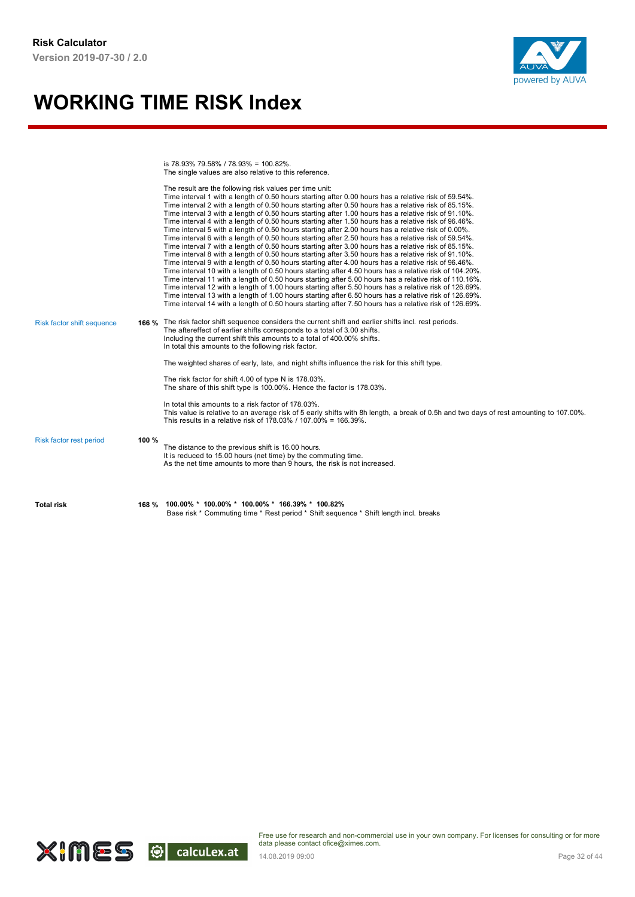

is 78.93% 79.58% / 78.93% = 100.82%. The single values are also relative to this reference.

|                            |       | The result are the following risk values per time unit:<br>Time interval 1 with a length of 0.50 hours starting after 0.00 hours has a relative risk of 59.54%.                                                  |
|----------------------------|-------|------------------------------------------------------------------------------------------------------------------------------------------------------------------------------------------------------------------|
|                            |       | Time interval 2 with a length of 0.50 hours starting after 0.50 hours has a relative risk of 85.15%.<br>Time interval 3 with a length of 0.50 hours starting after 1.00 hours has a relative risk of 91.10%.     |
|                            |       | Time interval 4 with a length of 0.50 hours starting after 1.50 hours has a relative risk of 96.46%.                                                                                                             |
|                            |       | Time interval 5 with a length of 0.50 hours starting after 2.00 hours has a relative risk of 0.00%.                                                                                                              |
|                            |       | Time interval 6 with a length of 0.50 hours starting after 2.50 hours has a relative risk of 59.54%.<br>Time interval 7 with a length of 0.50 hours starting after 3.00 hours has a relative risk of 85.15%.     |
|                            |       | Time interval 8 with a length of 0.50 hours starting after 3.50 hours has a relative risk of 91.10%.                                                                                                             |
|                            |       | Time interval 9 with a length of 0.50 hours starting after 4.00 hours has a relative risk of 96.46%.                                                                                                             |
|                            |       | Time interval 10 with a length of 0.50 hours starting after 4.50 hours has a relative risk of 104.20%.                                                                                                           |
|                            |       | Time interval 11 with a length of 0.50 hours starting after 5.00 hours has a relative risk of 110.16%.                                                                                                           |
|                            |       | Time interval 12 with a length of 1.00 hours starting after 5.50 hours has a relative risk of 126.69%.                                                                                                           |
|                            |       | Time interval 13 with a length of 1.00 hours starting after 6.50 hours has a relative risk of 126.69%.<br>Time interval 14 with a length of 0.50 hours starting after 7.50 hours has a relative risk of 126.69%. |
|                            |       |                                                                                                                                                                                                                  |
| Risk factor shift sequence |       | 166 % The risk factor shift sequence considers the current shift and earlier shifts incl. rest periods.                                                                                                          |
|                            |       | The aftereffect of earlier shifts corresponds to a total of 3.00 shifts.                                                                                                                                         |
|                            |       | Including the current shift this amounts to a total of 400.00% shifts.                                                                                                                                           |
|                            |       | In total this amounts to the following risk factor.                                                                                                                                                              |
|                            |       | The weighted shares of early, late, and night shifts influence the risk for this shift type.                                                                                                                     |
|                            |       | The risk factor for shift 4.00 of type N is 178.03%.                                                                                                                                                             |
|                            |       | The share of this shift type is 100.00%. Hence the factor is 178.03%.                                                                                                                                            |
|                            |       | In total this amounts to a risk factor of 178.03%.                                                                                                                                                               |
|                            |       | This value is relative to an average risk of 5 early shifts with 8h length, a break of 0.5h and two days of rest amounting to 107.00%.                                                                           |
|                            |       | This results in a relative risk of 178.03% / 107.00% = 166.39%.                                                                                                                                                  |
|                            |       |                                                                                                                                                                                                                  |
| Risk factor rest period    | 100 % | The distance to the previous shift is 16.00 hours.                                                                                                                                                               |
|                            |       | It is reduced to 15.00 hours (net time) by the commuting time.                                                                                                                                                   |
|                            |       | As the net time amounts to more than 9 hours, the risk is not increased.                                                                                                                                         |
|                            |       |                                                                                                                                                                                                                  |
|                            |       |                                                                                                                                                                                                                  |
| <b>Total risk</b>          |       | 168 % 100.00% * 100.00% * 100.00% * 166.39% * 100.82%                                                                                                                                                            |
|                            |       | Base risk * Commuting time * Rest period * Shift sequence * Shift length incl. breaks                                                                                                                            |

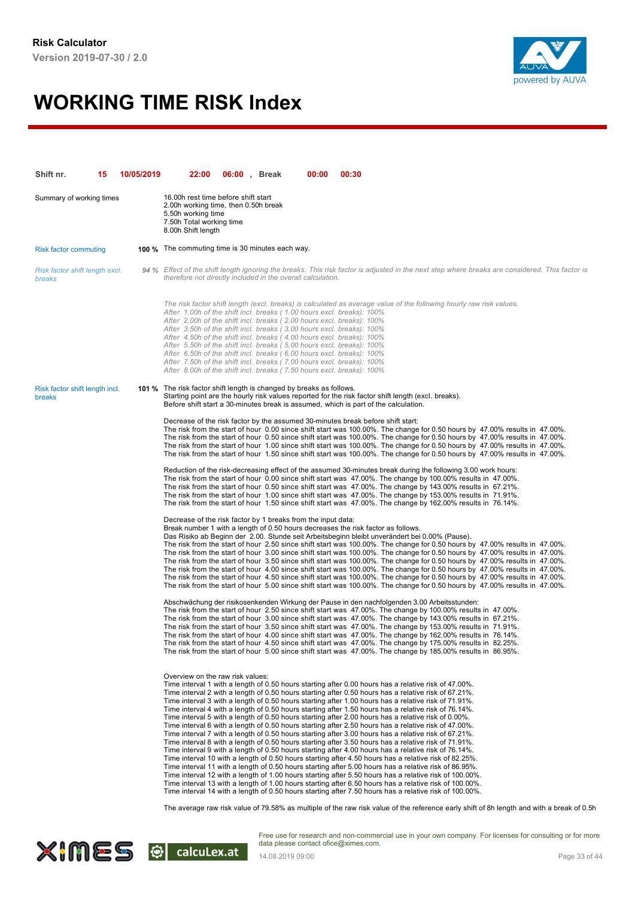

| Shift nr.                                | 15 | 10/05/2019 | 22:00                                                                                                                                                                                                                                                                                                                                                                                                                                                                                                                                                                                                | 06:00, Break | 00:00 | 00:30                                                                                                                                                                                                                                                                                                                                                                                                                                                                                                                                                                                                                                                                                                                                                                                                                                                                                                                                                                                                                                                                                                                                                                                                                                                                                                                                                                                                                                                                                                                                                                                                                                                            |
|------------------------------------------|----|------------|------------------------------------------------------------------------------------------------------------------------------------------------------------------------------------------------------------------------------------------------------------------------------------------------------------------------------------------------------------------------------------------------------------------------------------------------------------------------------------------------------------------------------------------------------------------------------------------------------|--------------|-------|------------------------------------------------------------------------------------------------------------------------------------------------------------------------------------------------------------------------------------------------------------------------------------------------------------------------------------------------------------------------------------------------------------------------------------------------------------------------------------------------------------------------------------------------------------------------------------------------------------------------------------------------------------------------------------------------------------------------------------------------------------------------------------------------------------------------------------------------------------------------------------------------------------------------------------------------------------------------------------------------------------------------------------------------------------------------------------------------------------------------------------------------------------------------------------------------------------------------------------------------------------------------------------------------------------------------------------------------------------------------------------------------------------------------------------------------------------------------------------------------------------------------------------------------------------------------------------------------------------------------------------------------------------------|
| Summary of working times                 |    |            | 16.00h rest time before shift start<br>2.00h working time, then 0.50h break<br>5.50h working time<br>7.50h Total working time<br>8.00h Shift length                                                                                                                                                                                                                                                                                                                                                                                                                                                  |              |       |                                                                                                                                                                                                                                                                                                                                                                                                                                                                                                                                                                                                                                                                                                                                                                                                                                                                                                                                                                                                                                                                                                                                                                                                                                                                                                                                                                                                                                                                                                                                                                                                                                                                  |
| <b>Risk factor commuting</b>             |    |            | <b>100 %</b> The commuting time is 30 minutes each way.                                                                                                                                                                                                                                                                                                                                                                                                                                                                                                                                              |              |       |                                                                                                                                                                                                                                                                                                                                                                                                                                                                                                                                                                                                                                                                                                                                                                                                                                                                                                                                                                                                                                                                                                                                                                                                                                                                                                                                                                                                                                                                                                                                                                                                                                                                  |
| Risk factor shift length excl.<br>breaks |    |            | therefore not directly included in the overall calculation.                                                                                                                                                                                                                                                                                                                                                                                                                                                                                                                                          |              |       | 94 % Effect of the shift length ignoring the breaks. This risk factor is adjusted in the next step where breaks are considered. This factor is                                                                                                                                                                                                                                                                                                                                                                                                                                                                                                                                                                                                                                                                                                                                                                                                                                                                                                                                                                                                                                                                                                                                                                                                                                                                                                                                                                                                                                                                                                                   |
|                                          |    |            | After 1.00h of the shift incl. breaks (1.00 hours excl. breaks): 100%<br>After 2.00h of the shift incl. breaks (2.00 hours excl. breaks): 100%<br>After 3.50h of the shift incl. breaks (3.00 hours excl. breaks): 100%<br>After 4.50h of the shift incl. breaks (4.00 hours excl. breaks): 100%<br>After 5.50h of the shift incl. breaks (5.00 hours excl. breaks): 100%<br>After 6.50h of the shift incl. breaks (6.00 hours excl. breaks): 100%<br>After 7.50h of the shift incl. breaks (7.00 hours excl. breaks): 100%<br>After 8.00h of the shift incl. breaks (7.50 hours excl. breaks): 100% |              |       | The risk factor shift length (excl. breaks) is calculated as average value of the following hourly raw risk values.                                                                                                                                                                                                                                                                                                                                                                                                                                                                                                                                                                                                                                                                                                                                                                                                                                                                                                                                                                                                                                                                                                                                                                                                                                                                                                                                                                                                                                                                                                                                              |
| Risk factor shift length incl.<br>breaks |    |            | 101 % The risk factor shift length is changed by breaks as follows.                                                                                                                                                                                                                                                                                                                                                                                                                                                                                                                                  |              |       | Starting point are the hourly risk values reported for the risk factor shift length (excl. breaks).<br>Before shift start a 30-minutes break is assumed, which is part of the calculation.                                                                                                                                                                                                                                                                                                                                                                                                                                                                                                                                                                                                                                                                                                                                                                                                                                                                                                                                                                                                                                                                                                                                                                                                                                                                                                                                                                                                                                                                       |
|                                          |    |            |                                                                                                                                                                                                                                                                                                                                                                                                                                                                                                                                                                                                      |              |       | Decrease of the risk factor by the assumed 30-minutes break before shift start:<br>The risk from the start of hour 0.00 since shift start was 100.00%. The change for 0.50 hours by 47.00% results in 47.00%.<br>The risk from the start of hour 0.50 since shift start was 100.00%. The change for 0.50 hours by 47.00% results in 47.00%.<br>The risk from the start of hour 1.00 since shift start was 100.00%. The change for 0.50 hours by 47.00% results in 47.00%.<br>The risk from the start of hour 1.50 since shift start was 100.00%. The change for 0.50 hours by 47.00% results in 47.00%.                                                                                                                                                                                                                                                                                                                                                                                                                                                                                                                                                                                                                                                                                                                                                                                                                                                                                                                                                                                                                                                          |
|                                          |    |            |                                                                                                                                                                                                                                                                                                                                                                                                                                                                                                                                                                                                      |              |       | Reduction of the risk-decreasing effect of the assumed 30-minutes break during the following 3.00 work hours:<br>The risk from the start of hour 0.00 since shift start was 47.00%. The change by 100.00% results in 47.00%.<br>The risk from the start of hour 0.50 since shift start was 47.00%. The change by 143.00% results in 67.21%.<br>The risk from the start of hour 1.00 since shift start was 47.00%. The change by 153.00% results in 71.91%.<br>The risk from the start of hour 1.50 since shift start was 47.00%. The change by 162.00% results in 76.14%.                                                                                                                                                                                                                                                                                                                                                                                                                                                                                                                                                                                                                                                                                                                                                                                                                                                                                                                                                                                                                                                                                        |
|                                          |    |            | Decrease of the risk factor by 1 breaks from the input data:                                                                                                                                                                                                                                                                                                                                                                                                                                                                                                                                         |              |       | Break number 1 with a length of 0.50 hours decreases the risk factor as follows.<br>Das Risiko ab Beginn der 2.00. Stunde seit Arbeitsbeginn bleibt unverändert bei 0.00% (Pause).<br>The risk from the start of hour 2.50 since shift start was 100.00%. The change for 0.50 hours by 47.00% results in 47.00%.<br>The risk from the start of hour 3.00 since shift start was 100.00%. The change for 0.50 hours by 47.00% results in 47.00%.<br>The risk from the start of hour 3.50 since shift start was 100.00%. The change for 0.50 hours by 47.00% results in 47.00%.<br>The risk from the start of hour 4.00 since shift start was 100.00%. The change for 0.50 hours by 47.00% results in 47.00%.<br>The risk from the start of hour 4.50 since shift start was 100.00%. The change for 0.50 hours by 47.00% results in 47.00%.<br>The risk from the start of hour 5.00 since shift start was 100.00%. The change for 0.50 hours by 47.00% results in 47.00%.                                                                                                                                                                                                                                                                                                                                                                                                                                                                                                                                                                                                                                                                                           |
|                                          |    |            |                                                                                                                                                                                                                                                                                                                                                                                                                                                                                                                                                                                                      |              |       | Abschwächung der risikosenkenden Wirkung der Pause in den nachfolgenden 3.00 Arbeitsstunden:<br>The risk from the start of hour 2.50 since shift start was 47.00%. The change by 100.00% results in 47.00%.<br>The risk from the start of hour 3.00 since shift start was 47.00%. The change by 143.00% results in 67.21%.<br>The risk from the start of hour 3.50 since shift start was 47.00%. The change by 153.00% results in 71.91%.<br>The risk from the start of hour 4.00 since shift start was 47.00%. The change by 162.00% results in 76.14%.<br>The risk from the start of hour 4.50 since shift start was 47.00%. The change by 175.00% results in 82.25%.<br>The risk from the start of hour 5.00 since shift start was 47.00%. The change by 185.00% results in 86.95%.                                                                                                                                                                                                                                                                                                                                                                                                                                                                                                                                                                                                                                                                                                                                                                                                                                                                           |
|                                          |    |            | Overview on the raw risk values:                                                                                                                                                                                                                                                                                                                                                                                                                                                                                                                                                                     |              |       | Time interval 1 with a length of 0.50 hours starting after 0.00 hours has a relative risk of 47.00%.<br>Time interval 2 with a length of 0.50 hours starting after 0.50 hours has a relative risk of 67.21%.<br>Time interval 3 with a length of 0.50 hours starting after 1.00 hours has a relative risk of 71.91%.<br>Time interval 4 with a length of 0.50 hours starting after 1.50 hours has a relative risk of 76.14%.<br>Time interval 5 with a length of 0.50 hours starting after 2.00 hours has a relative risk of 0.00%.<br>Time interval 6 with a length of 0.50 hours starting after 2.50 hours has a relative risk of 47.00%.<br>Time interval 7 with a length of 0.50 hours starting after 3.00 hours has a relative risk of 67.21%.<br>Time interval 8 with a length of 0.50 hours starting after 3.50 hours has a relative risk of 71.91%.<br>Time interval 9 with a length of 0.50 hours starting after 4.00 hours has a relative risk of 76.14%.<br>Time interval 10 with a length of 0.50 hours starting after 4.50 hours has a relative risk of 82.25%.<br>Time interval 11 with a length of 0.50 hours starting after 5.00 hours has a relative risk of 86.95%.<br>Time interval 12 with a length of 1.00 hours starting after 5.50 hours has a relative risk of 100.00%.<br>Time interval 13 with a length of 1.00 hours starting after 6.50 hours has a relative risk of 100.00%.<br>Time interval 14 with a length of 0.50 hours starting after 7.50 hours has a relative risk of 100.00%.<br>The average raw risk value of 79.58% as multiple of the raw risk value of the reference early shift of 8h length and with a break of 0.5r |
|                                          |    |            |                                                                                                                                                                                                                                                                                                                                                                                                                                                                                                                                                                                                      |              |       |                                                                                                                                                                                                                                                                                                                                                                                                                                                                                                                                                                                                                                                                                                                                                                                                                                                                                                                                                                                                                                                                                                                                                                                                                                                                                                                                                                                                                                                                                                                                                                                                                                                                  |

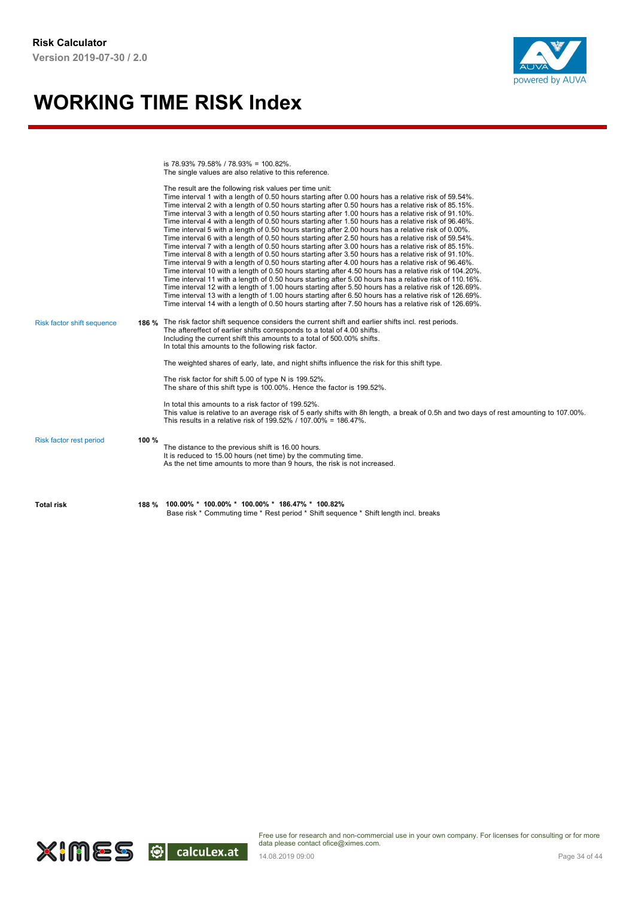

is 78.93% 79.58% / 78.93% = 100.82%. The single values are also relative to this reference.

| <b>Total risk</b>                 |       | 188 % 100.00% * 100.00% * 100.00% * 186.47% * 100.82%<br>Base risk * Commuting time * Rest period * Shift sequence * Shift length incl. breaks                                                                                                                                                                                                                                                                                                                                                                                                                                                                                                                                                                                                                                                                                                                                                                                                                                                                                                                                                                                                                                                                                                                                                                                                                                                                                                                                                                                                                                                                                                                                              |
|-----------------------------------|-------|---------------------------------------------------------------------------------------------------------------------------------------------------------------------------------------------------------------------------------------------------------------------------------------------------------------------------------------------------------------------------------------------------------------------------------------------------------------------------------------------------------------------------------------------------------------------------------------------------------------------------------------------------------------------------------------------------------------------------------------------------------------------------------------------------------------------------------------------------------------------------------------------------------------------------------------------------------------------------------------------------------------------------------------------------------------------------------------------------------------------------------------------------------------------------------------------------------------------------------------------------------------------------------------------------------------------------------------------------------------------------------------------------------------------------------------------------------------------------------------------------------------------------------------------------------------------------------------------------------------------------------------------------------------------------------------------|
| Risk factor rest period           | 100 % | The distance to the previous shift is 16.00 hours.<br>It is reduced to 15.00 hours (net time) by the commuting time.<br>As the net time amounts to more than 9 hours, the risk is not increased.                                                                                                                                                                                                                                                                                                                                                                                                                                                                                                                                                                                                                                                                                                                                                                                                                                                                                                                                                                                                                                                                                                                                                                                                                                                                                                                                                                                                                                                                                            |
|                                   |       | In total this amounts to a risk factor of 199.52%.<br>This value is relative to an average risk of 5 early shifts with 8h length, a break of 0.5h and two days of rest amounting to 107.00%.<br>This results in a relative risk of 199.52% / 107.00% = 186.47%.                                                                                                                                                                                                                                                                                                                                                                                                                                                                                                                                                                                                                                                                                                                                                                                                                                                                                                                                                                                                                                                                                                                                                                                                                                                                                                                                                                                                                             |
|                                   |       | The risk factor for shift 5.00 of type N is 199.52%.<br>The share of this shift type is 100.00%. Hence the factor is 199.52%.                                                                                                                                                                                                                                                                                                                                                                                                                                                                                                                                                                                                                                                                                                                                                                                                                                                                                                                                                                                                                                                                                                                                                                                                                                                                                                                                                                                                                                                                                                                                                               |
|                                   |       | The aftereffect of earlier shifts corresponds to a total of 4.00 shifts.<br>Including the current shift this amounts to a total of 500.00% shifts.<br>In total this amounts to the following risk factor.<br>The weighted shares of early, late, and night shifts influence the risk for this shift type.                                                                                                                                                                                                                                                                                                                                                                                                                                                                                                                                                                                                                                                                                                                                                                                                                                                                                                                                                                                                                                                                                                                                                                                                                                                                                                                                                                                   |
| <b>Risk factor shift sequence</b> |       | The result are the following risk values per time unit:<br>Time interval 1 with a length of 0.50 hours starting after 0.00 hours has a relative risk of 59.54%.<br>Time interval 2 with a length of 0.50 hours starting after 0.50 hours has a relative risk of 85.15%.<br>Time interval 3 with a length of 0.50 hours starting after 1.00 hours has a relative risk of 91.10%.<br>Time interval 4 with a length of 0.50 hours starting after 1.50 hours has a relative risk of 96.46%.<br>Time interval 5 with a length of 0.50 hours starting after 2.00 hours has a relative risk of 0.00%.<br>Time interval 6 with a length of 0.50 hours starting after 2.50 hours has a relative risk of 59.54%.<br>Time interval 7 with a length of 0.50 hours starting after 3.00 hours has a relative risk of 85.15%.<br>Time interval 8 with a length of 0.50 hours starting after 3.50 hours has a relative risk of 91.10%.<br>Time interval 9 with a length of 0.50 hours starting after 4.00 hours has a relative risk of 96.46%.<br>Time interval 10 with a length of 0.50 hours starting after 4.50 hours has a relative risk of 104.20%.<br>Time interval 11 with a length of 0.50 hours starting after 5.00 hours has a relative risk of 110.16%.<br>Time interval 12 with a length of 1.00 hours starting after 5.50 hours has a relative risk of 126.69%.<br>Time interval 13 with a length of 1.00 hours starting after 6.50 hours has a relative risk of 126.69%.<br>Time interval 14 with a length of 0.50 hours starting after 7.50 hours has a relative risk of 126.69%.<br>186 % The risk factor shift sequence considers the current shift and earlier shifts incl. rest periods. |

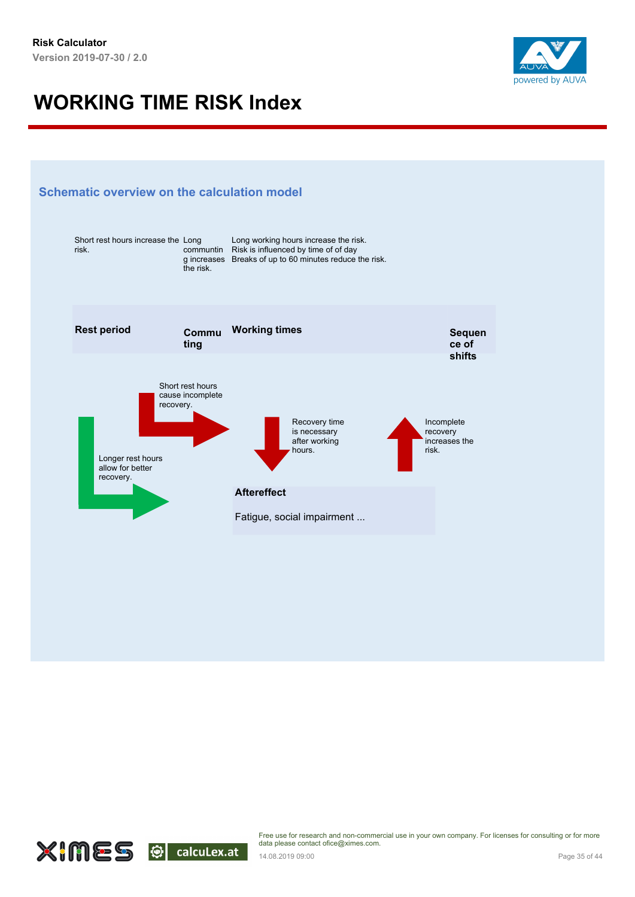



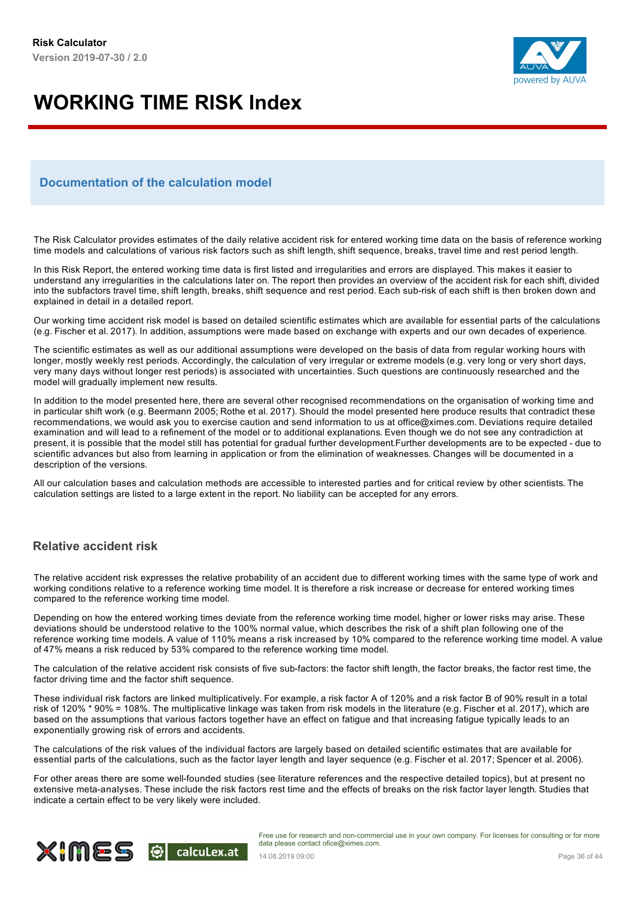

#### **Documentation of the calculation model**

The Risk Calculator provides estimates of the daily relative accident risk for entered working time data on the basis of reference working time models and calculations of various risk factors such as shift length, shift sequence, breaks, travel time and rest period length.

In this Risk Report, the entered working time data is first listed and irregularities and errors are displayed. This makes it easier to understand any irregularities in the calculations later on. The report then provides an overview of the accident risk for each shift, divided into the subfactors travel time, shift length, breaks, shift sequence and rest period. Each sub-risk of each shift is then broken down and explained in detail in a detailed report.

Our working time accident risk model is based on detailed scientific estimates which are available for essential parts of the calculations (e.g. Fischer et al. 2017). In addition, assumptions were made based on exchange with experts and our own decades of experience.

The scientific estimates as well as our additional assumptions were developed on the basis of data from regular working hours with longer, mostly weekly rest periods. Accordingly, the calculation of very irregular or extreme models (e.g. very long or very short days, very many days without longer rest periods) is associated with uncertainties. Such questions are continuously researched and the model will gradually implement new results.

In addition to the model presented here, there are several other recognised recommendations on the organisation of working time and in particular shift work (e.g. Beermann 2005; Rothe et al. 2017). Should the model presented here produce results that contradict these recommendations, we would ask you to exercise caution and send information to us at office@ximes.com. Deviations require detailed examination and will lead to a refinement of the model or to additional explanations. Even though we do not see any contradiction at present, it is possible that the model still has potential for gradual further development.Further developments are to be expected - due to scientific advances but also from learning in application or from the elimination of weaknesses. Changes will be documented in a description of the versions.

All our calculation bases and calculation methods are accessible to interested parties and for critical review by other scientists. The calculation settings are listed to a large extent in the report. No liability can be accepted for any errors.

#### **Relative accident risk**

The relative accident risk expresses the relative probability of an accident due to different working times with the same type of work and working conditions relative to a reference working time model. It is therefore a risk increase or decrease for entered working times compared to the reference working time model.

Depending on how the entered working times deviate from the reference working time model, higher or lower risks may arise. These deviations should be understood relative to the 100% normal value, which describes the risk of a shift plan following one of the reference working time models. A value of 110% means a risk increased by 10% compared to the reference working time model. A value of 47% means a risk reduced by 53% compared to the reference working time model.

The calculation of the relative accident risk consists of five sub-factors: the factor shift length, the factor breaks, the factor rest time, the factor driving time and the factor shift sequence.

These individual risk factors are linked multiplicatively. For example, a risk factor A of 120% and a risk factor B of 90% result in a total risk of 120% \* 90% = 108%. The multiplicative linkage was taken from risk models in the literature (e.g. Fischer et al. 2017), which are based on the assumptions that various factors together have an effect on fatigue and that increasing fatigue typically leads to an exponentially growing risk of errors and accidents.

The calculations of the risk values of the individual factors are largely based on detailed scientific estimates that are available for essential parts of the calculations, such as the factor layer length and layer sequence (e.g. Fischer et al. 2017; Spencer et al. 2006).

For other areas there are some well-founded studies (see literature references and the respective detailed topics), but at present no extensive meta-analyses. These include the risk factors rest time and the effects of breaks on the risk factor layer length. Studies that indicate a certain effect to be very likely were included.

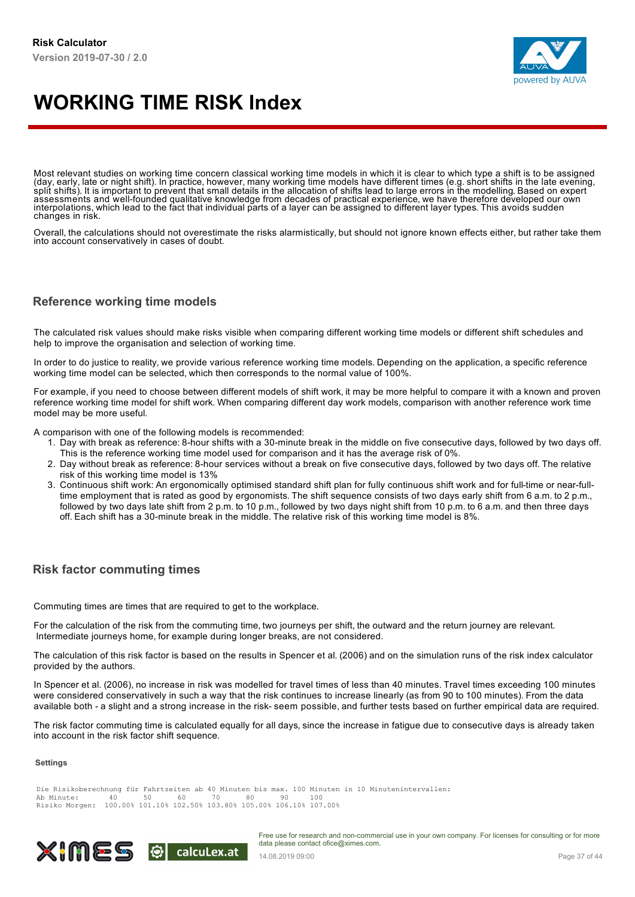

Most relevant studies on working time concern classical working time models in which it is clear to which type a shift is to be assigned (day, early, late or night shift). In practice, however, many working time models have different times (e.g. short shifts in the late evening,<br>split shifts). It is important to prevent that small details in the allocation interpolations, which lead to the fact that individual parts of a layer can be assigned to different layer types. This avoids sudden changes in risk.

Overall, the calculations should not overestimate the risks alarmistically, but should not ignore known effects either, but rather take them into account conservatively in cases of doubt.

#### **Reference working time models**

The calculated risk values should make risks visible when comparing different working time models or different shift schedules and help to improve the organisation and selection of working time.

In order to do justice to reality, we provide various reference working time models. Depending on the application, a specific reference working time model can be selected, which then corresponds to the normal value of 100%.

For example, if you need to choose between different models of shift work, it may be more helpful to compare it with a known and proven reference working time model for shift work. When comparing different day work models, comparison with another reference work time model may be more useful.

A comparison with one of the following models is recommended:

- 1. Day with break as reference: 8-hour shifts with a 30-minute break in the middle on five consecutive days, followed by two days off. This is the reference working time model used for comparison and it has the average risk of 0%.
- 2. Day without break as reference: 8-hour services without a break on five consecutive days, followed by two days off. The relative risk of this working time model is 13%
- 3. Continuous shift work: An ergonomically optimised standard shift plan for fully continuous shift work and for full-time or near-fulltime employment that is rated as good by ergonomists. The shift sequence consists of two days early shift from 6 a.m. to 2 p.m., followed by two days late shift from 2 p.m. to 10 p.m., followed by two days night shift from 10 p.m. to 6 a.m. and then three days off. Each shift has a 30-minute break in the middle. The relative risk of this working time model is 8%.

#### **Risk factor commuting times**

Commuting times are times that are required to get to the workplace.

For the calculation of the risk from the commuting time, two journeys per shift, the outward and the return journey are relevant. Intermediate journeys home, for example during longer breaks, are not considered.

The calculation of this risk factor is based on the results in Spencer et al. (2006) and on the simulation runs of the risk index calculator provided by the authors.

In Spencer et al. (2006), no increase in risk was modelled for travel times of less than 40 minutes. Travel times exceeding 100 minutes were considered conservatively in such a way that the risk continues to increase linearly (as from 90 to 100 minutes). From the data available both - a slight and a strong increase in the risk- seem possible, and further tests based on further empirical data are required.

The risk factor commuting time is calculated equally for all days, since the increase in fatigue due to consecutive days is already taken into account in the risk factor shift sequence.

#### **Settings**

Die Risikoberechnung für Fahrtzeiten ab 40 Minuten bis max. 100 Minuten in 10 Minutenintervallen:<br>Ab Minute: 40 50 60 70 80 90 100 Ab Minute: 40 50 60 70 80 90 100 Risiko Morgen: 100.00% 101.10% 102.50% 103.80% 105.00% 106.10% 107.00%

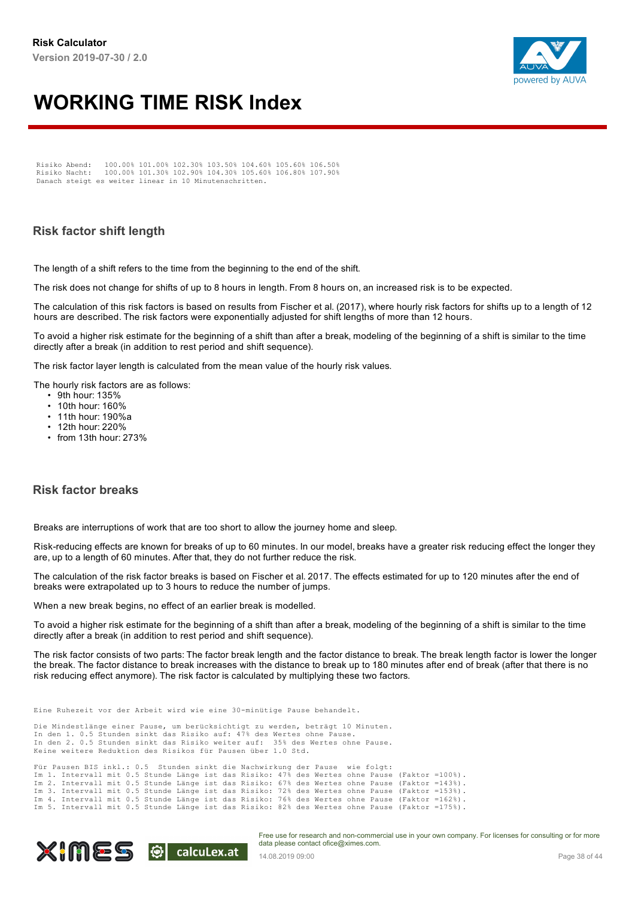

Risiko Abend: 100.00% 101.00% 102.30% 103.50% 104.60% 105.60% 106.50% Risiko Nacht: 100.00% 101.30% 102.90% 104.30% 105.60% 106.80% 107.90% Danach steigt es weiter linear in 10 Minutenschritten.

#### **Risk factor shift length**

The length of a shift refers to the time from the beginning to the end of the shift.

The risk does not change for shifts of up to 8 hours in length. From 8 hours on, an increased risk is to be expected.

The calculation of this risk factors is based on results from Fischer et al. (2017), where hourly risk factors for shifts up to a length of 12 hours are described. The risk factors were exponentially adjusted for shift lengths of more than 12 hours.

To avoid a higher risk estimate for the beginning of a shift than after a break, modeling of the beginning of a shift is similar to the time directly after a break (in addition to rest period and shift sequence).

The risk factor layer length is calculated from the mean value of the hourly risk values.

The hourly risk factors are as follows:

- 9th hour: 135%
- 10th hour: 160%
- 11th hour: 190%a
- 12th hour: 220%
- from 13th hour: 273%

#### **Risk factor breaks**

Breaks are interruptions of work that are too short to allow the journey home and sleep.

Risk-reducing effects are known for breaks of up to 60 minutes. In our model, breaks have a greater risk reducing effect the longer they are, up to a length of 60 minutes. After that, they do not further reduce the risk.

The calculation of the risk factor breaks is based on Fischer et al. 2017. The effects estimated for up to 120 minutes after the end of breaks were extrapolated up to 3 hours to reduce the number of jumps.

When a new break begins, no effect of an earlier break is modelled.

To avoid a higher risk estimate for the beginning of a shift than after a break, modeling of the beginning of a shift is similar to the time directly after a break (in addition to rest period and shift sequence).

The risk factor consists of two parts: The factor break length and the factor distance to break. The break length factor is lower the longer the break. The factor distance to break increases with the distance to break up to 180 minutes after end of break (after that there is no risk reducing effect anymore). The risk factor is calculated by multiplying these two factors.

Eine Ruhezeit vor der Arbeit wird wie eine 30-minütige Pause behandelt.

Die Mindestlänge einer Pause, um berücksichtigt zu werden, beträgt 10 Minuten. In den 1. 0.5 Stunden sinkt das Risiko auf: 47% des Wertes ohne Pause. In den 2. 0.5 Stunden sinkt das Risiko weiter auf: 35% des Wertes ohne Pause. Keine weitere Reduktion des Risikos für Pausen über 1.0 Std.

Für Pausen BIS inkl.: 0.5 Stunden sinkt die Nachwirkung der Pause wie folgt: Im 1. Intervall mit 0.5 Stunde Länge ist das Risiko: 47% des Wertes ohne Pause (Faktor =100%). Im 2. Intervall mit 0.5 Stunde Länge ist das Risiko: 67% des Wertes ohne Pause (Faktor =143%). Im 3. Intervall mit 0.5 Stunde Länge ist das Risiko: 72% des Wertes ohne Pause (Faktor =153%). Im 4. Intervall mit 0.5 Stunde Länge ist das Risiko: 76% des Wertes ohne Pause (Faktor =162%). Im 5. Intervall mit 0.5 Stunde Länge ist das Risiko: 82% des Wertes ohne Pause (Faktor =175%).

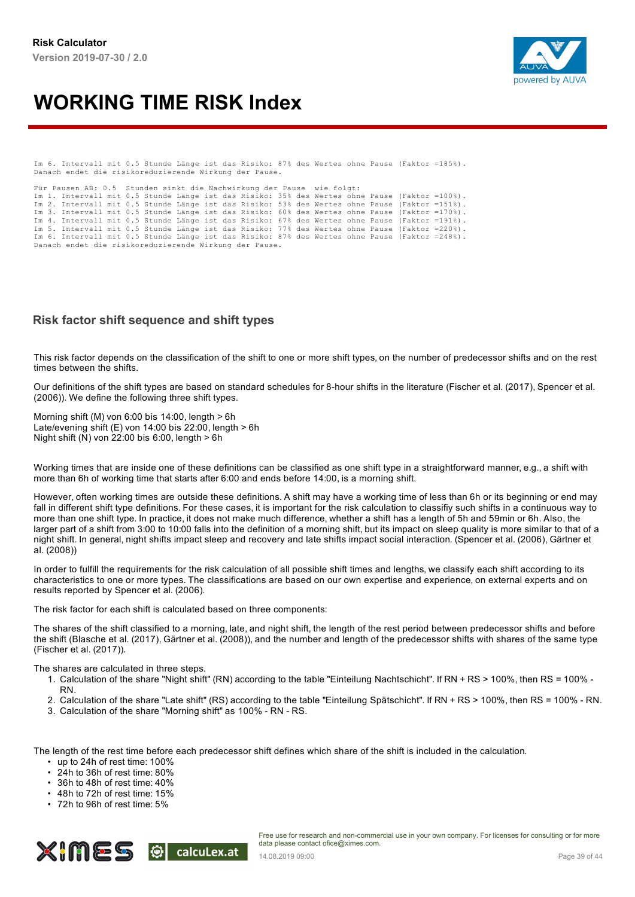

Im 6. Intervall mit 0.5 Stunde Länge ist das Risiko: 87% des Wertes ohne Pause (Faktor =185%). Danach endet die risikoreduzierende Wirkung der Pause.

Für Pausen AB: 0.5 Stunden sinkt die Nachwirkung der Pause wie folgt: Im 1. Intervall mit 0.5 Stunde Länge ist das Risiko: 35% des Wertes ohne Pause (Faktor =100%). Im 2. Intervall mit 0.5 Stunde Länge ist das Risiko: 53% des Wertes ohne Pause (Faktor =151%). Im 3. Intervall mit 0.5 Stunde Länge ist das Risiko: 60% des Wertes ohne Pause (Faktor =170%). Im 4. Intervall mit 0.5 Stunde Länge ist das Risiko: 67% des Wertes ohne Pause (Faktor =191%). Im 5. Intervall mit 0.5 Stunde Länge ist das Risiko: 77% des Wertes ohne Pause (Faktor =220%). Im 6. Intervall mit 0.5 Stunde Länge ist das Risiko: 87% des Wertes ohne Pause (Faktor =248%). Danach endet die risikoreduzierende Wirkung der Pause.

#### **Risk factor shift sequence and shift types**

This risk factor depends on the classification of the shift to one or more shift types, on the number of predecessor shifts and on the rest times between the shifts.

Our definitions of the shift types are based on standard schedules for 8-hour shifts in the literature (Fischer et al. (2017), Spencer et al. (2006)). We define the following three shift types.

Morning shift (M) von 6:00 bis 14:00, length > 6h Late/evening shift (E) von 14:00 bis 22:00, length > 6h Night shift (N) von 22:00 bis 6:00, length > 6h

Working times that are inside one of these definitions can be classified as one shift type in a straightforward manner, e.g., a shift with more than 6h of working time that starts after 6:00 and ends before 14:00, is a morning shift.

However, often working times are outside these definitions. A shift may have a working time of less than 6h or its beginning or end may fall in different shift type definitions. For these cases, it is important for the risk calculation to classifiy such shifts in a continuous way to more than one shift type. In practice, it does not make much difference, whether a shift has a length of 5h and 59min or 6h. Also, the larger part of a shift from 3:00 to 10:00 falls into the definition of a morning shift, but its impact on sleep quality is more similar to that of a night shift. In general, night shifts impact sleep and recovery and late shifts impact social interaction. (Spencer et al. (2006), Gärtner et al. (2008))

In order to fulfill the requirements for the risk calculation of all possible shift times and lengths, we classify each shift according to its characteristics to one or more types. The classifications are based on our own expertise and experience, on external experts and on results reported by Spencer et al. (2006).

The risk factor for each shift is calculated based on three components:

The shares of the shift classified to a morning, late, and night shift, the length of the rest period between predecessor shifts and before the shift (Blasche et al. (2017), Gärtner et al. (2008)), and the number and length of the predecessor shifts with shares of the same type (Fischer et al. (2017)).

#### The shares are calculated in three steps.

- 1. Calculation of the share "Night shift" (RN) according to the table "Einteilung Nachtschicht". If RN + RS > 100%, then RS = 100% -
- RN.
- 2. Calculation of the share "Late shift" (RS) according to the table "Einteilung Spätschicht". If RN + RS > 100%, then RS = 100% RN.
- 3. Calculation of the share "Morning shift" as 100% RN RS.

The length of the rest time before each predecessor shift defines which share of the shift is included in the calculation.

- up to 24h of rest time: 100%
- 24h to 36h of rest time: 80%
- 36h to 48h of rest time: 40%
- 48h to 72h of rest time: 15%
- 72h to 96h of rest time: 5%

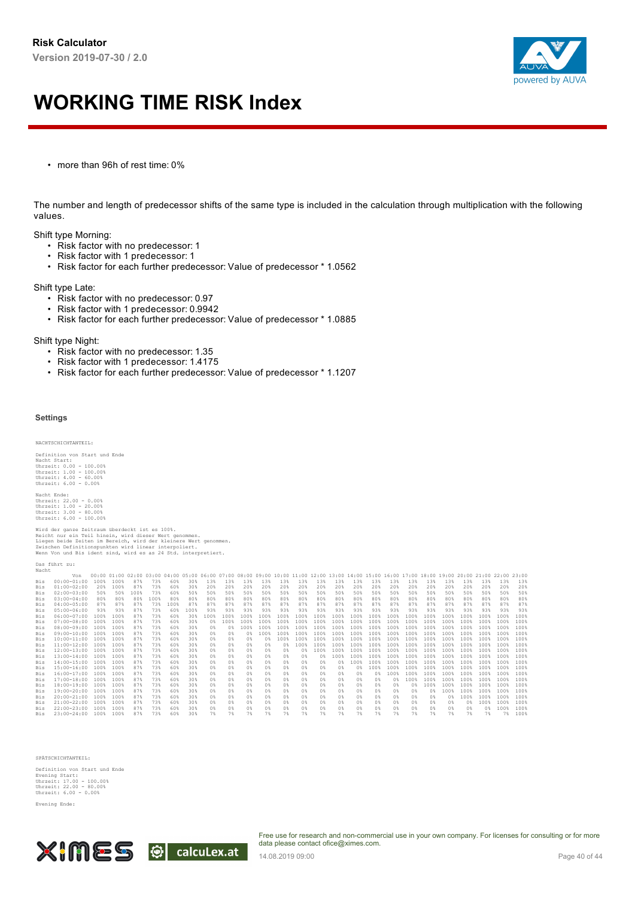

• more than 96h of rest time: 0%

The number and length of predecessor shifts of the same type is included in the calculation through multiplication with the following values.

Shift type Morning:

- Risk factor with no predecessor: 1
- Risk factor with 1 predecessor: 1
- Risk factor for each further predecessor: Value of predecessor \* 1.0562

Shift type Late:

- Risk factor with no predecessor: 0.97
- Risk factor with 1 predecessor: 0.9942
- Risk factor for each further predecessor: Value of predecessor \* 1.0885

Shift type Night:

- Risk factor with no predecessor: 1.35
- Risk factor with 1 predecessor: 1.4175
- Risk factor for each further predecessor: Value of predecessor \* 1.1207

#### **Settings**

#### NACHTSCHICHTANTEIL:

Definition von Start und Ende Nacht Start: Uhrzeit: 0.00 - 100.00% Uhrzeit: 1.00 - 100.00% Uhrzeit: 4.00 - 60.00% Uhrzeit: 6.00 - 0.00% Nacht Ende: Uhrzeit: 22.00 - 0.00% Uhrzeit: 1.00 - 20.00% Uhrzeit: 3.00 - 80.00% Uhrzeit: 6.00 - 100.00%

Wird der ganze Zeitraum überdeckt ist es 100%.<br>Reicht nur ein Teil hinein, wird dieser Wert genommen.<br>Liegen beide Zeiten im Bereich, wird der kleinere Wert genommen.<br>Zwischen Definitionspunkten wird linear interpoliert.<br>W

Das führt zu: Nacht

|            | Von                  |      |      |      | 00:00 01:00 02:00 03:00 04:00 05:00 06:00 07:00 08:00 09:00 10:00 11:00 12:00 13:00 14:00 15:00 16:00 17:00 |      |      |                  |      |      |      |                  |                  |                |      |      |      |                  |                | 18:00 19:00      |        | $20:00$ $21:00$ $22:00$ $23:00$ |      |      |      |
|------------|----------------------|------|------|------|-------------------------------------------------------------------------------------------------------------|------|------|------------------|------|------|------|------------------|------------------|----------------|------|------|------|------------------|----------------|------------------|--------|---------------------------------|------|------|------|
| Bis        | $00:00 - 01:00$      | 100% | 100% | 87%  | 73%                                                                                                         | 60%  | 30%  | 13%              | 13%  | 13%  | 13%  | 13%              | 13%              | 13%            | 13%  | 13%  | 13%  | 13%              | 13%            | 13%              | 13%    | 13%                             | 13%  | 13%  | 13%  |
| <b>Bis</b> | $01:00 - 02:00$      | 20%  | 100% | 87%  | 73%                                                                                                         | 60%  | 30%  | 20%              | 20%  | 20%  | 20%  | 20%              | 20%              | 20%            | 20%  | 20%  | 20%  | $20*$            | 20%            | 20%              | 20%    | 20%                             | 20%  | 20%  | 20%  |
| <b>Bis</b> | $02:00 - 03:00$      | 50%  | 50%  | 100% | 73%                                                                                                         | 60%  | 50%  | 50%              | 50%  | 50%  | 50%  | 50%              | 50%              | 50%            | 50%  | 50%  | 50%  | 50%              | 50%            | 50%              | 50%    | 50%                             | 50%  | 50%  | 50%  |
| <b>Bis</b> | $03:00 - 04:00$      | 80%  | 80%  | 80%  | 100%                                                                                                        | 80%  | 80%  | 80%              | 80%  | 80%  | 80%  | 80%              | 80%              | 80%            | 80%  | 80%  | 80%  | 80%              | 80%            | 80%              | 80%    | 80%                             | 80%  | 80%  | 80%  |
| <b>Bis</b> | $04:00 - 05:00$      | 87%  | 87%  | 87%  | 73%                                                                                                         | 100% | 87%  | 87%              | 87%  | 87%  | 87%  | 87%              | 87%              | 87%            | 87%  | 87%  | 87%  | 87%              | 87%            | 87%              | 87%    | 87%                             | 87%  | 87%  | 87%  |
| <b>Bis</b> | $05:00 - 06:00$      | 93%  | 93%  | 87%  | 73%                                                                                                         | 60%  | 100% | 93%              | 93%  | 93%  | 93%  | 93%              | 93%              | 93%            | 93%  | 93%  | 93%  | 93%              | 93%            | 93%              | 93%    | 93%                             | 93%  | 93%  | 93%  |
| <b>Bis</b> | $06:00 - 07:00$      | 100% | 100% | 87%  | 73%                                                                                                         | 60%  | 30%  | 100%             | 100% | 100% | 100% | 100%             | 100%             | 100%           | 100% | 100% | 100% | 100%             | 100%           | 100%             | 100%   | 100%                            | 100% | 100% | 100% |
| Bis        | $07:00 - 08:00$      | 100% | 100% | 87%  | 73%                                                                                                         | 60%  | 30%  | $0$ <sup>2</sup> | 100% | 100% | 100% | 100%             | 100%             | 100%           | 100% | 100% | 100% | 100%             | 100%           | 100%             | 100%   | 100%                            | 100% | 100% | 100% |
| <b>Bis</b> | $08:00 - 09:00$      | 100% | 100% | 87%  | 73%                                                                                                         | 60%  | 30%  | $0*$             | $0*$ | 100% | 100% | 100%             | 100%             | 100%           | 100% | 100% | 100% | 100%             | 100%           | 100%             | 100%   | 100%                            | 100% | 100% | 100% |
| <b>Bis</b> | $09:00 - 10:00$      | 100% | 100% | 87%  | 73%                                                                                                         | 60%  | 30%  | $0*$             | $0*$ | $0*$ | 100% | 100%             | 100%             | $100*$         | 100% | 100% | 100% | 100%             | 100%           | 100%             | 100%   | 100%                            | 100% | 100% | 100% |
| <b>Bis</b> | $10:00 - 11:00$      | 100% | 100% | 87%  | 73%                                                                                                         | 60%  | 30%  | $0*$             | $0*$ | $0*$ | 0%   | 100%             | 100%             | 100%           | 100% | 100% | 100% | 100%             | 100%           | 100%             | 100%   | 100%                            | 100% | 100% | 100% |
| <b>Bis</b> | $11:00-12:00$        | 100% | 100% | 87%  | 73%                                                                                                         | 60%  | 30%  | 0%               | 0 %  | $0*$ | $0*$ | 0%               | 100%             | $100*$         | 100% | 100% | 100% | 100%             | 100%           | 100%             | 100%   | 100%                            | 100% | 100% | 100% |
| <b>Bis</b> | $12:00 - 13:00$      | 100% | 100% | 87%  | 73%                                                                                                         | 60%  | 30%  | $0*$             | n*   | $0*$ | 0%   | $0$ <sup>2</sup> | ∩ %              | $100*$         | 100% | 100% | 100% | 100%             | 100%           | 100%             | 100%   | 100%                            | 100% | 100% | 100% |
| <b>Bis</b> | $13:00 - 14:00$      | 100% | 100% | 87%  | 73%                                                                                                         | 60%  | 30%  | 0%               | $0*$ | 0%   | n %  | $0*$             | 0 <sup>8</sup>   | 0%             | 100% | 100% | 100% | 100%             | 100%           | 100%             | 100%   | 100%                            | 100% | 100% | 100% |
| <b>Bis</b> | $14:00 - 15:00$      | 100% | 100% | 87%  | 73%                                                                                                         | 60%  | 30%  | 0%               | $0*$ | $0*$ | n %  | 0%               | ∩ %              | 0%             | 0 %  | 100% | 100% | 100%             | 100%           | 100%             | 100%   | 100%                            | 100% | 100% | 100% |
| <b>Bis</b> | $15:00 - 16:00$      | 100% | 100% | 87%  | 73%                                                                                                         | 60%  | 30%  | $0*$             | n*   | $0*$ | $0*$ | $0*$             | 0%               | $0*$           | n*   | $0*$ | 100% | 100%             | 100%           | 100%             | 100%   | 100%                            | 100% | 100% | 100% |
| <b>Bis</b> | $16:00 - 17:00$      | 100% | 100% | 87%  | 73%                                                                                                         | 60%  | 30%  | $0*$             | $0*$ | 0%   | $0*$ | $0$ <sup>2</sup> | ∩ %              | 0%             | $0*$ | $0*$ | $0*$ | 100%             | 100%           | 100%             | 100%   | 100%                            | 100% | 100% | 100% |
| <b>Bis</b> | $17:00 - 18:00$ 100% |      | 100% | 87%  | 73%                                                                                                         | 60%  | 30%  | $0*$             | n*   | 0%   | 0%   | 0%               | 0%               | $0*$           | n*   | $0*$ | $0*$ | $0*$             | 100%           | 100%             | 100%   | 100%                            | 100% | 100% | 100% |
| <b>Bis</b> | $18:00 - 19:00$      | 100% | 100% | 87%  | 73%                                                                                                         | 60%  | 30%  | $0*$             | n*   | $0*$ | 0%   | $0$ <sup>2</sup> | 0 <sup>8</sup>   | 0%             | n*   | $0*$ | $0*$ | $0$ <sup>2</sup> | $0*$           | 100%             | 100%   | 100%                            | 100% | 100% | 100% |
| <b>Bis</b> | $19:00 - 20:00$      | 100% | 100% | 87%  | 73%                                                                                                         | 60%  | 30%  | 0%               | $0*$ | 0%   | 0%   | 0%               | $0$ <sup>2</sup> | $0*$           | n*   | 0%   | $0*$ | $0*$             | 0 <sup>8</sup> | 0%               | $100*$ | 100%                            | 100% | 100% | 100% |
| <b>Bis</b> | $20:00 - 21:00$      | 100% | 100% | 87%  | 73%                                                                                                         | 60%  | 30%  | $0*$             | n*   | $0*$ | 0%   | $0$ <sup>2</sup> | 0%               | $0*$           | n*   | $0*$ | $0*$ | $0*$             | 0 <sup>8</sup> | 0 <sup>8</sup>   | 0%     | 100%                            | 100% | 100% | 100% |
| <b>Bis</b> | $21:00 - 22:00$      | 100% | 100% | 87%  | 73%                                                                                                         | 60%  | 30%  | $0*$             | 0%   | $0*$ | 0%   | 0%               | 0%               | 0 <sup>8</sup> | 0%   | $0*$ | 0%   | 0 <sup>8</sup>   | $0*$           | $0$ <sup>8</sup> | 0%     | 0 <sup>8</sup>                  | 100% | 100% | 100% |
| <b>Bis</b> | $22:00 - 23:00$      | 100% | 100% | 87%  | 73%                                                                                                         | 60%  | 30%  | $0*$             | n*   | $0*$ | 0%   | $0$ <sup>2</sup> | 0%               | $0*$           | n*   | $0*$ | $0*$ | $0*$             | $0*$           | 0 <sup>8</sup>   | $0*$   | 0%                              | 0 %  | 100% | 100% |
| <b>Bis</b> | 23:00-24:00          | 100% | 100% | 87%  | 73%                                                                                                         | 60%  | 30%  | 7%               | 7%   | 7%   | 7%   | 7%               | 7%               | 7%             | 7%   | 7%   | 7%   | 7%               | 7%             | 7%               | 7%     | 7%                              | 7%   | 7%   | 100% |

SPÄTSCHICHTANTEIL:

Definition von Start und Ende Evening Start: Uhrzeit: 17.00 - 100.00% Uhrzeit: 22.00 - 80.00% Uhrzeit: 6.00 - 0.00%

Evening Ende:

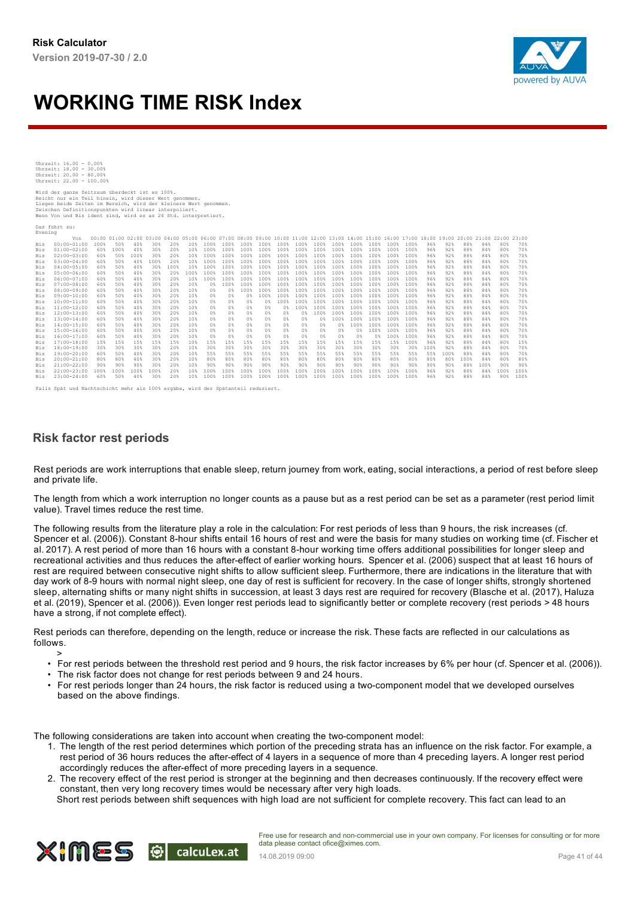

| Uhrzeit: 16.00 - 0.00%   |  |  |
|--------------------------|--|--|
| Uhrzeit: 18.00 - 30.00%  |  |  |
| Uhrzeit: 20.00 - 80.00%  |  |  |
| Uhrzeit: 22.00 - 100.00% |  |  |

Wird der ganze Zeitraum überdeckt ist es 100%. Reicht nur ein Teil hinein, wird dieser Wert genommen.<br>Liegen beide Zeiten im Bereich, wird der kleinere Wert genommen.<br>Zwischen Definitionspunkten wird linear interpoliert.<br>Wenn Von und Bis ident sind, wird es as 24 Std.

Das führt zu:

| Evening    |                 |            |      |       |                 |      |                 |                |                |                |                |                |                |                |      |      |      |                                                                               |      |       |       |       |       |       |       |
|------------|-----------------|------------|------|-------|-----------------|------|-----------------|----------------|----------------|----------------|----------------|----------------|----------------|----------------|------|------|------|-------------------------------------------------------------------------------|------|-------|-------|-------|-------|-------|-------|
|            | Von             | 00:0001:00 |      | 02:00 | $03:00$ $04:00$ |      |                 |                |                |                |                |                |                |                |      |      |      | 05:00 06:00 07:00 08:00 09:00 10:00 11:00 12:00 13:00 14:00 15:00 16:00 17:00 |      | 18:00 | 19:00 | 20:00 | 21:00 | 22:00 | 23:00 |
| <b>Bis</b> | $00:00 - 01:00$ | 100%       | 50%  | 40%   | 30%             | 20%  | 10 <sup>8</sup> | 100%           | 100%           | 100%           | 100%           | 100%           | 100%           | $100*$         | 100% | 100% | 100% | 100%                                                                          | 100% | 96%   | 92%   | 88%   | 84%   | 80%   | 70%   |
| <b>Bis</b> | $01:00 - 02:00$ | 60%        | 100% | 40%   | 30%             | 20%  | 10%             | 100%           | 100%           | 100%           | 100%           | 100%           | 100%           | $100*$         | 100% | 100% | 100% | 100%                                                                          | 100% | 96%   | 92%   | 88%   | 84%   | 80%   | 70%   |
| <b>Bis</b> | $02:00 - 03:00$ | 60%        | 50%  | 100%  | 30%             | 20%  | 10%             | 100%           | 100%           | 100%           | 100%           | 100%           | 100%           | $100*$         | 100% | 100% | 100% | 100%                                                                          | 100% | 96%   | 92%   | 88%   | 84%   | 80%   | 70%   |
| <b>Bis</b> | $03:00 - 04:00$ | 60%        | 50%  | 40%   | 100%            | 20%  | 10%             | 100%           | 100%           | 100%           | 100%           | 100%           | 100%           | $100*$         | 100% | 100% | 100% | 100%                                                                          | 100% | 96%   | 92%   | 88%   | 84%   | 80%   | 70%   |
| <b>Bis</b> | $04:00 - 05:00$ | 60%        | 50%  | 40%   | 30%             | 100% | 10%             | 100%           | 100%           | 100%           | 100%           | 100%           | 100%           | 100%           | 100% | 100% | 100% | 100%                                                                          | 100% | 96%   | 92%   | 88%   | 84%   | 80%   | 70%   |
| <b>Bis</b> | $05:00 - 06:00$ | 60%        | 50%  | 40%   | 30%             | 20%  | $100*$          | 100%           | 100%           | 100%           | 100%           | 100%           | 100%           | $100*$         | 100% | 100% | 100% | 100%                                                                          | 100% | 96%   | 92%   | 88%   | 84%   | 80%   | 70%   |
| <b>Bis</b> | $06:00 - 07:00$ | 60%        | 50%  | 40%   | 30%             | 20%  | 10%             | 100%           | 100%           | 100%           | 100%           | 100%           | $100*$         | 100%           | 100% | 100% | 100% | 100%                                                                          | 100% | 96%   | 92%   | 88%   | 84%   | 80%   | 70%   |
| <b>Bis</b> | $07:00 - 08:00$ | 60%        | 50%  | 40%   | 30%             | 20%  | 10%             | $0*$           | 100%           | 100%           | 100%           | 100%           | 100%           | $100*$         | 100% | 100% | 100% | 100%                                                                          | 100% | 96%   | 92%   | 88%   | 84%   | 80%   | 70%   |
| <b>Bis</b> | $08:00 - 09:00$ | 60%        | 50%  | 40%   | 30%             | 20%  | 10%             | $0*$           | 0 <sup>8</sup> | 100%           | 100%           | 100%           | 100%           | 100%           | 100% | 100% | 100% | 100%                                                                          | 100% | 96%   | 92%   | 88%   | 84%   | 80%   | 70%   |
| <b>Bis</b> | $09:00 - 10:00$ | 60%        | 50%  | 40%   | 30%             | 20%  | 10%             | 0%             | 0%             | $0*$           | 100%           | 100%           | $100*$         | $100*$         | 100% | 100% | 100% | 100%                                                                          | 100% | 96%   | 92%   | 88%   | 84%   | 80%   | 70%   |
| <b>Bis</b> | $10:00 - 11:00$ | 60%        | 50%  | 40%   | 30%             | 20%  | 10%             | 0 <sup>8</sup> | 0%             | 0 <sup>8</sup> | 0%             | 100%           | 100%           | 100%           | 100% | 100% | 100% | 100%                                                                          | 100% | 96%   | 92%   | 88%   | 84%   | 80%   | 70%   |
| <b>Bis</b> | $11:00 - 12:00$ | 60%        | 50%  | 40%   | 30%             | 20%  | 10%             | $0*$           | 0%             | $0*$           | 0%             | 0%             | 100%           | 100%           | 100% | 100% | 100% | 100%                                                                          | 100% | 96%   | 92%   | 88%   | 84%   | 80%   | 70%   |
| <b>Bis</b> | $12:00 - 13:00$ | 60%        | 50%  | 40%   | 30%             | 20%  | 10%             | $0*$           | $0*$           | $0*$           | 0%             | $0*$           | 0 <sup>°</sup> | 100%           | 100% | 100% | 100% | 100%                                                                          | 100% | 96%   | 92%   | 88%   | 84%   | 80%   | 70%   |
| <b>Bis</b> | $13:00 - 14:00$ | 60%        | 50%  | 40%   | 30%             | 20%  | 10%             | $0*$           | 0%             | $0*$           | $0*$           | $0*$           | 0%             | $0*$           | 100% | 100% | 100% | 100%                                                                          | 100% | 96%   | 92%   | 88%   | 84%   | 80%   | 70%   |
| <b>Bis</b> | $14:00 - 15:00$ | 60%        | 50%  | 40%   | 30%             | 20%  | 10%             | 0%             | 0%             | 0 <sup>8</sup> | 0%             | 0%             | 0%             | 0 <sup>8</sup> | n*   | 100% | 100% | 100%                                                                          | 100% | 96%   | 92%   | 88%   | 84%   | 80%   | 70%   |
| Bis        | $15:00 - 16:00$ | 60%        | 50%  | 40%   | 30%             | 20%  | 10%             | 0 <sup>8</sup> | 0%             | 0 <sup>8</sup> | 0 <sup>8</sup> | 0 <sup>8</sup> | 0 <sup>8</sup> | 0 <sup>8</sup> | 0%   | $0*$ | 100% | 100%                                                                          | 100% | 96%   | 92%   | 88%   | 84%   | 80%   | 70%   |
| <b>Bis</b> | $16:00 - 17:00$ | 60%        | 50%  | 40%   | 30%             | 20%  | 10%             | $0*$           | 0%             | 0 <sup>8</sup> | $0*$           | 0 <sup>8</sup> | 0 <sup>8</sup> | 0 <sup>8</sup> | 0%   | $0*$ | $0*$ | 100%                                                                          | 100% | 96%   | 92%   | 88%   | 84%   | 80%   | 70%   |
| <b>Bis</b> | $17:00 - 18:00$ | 15%        | 15%  | 15%   | 15%             | 15%  | 10%             | 15%            | 15%            | 15%            | 15%            | 15%            | 15%            | 15%            | 15%  | 15%  | 15%  | 15%                                                                           | 100% | 96%   | 92%   | 88%   | 84%   | 80%   | 15%   |
| <b>Bis</b> | $18:00 - 19:00$ | 30%        | 30%  | 30%   | 30%             | 20%  | 10%             | 30%            | 30%            | 30%            | 30%            | 30%            | 30%            | 30%            | 30%  | 30%  | 30%  | 30%                                                                           | 30%  | 100%  | 92%   | 88%   | 84%   | $80*$ | 70%   |
| <b>Bis</b> | $19:00 - 20:00$ | 60%        | 50%  | 40%   | 30%             | 20%  | 10%             | 55%            | 55%            | 55%            | 55%            | 55%            | 55%            | 55%            | 55%  | 55%  | 55%  | 55%                                                                           | 55%  | 55%   | 100%  | 88%   | 84%   | 80%   | 70%   |
| <b>Bis</b> | $20:00 - 21:00$ | 80%        | 80%  | 40%   | 30%             | 20%  | 10%             | 80%            | 80%            | 80%            | 80%            | 80%            | 80%            | 80%            | 80%  | 80%  | 80%  | 80%                                                                           | 80%  | 80%   | 80%   | 100%  | 84%   | 80%   | 80%   |
| <b>Bis</b> | $21:00 - 22:00$ | 90%        | 90%  | 90%   | 30%             | 20%  | 10%             | 90%            | 90%            | 90%            | 90%            | 90%            | 90%            | 90%            | 90%  | 90%  | 90%  | 90%                                                                           | 90%  | 90%   | 90%   | 88%   | 100%  | 90%   | 90%   |
| <b>Bis</b> | $22:00 - 23:00$ | 100%       | 100% | 100%  | 100%            | 20%  | 10%             | 100%           | 100%           | 100%           | 100%           | 100%           | 100%           | 100%           | 100% | 100% | 100% | 100%                                                                          | 100% | 96%   | 92%   | 88%   | 84%   | 100%  | 100%  |
| <b>Bis</b> | 23:00-24:00     | 60%        | 50%  | 40%   | 30%             | 20%  | 10%             | 100%           | 100%           | 100%           | 100%           | 100%           | 100%           | 100%           | 100% | 100% | 100% | 100%                                                                          | 1008 | 96%   | 92%   | 88%   | 84%   | $80*$ | 100%  |
|            |                 |            |      |       |                 |      |                 |                |                |                |                |                |                |                |      |      |      |                                                                               |      |       |       |       |       |       |       |

Falls Spät und Nachtschicht mehr als 100% ergäbe, wird der Spätanteil reduziert.

#### **Risk factor rest periods**

Rest periods are work interruptions that enable sleep, return journey from work, eating, social interactions, a period of rest before sleep and private life.

The length from which a work interruption no longer counts as a pause but as a rest period can be set as a parameter (rest period limit value). Travel times reduce the rest time.

The following results from the literature play a role in the calculation: For rest periods of less than 9 hours, the risk increases (cf. Spencer et al. (2006)). Constant 8-hour shifts entail 16 hours of rest and were the basis for many studies on working time (cf. Fischer et al. 2017). A rest period of more than 16 hours with a constant 8-hour working time offers additional possibilities for longer sleep and recreational activities and thus reduces the after-effect of earlier working hours. Spencer et al. (2006) suspect that at least 16 hours of rest are required between consecutive night shifts to allow sufficient sleep. Furthermore, there are indications in the literature that with day work of 8-9 hours with normal night sleep, one day of rest is sufficient for recovery. In the case of longer shifts, strongly shortened sleep, alternating shifts or many night shifts in succession, at least 3 days rest are required for recovery (Blasche et al. (2017), Haluza et al. (2019), Spencer et al. (2006)). Even longer rest periods lead to significantly better or complete recovery (rest periods > 48 hours have a strong, if not complete effect).

Rest periods can therefore, depending on the length, reduce or increase the risk. These facts are reflected in our calculations as follows. >

- For rest periods between the threshold rest period and 9 hours, the risk factor increases by 6% per hour (cf. Spencer et al. (2006)).
- The risk factor does not change for rest periods between 9 and 24 hours.
- For rest periods longer than 24 hours, the risk factor is reduced using a two-component model that we developed ourselves based on the above findings.

The following considerations are taken into account when creating the two-component model:

- 1. The length of the rest period determines which portion of the preceding strata has an influence on the risk factor. For example, a rest period of 36 hours reduces the after-effect of 4 layers in a sequence of more than 4 preceding layers. A longer rest period accordingly reduces the after-effect of more preceding layers in a sequence.
- 2. The recovery effect of the rest period is stronger at the beginning and then decreases continuously. If the recovery effect were constant, then very long recovery times would be necessary after very high loads.
	- Short rest periods between shift sequences with high load are not sufficient for complete recovery. This fact can lead to an

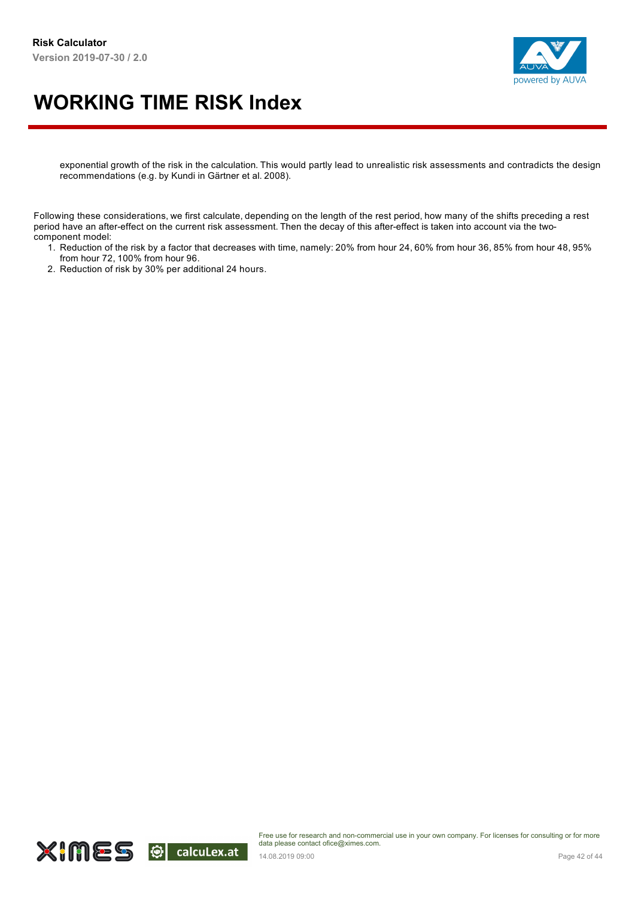



exponential growth of the risk in the calculation. This would partly lead to unrealistic risk assessments and contradicts the design recommendations (e.g. by Kundi in Gärtner et al. 2008).

Following these considerations, we first calculate, depending on the length of the rest period, how many of the shifts preceding a rest period have an after-effect on the current risk assessment. Then the decay of this after-effect is taken into account via the twocomponent model:

- 1. Reduction of the risk by a factor that decreases with time, namely: 20% from hour 24, 60% from hour 36, 85% from hour 48, 95% from hour 72, 100% from hour 96.
- 2. Reduction of risk by 30% per additional 24 hours.

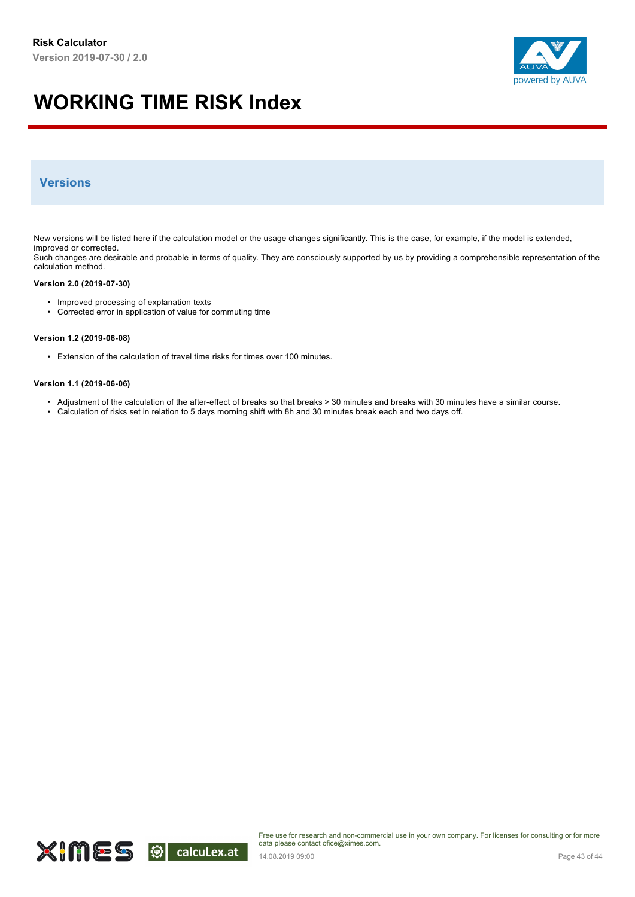

#### **Versions**

New versions will be listed here if the calculation model or the usage changes significantly. This is the case, for example, if the model is extended, improved or corrected.

Such changes are desirable and probable in terms of quality. They are consciously supported by us by providing a comprehensible representation of the calculation method.

#### **Version 2.0 (2019-07-30)**

- Improved processing of explanation texts
- Corrected error in application of value for commuting time

#### **Version 1.2 (2019-06-08)**

• Extension of the calculation of travel time risks for times over 100 minutes.

#### **Version 1.1 (2019-06-06)**

- Adjustment of the calculation of the after-effect of breaks so that breaks > 30 minutes and breaks with 30 minutes have a similar course.
- Calculation of risks set in relation to 5 days morning shift with 8h and 30 minutes break each and two days off.